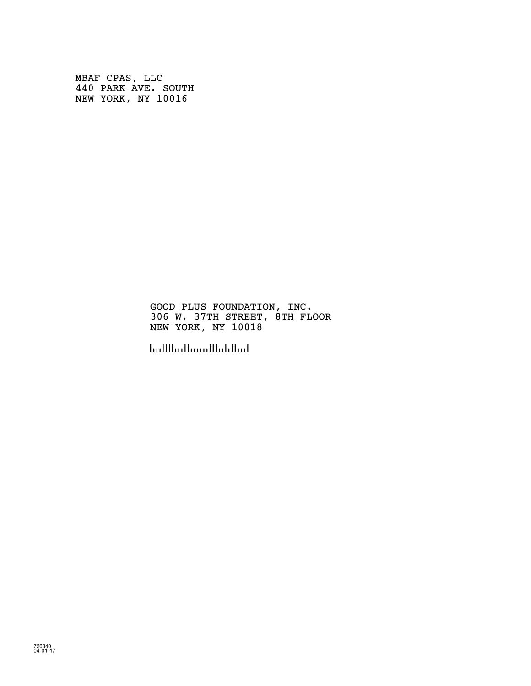MBAF CPAS, LLC 440 PARK AVE. SOUTH NEW YORK, NY 10016

> GOOD PLUS FOUNDATION, INC. 306 W. 37TH STREET, 8TH FLOOR NEW YORK, NY 10018

!100180!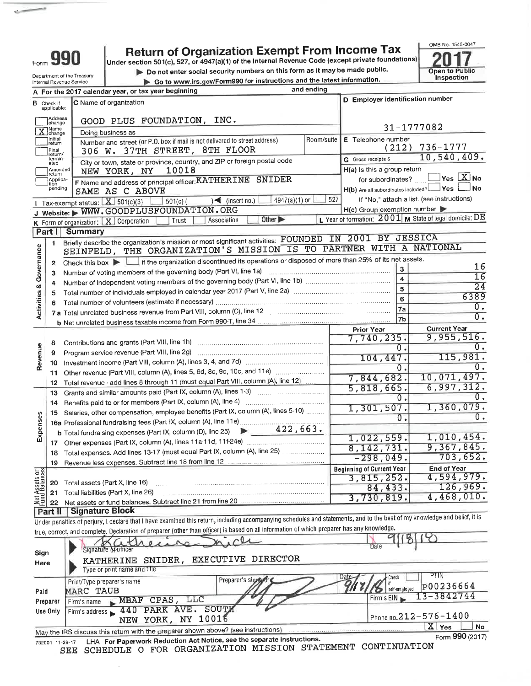| <b>Return of Organization Exempt From Income Tax</b><br>Form 990<br>Under section 501(c), 527, or 4947(a)(1) of the Internal Revenue Code (except private foundations)<br>Do not enter social security numbers on this form as it may be made public.<br>Department of the Treasury<br>Go to www.irs.gov/Form990 for instructions and the latest information.<br>Internal Revenue Service<br>and ending<br>A For the 2017 calendar year, or tax year beginning<br>D Employer identification number<br>C Name of organization<br><b>B</b> Check if<br>applicable:<br>Address<br>GOOD PLUS FOUNDATION, INC.<br>change<br>31-1777082<br>X Name<br>Doing business as | Open to Public<br>Inspection     |
|------------------------------------------------------------------------------------------------------------------------------------------------------------------------------------------------------------------------------------------------------------------------------------------------------------------------------------------------------------------------------------------------------------------------------------------------------------------------------------------------------------------------------------------------------------------------------------------------------------------------------------------------------------------|----------------------------------|
|                                                                                                                                                                                                                                                                                                                                                                                                                                                                                                                                                                                                                                                                  |                                  |
|                                                                                                                                                                                                                                                                                                                                                                                                                                                                                                                                                                                                                                                                  |                                  |
|                                                                                                                                                                                                                                                                                                                                                                                                                                                                                                                                                                                                                                                                  |                                  |
|                                                                                                                                                                                                                                                                                                                                                                                                                                                                                                                                                                                                                                                                  |                                  |
|                                                                                                                                                                                                                                                                                                                                                                                                                                                                                                                                                                                                                                                                  |                                  |
|                                                                                                                                                                                                                                                                                                                                                                                                                                                                                                                                                                                                                                                                  |                                  |
| E Telephone number<br>Initial<br>Room/suite                                                                                                                                                                                                                                                                                                                                                                                                                                                                                                                                                                                                                      |                                  |
| Number and street (or P.O. box if mail is not delivered to street address)<br>return<br>736-1777<br>(212)<br>306 W. 37TH STREET, 8TH FLOOR<br>Final<br>return/                                                                                                                                                                                                                                                                                                                                                                                                                                                                                                   |                                  |
| G Gross receipts \$<br>termin-<br>City or town, state or province, country, and ZIP or foreign postal code<br>ated<br>H(a) is this a group return<br>10018<br>Amended                                                                                                                                                                                                                                                                                                                                                                                                                                                                                            | 10,540,409.                      |
| NEW YORK, NY<br>return<br>F Name and address of principal officer: KATHERINE SNIDER<br>for subordinates?<br>Applica-<br>tion                                                                                                                                                                                                                                                                                                                                                                                                                                                                                                                                     | $\Box$ Yes $\boxed{\text{X}}$ No |
| H(b) Are all subordinates included? Ves<br>pending<br>SAME AS C ABOVE<br>If "No," attach a list. (see instructions)                                                                                                                                                                                                                                                                                                                                                                                                                                                                                                                                              | ⊥No                              |
| 527<br>4947(a)(1) or<br>$\rightarrow$ (insert no.)<br>$\Box$ 501(c) (<br>I Tax-exempt status: $X$ 501(c)(3)<br>H(c) Group exemption number<br>J Website: WWW.GOODPLUSFOUNDATION.ORG                                                                                                                                                                                                                                                                                                                                                                                                                                                                              |                                  |
| L Year of formation: 2001 M State of legal domicile: DE<br>Other $\blacktriangleright$<br>Association<br>K Form of organization: X Corporation<br>Trust                                                                                                                                                                                                                                                                                                                                                                                                                                                                                                          |                                  |
| <b>Summary</b><br>Part II                                                                                                                                                                                                                                                                                                                                                                                                                                                                                                                                                                                                                                        |                                  |
| Briefly describe the organization's mission or most significant activities: FOUNDED IN 2001 BY JESSICA<br>1                                                                                                                                                                                                                                                                                                                                                                                                                                                                                                                                                      |                                  |
| <b>Activities &amp; Governance</b><br>SEINFELD, THE ORGANIZATION'S MISSION IS TO PARTNER WITH A NATIONAL                                                                                                                                                                                                                                                                                                                                                                                                                                                                                                                                                         |                                  |
| Check this box $\blacktriangleright$ If the organization discontinued its operations or disposed of more than 25% of its net assets.<br>$\mathbf{2}$                                                                                                                                                                                                                                                                                                                                                                                                                                                                                                             | 16                               |
| $\mathbf{3}$<br>з                                                                                                                                                                                                                                                                                                                                                                                                                                                                                                                                                                                                                                                | $\overline{16}$                  |
| $\overline{4}$<br>4                                                                                                                                                                                                                                                                                                                                                                                                                                                                                                                                                                                                                                              | $\overline{24}$                  |
| 5<br>5                                                                                                                                                                                                                                                                                                                                                                                                                                                                                                                                                                                                                                                           | 6389                             |
| 6<br>6                                                                                                                                                                                                                                                                                                                                                                                                                                                                                                                                                                                                                                                           | 0.                               |
| 7a<br>7 a Total unrelated business revenue from Part VIII, column (C), line 12 [11] [12] [11] Total unrelated business revenue from Part VIII, column (C), line 12                                                                                                                                                                                                                                                                                                                                                                                                                                                                                               | $\overline{0}$ .                 |
| 7 <sub>b</sub>                                                                                                                                                                                                                                                                                                                                                                                                                                                                                                                                                                                                                                                   |                                  |
| <b>Current Year</b><br><b>Prior Year</b>                                                                                                                                                                                                                                                                                                                                                                                                                                                                                                                                                                                                                         |                                  |
| 7,740,235.<br>8                                                                                                                                                                                                                                                                                                                                                                                                                                                                                                                                                                                                                                                  | 9,955,516.                       |
| 0.<br>Program service revenue (Part VIII, line 2g)<br>9                                                                                                                                                                                                                                                                                                                                                                                                                                                                                                                                                                                                          | 0.                               |
| Revenue<br>104,447.<br>10                                                                                                                                                                                                                                                                                                                                                                                                                                                                                                                                                                                                                                        | 115,981.                         |
| $\overline{0}$ .<br>11                                                                                                                                                                                                                                                                                                                                                                                                                                                                                                                                                                                                                                           | 0.                               |
| 7,844,682.<br>Total revenue - add lines 8 through 11 (must equal Part VIII, column (A), line 12)<br>12                                                                                                                                                                                                                                                                                                                                                                                                                                                                                                                                                           | 10,071,497.                      |
| 5,818,665.<br>Grants and similar amounts paid (Part IX, column (A), lines 1-3)<br>13                                                                                                                                                                                                                                                                                                                                                                                                                                                                                                                                                                             | 6,997,312.                       |
| $\overline{0}$ .                                                                                                                                                                                                                                                                                                                                                                                                                                                                                                                                                                                                                                                 | ο.                               |
| 14<br>1,301,507.<br>15 Salaries, other compensation, employee benefits (Part IX, column (A), lines 5-10)                                                                                                                                                                                                                                                                                                                                                                                                                                                                                                                                                         | 1,360,079.                       |
| ses<br>$0$ .<br>16a Professional fundraising fees (Part IX, column (A), line 11e)                                                                                                                                                                                                                                                                                                                                                                                                                                                                                                                                                                                | Ο.                               |
| <b>b</b> Total fundraising expenses (Part IX, column (D), line 25) $\rightarrow$ 422, 663.                                                                                                                                                                                                                                                                                                                                                                                                                                                                                                                                                                       |                                  |
| Expens<br>1,022,559.                                                                                                                                                                                                                                                                                                                                                                                                                                                                                                                                                                                                                                             | 1,010,454.                       |
| 8, 142, 731.                                                                                                                                                                                                                                                                                                                                                                                                                                                                                                                                                                                                                                                     | 9,367,845.                       |
| 18 Total expenses. Add lines 13-17 (must equal Part IX, column (A), line 25)<br>$-298,049.$                                                                                                                                                                                                                                                                                                                                                                                                                                                                                                                                                                      | 703,652.                         |
| Revenue less expenses. Subtract line 18 from line 12 [2010] Revenue less expenses. Subtract line 18 from line 12<br>19<br><b>Beginning of Current Year</b>                                                                                                                                                                                                                                                                                                                                                                                                                                                                                                       | <b>End of Year</b>               |
| 3,815,252.                                                                                                                                                                                                                                                                                                                                                                                                                                                                                                                                                                                                                                                       | 4,594,979.                       |
| Net Assets or<br>Fund Balances<br>Total assets (Part X, line 16)<br>20<br>84,433.                                                                                                                                                                                                                                                                                                                                                                                                                                                                                                                                                                                | 126,969.                         |
| Total liabilities (Part X, line 26)<br>21<br>3,730,819.                                                                                                                                                                                                                                                                                                                                                                                                                                                                                                                                                                                                          | 4,468,010.                       |
| 22                                                                                                                                                                                                                                                                                                                                                                                                                                                                                                                                                                                                                                                               |                                  |
| Signature Block<br>Part II<br>Under penalties of perjury, I declare that I have examined this return, including accompanying schedules and statements, and to the best of my knowledge and belief, it is                                                                                                                                                                                                                                                                                                                                                                                                                                                         |                                  |
| true, correct, and complete. Declaration of preparer (other than officer) is based on all information of which preparer has any knowledge.                                                                                                                                                                                                                                                                                                                                                                                                                                                                                                                       |                                  |
|                                                                                                                                                                                                                                                                                                                                                                                                                                                                                                                                                                                                                                                                  |                                  |
| Date<br>Signature of officer                                                                                                                                                                                                                                                                                                                                                                                                                                                                                                                                                                                                                                     |                                  |
| Sign<br>KATHERINE SNIDER, EXECUTIVE DIRECTOR                                                                                                                                                                                                                                                                                                                                                                                                                                                                                                                                                                                                                     |                                  |
| Here<br>Type or print name and title                                                                                                                                                                                                                                                                                                                                                                                                                                                                                                                                                                                                                             |                                  |
| PTIN<br>Check<br>Preparer's signifying                                                                                                                                                                                                                                                                                                                                                                                                                                                                                                                                                                                                                           |                                  |
| Print/Type preparer's name<br>self-employed                                                                                                                                                                                                                                                                                                                                                                                                                                                                                                                                                                                                                      | P00236664                        |
| MARC TAUB<br>Paid<br>13-3842744<br>Firm's EIN                                                                                                                                                                                                                                                                                                                                                                                                                                                                                                                                                                                                                    |                                  |
| MBAF CPAS, LLC<br>Firm's name<br>Preparer                                                                                                                                                                                                                                                                                                                                                                                                                                                                                                                                                                                                                        |                                  |
| Firm's address 140 PARK AVE. SOUTH<br>Use Only<br>Phone no.212-576-1400                                                                                                                                                                                                                                                                                                                                                                                                                                                                                                                                                                                          |                                  |
| NEW YORK, NY 10016<br>$X$ Yes                                                                                                                                                                                                                                                                                                                                                                                                                                                                                                                                                                                                                                    | No.                              |
| May the IRS discuss this return with the preparer shown above? (see instructions)                                                                                                                                                                                                                                                                                                                                                                                                                                                                                                                                                                                | Form 990 (2017)                  |
| LHA For Paperwork Reduction Act Notice, see the separate instructions.<br>732001 11-28-17                                                                                                                                                                                                                                                                                                                                                                                                                                                                                                                                                                        |                                  |
| SCHEDULE O FOR ORGANIZATION MISSION STATEMENT CONTINUATION<br>SEE                                                                                                                                                                                                                                                                                                                                                                                                                                                                                                                                                                                                |                                  |
|                                                                                                                                                                                                                                                                                                                                                                                                                                                                                                                                                                                                                                                                  |                                  |

 $\overline{\phantom{0}}$ 

 $\epsilon_{\rm m}$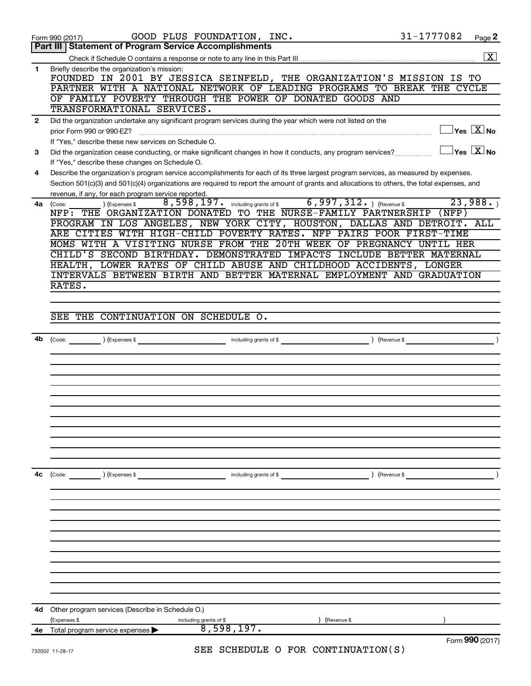|              | 31-1777082<br>GOOD PLUS FOUNDATION, INC.<br>Page 2<br>Form 990 (2017)                                                                                                                               |
|--------------|-----------------------------------------------------------------------------------------------------------------------------------------------------------------------------------------------------|
|              | <b>Part III   Statement of Program Service Accomplishments</b>                                                                                                                                      |
|              | $\overline{\mathbf{X}}$                                                                                                                                                                             |
| $\mathbf{1}$ | Briefly describe the organization's mission:<br>FOUNDED IN 2001 BY JESSICA SEINFELD, THE ORGANIZATION'S MISSION IS TO                                                                               |
|              | PARTNER WITH A NATIONAL NETWORK OF LEADING PROGRAMS TO BREAK THE CYCLE                                                                                                                              |
|              | OF FAMILY POVERTY THROUGH THE POWER OF DONATED GOODS AND<br>TRANSFORMATIONAL SERVICES.                                                                                                              |
| $\mathbf{2}$ | Did the organization undertake any significant program services during the year which were not listed on the                                                                                        |
|              | $\sqrt{\mathsf{Yes}\ \mathbf{X}}$ No<br>prior Form 990 or 990-EZ?<br>If "Yes," describe these new services on Schedule O.                                                                           |
| 3            | $\sqrt{\mathsf{Yes}\mathord{\;\mathbb{X}}\mathord{\;\mathsf{No}}}$<br>Did the organization cease conducting, or make significant changes in how it conducts, any program services?                  |
|              | If "Yes," describe these changes on Schedule O.                                                                                                                                                     |
| 4            | Describe the organization's program service accomplishments for each of its three largest program services, as measured by expenses.                                                                |
|              | Section 501(c)(3) and 501(c)(4) organizations are required to report the amount of grants and allocations to others, the total expenses, and<br>revenue, if any, for each program service reported. |
| 4a l         | 8,598,197. including grants of \$ 6,997,312. ) (Revenue \$<br>23,988.<br>) (Expenses \$<br>(Code:                                                                                                   |
|              | NFP: THE ORGANIZATION DONATED TO THE NURSE-FAMILY PARTNERSHIP (NFP)                                                                                                                                 |
|              | PROGRAM IN LOS ANGELES, NEW YORK CITY, HOUSTON, DALLAS AND DETROIT. ALL                                                                                                                             |
|              | ARE CITIES WITH HIGH-CHILD POVERTY RATES. NFP PAIRS POOR FIRST-TIME                                                                                                                                 |
|              | MOMS WITH A VISITING NURSE FROM THE 20TH WEEK OF PREGNANCY UNTIL HER                                                                                                                                |
|              | CHILD'S SECOND BIRTHDAY. DEMONSTRATED IMPACTS INCLUDE BETTER MATERNAL                                                                                                                               |
|              | HEALTH, LOWER RATES OF CHILD ABUSE AND CHILDHOOD ACCIDENTS, LONGER                                                                                                                                  |
|              | INTERVALS BETWEEN BIRTH AND BETTER MATERNAL EMPLOYMENT AND GRADUATION                                                                                                                               |
|              | RATES.                                                                                                                                                                                              |
|              |                                                                                                                                                                                                     |
|              | SEE THE CONTINUATION ON SCHEDULE O.                                                                                                                                                                 |
|              |                                                                                                                                                                                                     |
| 4b           | (Expenses \$<br>including grants of \$<br>(Revenue \$<br>$\left(\text{Code:}\right)$                                                                                                                |
|              |                                                                                                                                                                                                     |
|              |                                                                                                                                                                                                     |
|              |                                                                                                                                                                                                     |
|              |                                                                                                                                                                                                     |
|              |                                                                                                                                                                                                     |
|              |                                                                                                                                                                                                     |
|              |                                                                                                                                                                                                     |
|              |                                                                                                                                                                                                     |
|              |                                                                                                                                                                                                     |
|              |                                                                                                                                                                                                     |
|              |                                                                                                                                                                                                     |
| 4с           | (Revenue \$<br>) (Expenses \$<br>including grants of \$<br>(Code:                                                                                                                                   |
|              |                                                                                                                                                                                                     |
|              |                                                                                                                                                                                                     |
|              |                                                                                                                                                                                                     |
|              |                                                                                                                                                                                                     |
|              |                                                                                                                                                                                                     |
|              |                                                                                                                                                                                                     |
|              |                                                                                                                                                                                                     |
|              |                                                                                                                                                                                                     |
|              |                                                                                                                                                                                                     |
|              |                                                                                                                                                                                                     |
|              |                                                                                                                                                                                                     |
| 4d           | Other program services (Describe in Schedule O.)                                                                                                                                                    |
|              | (Expenses \$<br>including grants of \$<br>(Revenue \$<br>8,598,197.                                                                                                                                 |
| 4e           | Total program service expenses<br>Form 990 (2017)                                                                                                                                                   |
|              | SEE SCHEDULE O FOR CONTINUATION(S)<br>732002 11-28-17                                                                                                                                               |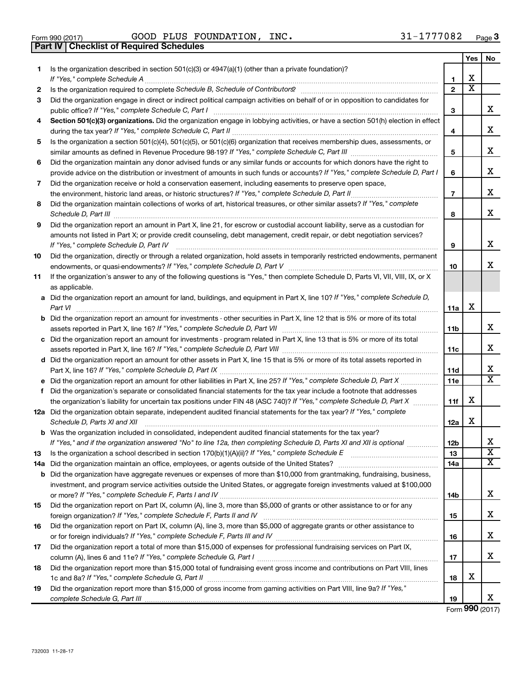|  | Form 990 (2017) |
|--|-----------------|

**Part IV Checklist of Required Schedules**

Form 990 (2017) Page GOOD PLUS FOUNDATION, INC. 31-1777082

|    |                                                                                                                                                                                                                                                                                                                                                                     |                | Yes                     | No |
|----|---------------------------------------------------------------------------------------------------------------------------------------------------------------------------------------------------------------------------------------------------------------------------------------------------------------------------------------------------------------------|----------------|-------------------------|----|
| 1  | Is the organization described in section $501(c)(3)$ or $4947(a)(1)$ (other than a private foundation)?                                                                                                                                                                                                                                                             | 1              | X                       |    |
| 2  | Is the organization required to complete Schedule B, Schedule of Contributors? [11] The organization required to complete Schedule B, Schedule of Contributors?                                                                                                                                                                                                     | $\overline{2}$ | $\overline{\textbf{x}}$ |    |
| 3  | Did the organization engage in direct or indirect political campaign activities on behalf of or in opposition to candidates for                                                                                                                                                                                                                                     |                |                         |    |
|    |                                                                                                                                                                                                                                                                                                                                                                     | з              |                         | х  |
| 4  | Section 501(c)(3) organizations. Did the organization engage in lobbying activities, or have a section 501(h) election in effect                                                                                                                                                                                                                                    | 4              |                         | x  |
| 5  | Is the organization a section 501(c)(4), 501(c)(5), or 501(c)(6) organization that receives membership dues, assessments, or                                                                                                                                                                                                                                        |                |                         |    |
|    |                                                                                                                                                                                                                                                                                                                                                                     | 5              |                         | x  |
| 6  | Did the organization maintain any donor advised funds or any similar funds or accounts for which donors have the right to                                                                                                                                                                                                                                           |                |                         |    |
|    | provide advice on the distribution or investment of amounts in such funds or accounts? If "Yes," complete Schedule D, Part I                                                                                                                                                                                                                                        | 6              |                         | х  |
| 7  | Did the organization receive or hold a conservation easement, including easements to preserve open space,                                                                                                                                                                                                                                                           |                |                         |    |
|    |                                                                                                                                                                                                                                                                                                                                                                     | $\overline{7}$ |                         | x  |
| 8  | Did the organization maintain collections of works of art, historical treasures, or other similar assets? If "Yes," complete<br>Schedule D, Part III <b>Marting Communities</b> and the contract of the contract of the contract of the contract of the contract of the contract of the contract of the contract of the contract of the contract of the contract of | 8              |                         | x  |
| 9  | Did the organization report an amount in Part X, line 21, for escrow or custodial account liability, serve as a custodian for                                                                                                                                                                                                                                       |                |                         |    |
|    | amounts not listed in Part X; or provide credit counseling, debt management, credit repair, or debt negotiation services?                                                                                                                                                                                                                                           |                |                         |    |
|    | If "Yes," complete Schedule D, Part IV                                                                                                                                                                                                                                                                                                                              | 9              |                         | х  |
| 10 | Did the organization, directly or through a related organization, hold assets in temporarily restricted endowments, permanent                                                                                                                                                                                                                                       |                |                         |    |
|    |                                                                                                                                                                                                                                                                                                                                                                     | 10             |                         | x  |
| 11 | If the organization's answer to any of the following questions is "Yes," then complete Schedule D, Parts VI, VII, VIII, IX, or X                                                                                                                                                                                                                                    |                |                         |    |
|    | as applicable.                                                                                                                                                                                                                                                                                                                                                      |                |                         |    |
|    | a Did the organization report an amount for land, buildings, and equipment in Part X, line 10? If "Yes," complete Schedule D,<br>Part VI                                                                                                                                                                                                                            | 11a            | х                       |    |
|    | <b>b</b> Did the organization report an amount for investments - other securities in Part X, line 12 that is 5% or more of its total                                                                                                                                                                                                                                |                |                         |    |
|    |                                                                                                                                                                                                                                                                                                                                                                     | <b>11b</b>     |                         | x  |
|    | c Did the organization report an amount for investments - program related in Part X, line 13 that is 5% or more of its total                                                                                                                                                                                                                                        |                |                         |    |
|    |                                                                                                                                                                                                                                                                                                                                                                     | 11c            |                         | х  |
|    | d Did the organization report an amount for other assets in Part X, line 15 that is 5% or more of its total assets reported in                                                                                                                                                                                                                                      |                |                         |    |
|    |                                                                                                                                                                                                                                                                                                                                                                     | <b>11d</b>     |                         | х  |
|    |                                                                                                                                                                                                                                                                                                                                                                     | 11e            |                         | x  |
| f  | Did the organization's separate or consolidated financial statements for the tax year include a footnote that addresses                                                                                                                                                                                                                                             |                |                         |    |
|    | the organization's liability for uncertain tax positions under FIN 48 (ASC 740)? If "Yes," complete Schedule D, Part X                                                                                                                                                                                                                                              | 11f            | х                       |    |
|    | 12a Did the organization obtain separate, independent audited financial statements for the tax year? If "Yes," complete<br>Schedule D, Parts XI and XII                                                                                                                                                                                                             | 12a            | х                       |    |
|    | <b>b</b> Was the organization included in consolidated, independent audited financial statements for the tax year?                                                                                                                                                                                                                                                  |                |                         |    |
|    | If "Yes," and if the organization answered "No" to line 12a, then completing Schedule D, Parts XI and XII is optional                                                                                                                                                                                                                                               | 12b            |                         | Δ. |
| 13 |                                                                                                                                                                                                                                                                                                                                                                     | 13             |                         | х  |
|    | 14a Did the organization maintain an office, employees, or agents outside of the United States?                                                                                                                                                                                                                                                                     | 14a            |                         | x  |
|    | <b>b</b> Did the organization have aggregate revenues or expenses of more than \$10,000 from grantmaking, fundraising, business,                                                                                                                                                                                                                                    |                |                         |    |
|    | investment, and program service activities outside the United States, or aggregate foreign investments valued at \$100,000                                                                                                                                                                                                                                          |                |                         |    |
|    |                                                                                                                                                                                                                                                                                                                                                                     | 14b            |                         | x  |
| 15 | Did the organization report on Part IX, column (A), line 3, more than \$5,000 of grants or other assistance to or for any                                                                                                                                                                                                                                           |                |                         |    |
|    |                                                                                                                                                                                                                                                                                                                                                                     | 15             |                         | х  |
| 16 | Did the organization report on Part IX, column (A), line 3, more than \$5,000 of aggregate grants or other assistance to                                                                                                                                                                                                                                            | 16             |                         | х  |
| 17 | Did the organization report a total of more than \$15,000 of expenses for professional fundraising services on Part IX,                                                                                                                                                                                                                                             |                |                         |    |
|    |                                                                                                                                                                                                                                                                                                                                                                     | 17             |                         | х  |
| 18 | Did the organization report more than \$15,000 total of fundraising event gross income and contributions on Part VIII, lines                                                                                                                                                                                                                                        |                |                         |    |
|    |                                                                                                                                                                                                                                                                                                                                                                     | 18             | х                       |    |
| 19 | Did the organization report more than \$15,000 of gross income from gaming activities on Part VIII, line 9a? If "Yes,"                                                                                                                                                                                                                                              | 19             |                         | x  |

Form (2017) **990**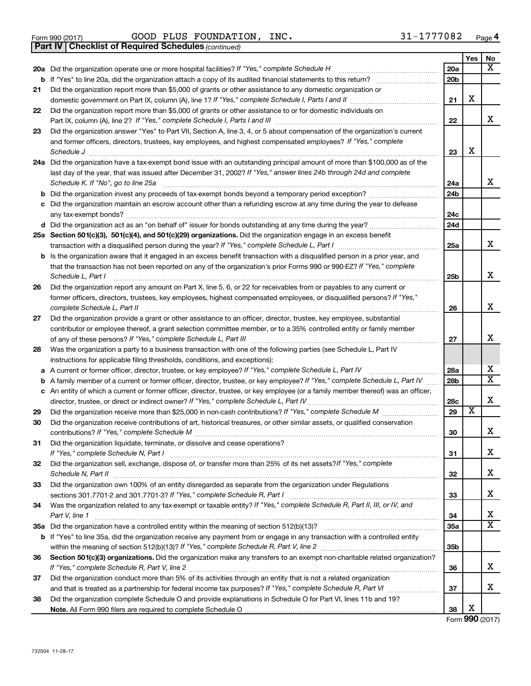|  | Form 990 (2017) |
|--|-----------------|
|  |                 |

Form 990 (2017) Page GOOD PLUS FOUNDATION, INC. 31-1777082

*(continued)* **Part IV Checklist of Required Schedules**

|          |                                                                                                                                     |                 | Yes                     | No                      |
|----------|-------------------------------------------------------------------------------------------------------------------------------------|-----------------|-------------------------|-------------------------|
|          | 20a Did the organization operate one or more hospital facilities? If "Yes," complete Schedule H                                     | 20a             |                         | x                       |
|          | <b>b</b> If "Yes" to line 20a, did the organization attach a copy of its audited financial statements to this return?               | 20 <sub>b</sub> |                         |                         |
| 21       | Did the organization report more than \$5,000 of grants or other assistance to any domestic organization or                         |                 |                         |                         |
|          |                                                                                                                                     | 21              | х                       |                         |
| 22       | Did the organization report more than \$5,000 of grants or other assistance to or for domestic individuals on                       |                 |                         |                         |
|          |                                                                                                                                     | 22              |                         | х                       |
| 23       | Did the organization answer "Yes" to Part VII, Section A, line 3, 4, or 5 about compensation of the organization's current          |                 |                         |                         |
|          | and former officers, directors, trustees, key employees, and highest compensated employees? If "Yes," complete                      |                 |                         |                         |
|          | Schedule J                                                                                                                          | 23              | х                       |                         |
|          | 24a Did the organization have a tax-exempt bond issue with an outstanding principal amount of more than \$100,000 as of the         |                 |                         |                         |
|          | last day of the year, that was issued after December 31, 2002? If "Yes," answer lines 24b through 24d and complete                  |                 |                         |                         |
|          | Schedule K. If "No", go to line 25a                                                                                                 | 24a             |                         | х                       |
|          | <b>b</b> Did the organization invest any proceeds of tax-exempt bonds beyond a temporary period exception?                          | 24 <sub>b</sub> |                         |                         |
| c        | Did the organization maintain an escrow account other than a refunding escrow at any time during the year to defease                |                 |                         |                         |
|          |                                                                                                                                     | 24c             |                         |                         |
|          |                                                                                                                                     | 24d             |                         |                         |
|          | 25a Section 501(c)(3), 501(c)(4), and 501(c)(29) organizations. Did the organization engage in an excess benefit                    |                 |                         |                         |
|          |                                                                                                                                     | 25a             |                         | х                       |
|          | <b>b</b> Is the organization aware that it engaged in an excess benefit transaction with a disqualified person in a prior year, and |                 |                         |                         |
|          | that the transaction has not been reported on any of the organization's prior Forms 990 or 990-EZ? If "Yes," complete               |                 |                         |                         |
|          | Schedule L, Part I                                                                                                                  | 25b             |                         | х                       |
| 26       | Did the organization report any amount on Part X, line 5, 6, or 22 for receivables from or payables to any current or               |                 |                         |                         |
|          | former officers, directors, trustees, key employees, highest compensated employees, or disqualified persons? If "Yes,"              |                 |                         |                         |
|          | complete Schedule L, Part II                                                                                                        | 26              |                         | х                       |
| 27       | Did the organization provide a grant or other assistance to an officer, director, trustee, key employee, substantial                |                 |                         |                         |
|          | contributor or employee thereof, a grant selection committee member, or to a 35% controlled entity or family member                 |                 |                         |                         |
|          |                                                                                                                                     | 27              |                         | х                       |
| 28       | Was the organization a party to a business transaction with one of the following parties (see Schedule L, Part IV                   |                 |                         |                         |
|          | instructions for applicable filing thresholds, conditions, and exceptions):                                                         |                 |                         | х                       |
| а        | A current or former officer, director, trustee, or key employee? If "Yes," complete Schedule L, Part IV                             | 28a             |                         | $\overline{\mathbf{X}}$ |
| b        | A family member of a current or former officer, director, trustee, or key employee? If "Yes," complete Schedule L, Part IV          | 28b             |                         |                         |
|          | c An entity of which a current or former officer, director, trustee, or key employee (or a family member thereof) was an officer,   |                 |                         | X                       |
|          | director, trustee, or direct or indirect owner? If "Yes," complete Schedule L, Part IV                                              | 28c<br>29       | $\overline{\textbf{x}}$ |                         |
| 29<br>30 | Did the organization receive contributions of art, historical treasures, or other similar assets, or qualified conservation         |                 |                         |                         |
|          |                                                                                                                                     | 30              |                         | х                       |
| 31       | Did the organization liquidate, terminate, or dissolve and cease operations?                                                        |                 |                         |                         |
|          | If "Yes," complete Schedule N, Part I                                                                                               | 31              |                         | х                       |
| 32       | Did the organization sell, exchange, dispose of, or transfer more than 25% of its net assets? If "Yes," complete                    |                 |                         |                         |
|          |                                                                                                                                     | 32              |                         | х                       |
| 33       | Did the organization own 100% of an entity disregarded as separate from the organization under Regulations                          |                 |                         |                         |
|          |                                                                                                                                     | 33              |                         | х                       |
| 34       | Was the organization related to any tax-exempt or taxable entity? If "Yes," complete Schedule R, Part II, III, or IV, and           |                 |                         |                         |
|          | Part V, line 1                                                                                                                      | 34              |                         | x                       |
|          |                                                                                                                                     | 35a             |                         | х                       |
|          | b If "Yes" to line 35a, did the organization receive any payment from or engage in any transaction with a controlled entity         |                 |                         |                         |
|          |                                                                                                                                     | 35b             |                         |                         |
| 36       | Section 501(c)(3) organizations. Did the organization make any transfers to an exempt non-charitable related organization?          |                 |                         |                         |
|          |                                                                                                                                     | 36              |                         | х                       |
| 37       | Did the organization conduct more than 5% of its activities through an entity that is not a related organization                    |                 |                         |                         |
|          |                                                                                                                                     | 37              |                         | х                       |
| 38       | Did the organization complete Schedule O and provide explanations in Schedule O for Part VI, lines 11b and 19?                      |                 |                         |                         |
|          |                                                                                                                                     | 38              | х                       |                         |

Form (2017) **990**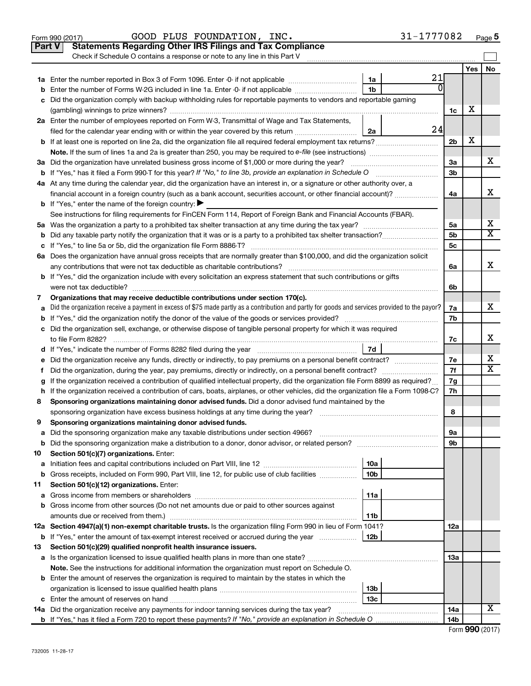|               | GOOD PLUS FOUNDATION, INC.<br>Form 990 (2017)                                                                                                   |                 | 31-1777082     |                 |            | Page 5                  |
|---------------|-------------------------------------------------------------------------------------------------------------------------------------------------|-----------------|----------------|-----------------|------------|-------------------------|
| <b>Part V</b> | <b>Statements Regarding Other IRS Filings and Tax Compliance</b>                                                                                |                 |                |                 |            |                         |
|               | Check if Schedule O contains a response or note to any line in this Part V                                                                      |                 |                |                 |            |                         |
|               |                                                                                                                                                 |                 |                |                 | <b>Yes</b> | No                      |
|               |                                                                                                                                                 | 1a              | 21<br>$\Omega$ |                 |            |                         |
| b             | Enter the number of Forms W-2G included in line 1a. Enter -0- if not applicable                                                                 | 1 <sub>b</sub>  |                |                 |            |                         |
|               | c Did the organization comply with backup withholding rules for reportable payments to vendors and reportable gaming                            |                 |                |                 | х          |                         |
|               |                                                                                                                                                 |                 |                | 1c              |            |                         |
|               | 2a Enter the number of employees reported on Form W-3, Transmittal of Wage and Tax Statements,                                                  |                 | 24             |                 |            |                         |
|               | filed for the calendar year ending with or within the year covered by this return                                                               | 2a              |                | 2 <sub>b</sub>  | х          |                         |
|               |                                                                                                                                                 |                 |                |                 |            |                         |
|               | 3a Did the organization have unrelated business gross income of \$1,000 or more during the year?                                                |                 |                | 3a              |            | x                       |
|               |                                                                                                                                                 |                 |                | 3b              |            |                         |
|               | 4a At any time during the calendar year, did the organization have an interest in, or a signature or other authority over, a                    |                 |                |                 |            |                         |
|               | financial account in a foreign country (such as a bank account, securities account, or other financial account)?                                |                 |                | 4a              |            | x                       |
|               | <b>b</b> If "Yes," enter the name of the foreign country: $\blacktriangleright$                                                                 |                 |                |                 |            |                         |
|               | See instructions for filing requirements for FinCEN Form 114, Report of Foreign Bank and Financial Accounts (FBAR).                             |                 |                |                 |            |                         |
|               |                                                                                                                                                 |                 |                | 5a              |            | х                       |
|               |                                                                                                                                                 |                 |                | 5 <sub>b</sub>  |            | $\overline{\mathbf{X}}$ |
|               |                                                                                                                                                 |                 |                | 5c              |            |                         |
|               | 6a Does the organization have annual gross receipts that are normally greater than \$100,000, and did the organization solicit                  |                 |                |                 |            |                         |
|               |                                                                                                                                                 |                 |                | 6а              |            | x                       |
|               | <b>b</b> If "Yes," did the organization include with every solicitation an express statement that such contributions or gifts                   |                 |                |                 |            |                         |
|               |                                                                                                                                                 |                 |                | 6b              |            |                         |
| 7             | Organizations that may receive deductible contributions under section 170(c).                                                                   |                 |                |                 |            | x                       |
| a             | Did the organization receive a payment in excess of \$75 made partly as a contribution and partly for goods and services provided to the payor? |                 |                | 7a<br>7b        |            |                         |
|               | c Did the organization sell, exchange, or otherwise dispose of tangible personal property for which it was required                             |                 |                |                 |            |                         |
|               |                                                                                                                                                 |                 |                | 7c              |            | x                       |
|               |                                                                                                                                                 | 7d              |                |                 |            |                         |
|               | e Did the organization receive any funds, directly or indirectly, to pay premiums on a personal benefit contract?                               |                 |                | 7е              |            | х                       |
| Ť.            | Did the organization, during the year, pay premiums, directly or indirectly, on a personal benefit contract?                                    |                 |                | 7f              |            | X                       |
|               | If the organization received a contribution of qualified intellectual property, did the organization file Form 8899 as required?                |                 |                | 7g              |            |                         |
|               | h If the organization received a contribution of cars, boats, airplanes, or other vehicles, did the organization file a Form 1098-C?            |                 |                | 7h              |            |                         |
| 8             | Sponsoring organizations maintaining donor advised funds. Did a donor advised fund maintained by the                                            |                 |                |                 |            |                         |
|               |                                                                                                                                                 |                 |                | 8               |            |                         |
|               | Sponsoring organizations maintaining donor advised funds.                                                                                       |                 |                |                 |            |                         |
| а             | Did the sponsoring organization make any taxable distributions under section 4966?                                                              |                 |                | 9а              |            |                         |
| b             |                                                                                                                                                 |                 |                | 9b              |            |                         |
| 10            | Section 501(c)(7) organizations. Enter:                                                                                                         | 10a             |                |                 |            |                         |
| а<br>b        | Gross receipts, included on Form 990, Part VIII, line 12, for public use of club facilities                                                     | 10 <sub>b</sub> |                |                 |            |                         |
| 11            | Section 501(c)(12) organizations. Enter:                                                                                                        |                 |                |                 |            |                         |
| а             |                                                                                                                                                 | 11a             |                |                 |            |                         |
|               | b Gross income from other sources (Do not net amounts due or paid to other sources against                                                      |                 |                |                 |            |                         |
|               | amounts due or received from them.)                                                                                                             | 11b             |                |                 |            |                         |
|               | 12a Section 4947(a)(1) non-exempt charitable trusts. Is the organization filing Form 990 in lieu of Form 1041?                                  |                 |                | 12a             |            |                         |
|               | <b>b</b> If "Yes," enter the amount of tax-exempt interest received or accrued during the year                                                  | 12b             |                |                 |            |                         |
| 13            | Section 501(c)(29) qualified nonprofit health insurance issuers.                                                                                |                 |                |                 |            |                         |
|               | a Is the organization licensed to issue qualified health plans in more than one state?                                                          |                 |                | 13a             |            |                         |
|               | Note. See the instructions for additional information the organization must report on Schedule O.                                               |                 |                |                 |            |                         |
|               | <b>b</b> Enter the amount of reserves the organization is required to maintain by the states in which the                                       |                 |                |                 |            |                         |
|               |                                                                                                                                                 | 13b             |                |                 |            |                         |
|               |                                                                                                                                                 | 13 <sub>c</sub> |                |                 |            |                         |
|               | 14a Did the organization receive any payments for indoor tanning services during the tax year?                                                  |                 |                | 14a             |            | х                       |
|               |                                                                                                                                                 |                 |                | 14 <sub>b</sub> |            |                         |

| Form 990 (2017) |  |
|-----------------|--|
|-----------------|--|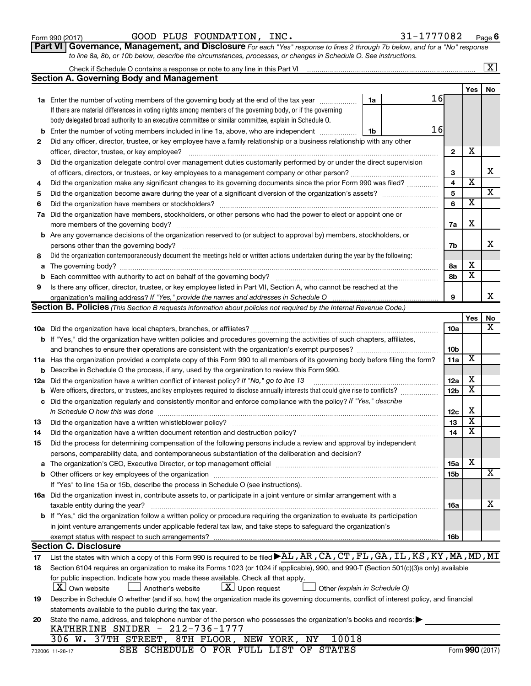| Form 990 (2017) |
|-----------------|
|-----------------|

Form 990 (2017) Page GOOD PLUS FOUNDATION, INC. 31-1777082

**Part VI** Governance, Management, and Disclosure For each "Yes" response to lines 2 through 7b below, and for a "No" response *to line 8a, 8b, or 10b below, describe the circumstances, processes, or changes in Schedule O. See instructions.*

|     |                                                                                                                                                                                                                  |                         |                         | $\mathbf{X}$            |
|-----|------------------------------------------------------------------------------------------------------------------------------------------------------------------------------------------------------------------|-------------------------|-------------------------|-------------------------|
|     | <b>Section A. Governing Body and Management</b>                                                                                                                                                                  |                         |                         |                         |
|     |                                                                                                                                                                                                                  |                         | Yes                     | No                      |
|     | 16<br><b>1a</b> Enter the number of voting members of the governing body at the end of the tax year<br>1a                                                                                                        |                         |                         |                         |
|     | If there are material differences in voting rights among members of the governing body, or if the governing                                                                                                      |                         |                         |                         |
|     | body delegated broad authority to an executive committee or similar committee, explain in Schedule O.                                                                                                            |                         |                         |                         |
| b   | 16<br>Enter the number of voting members included in line 1a, above, who are independent<br>1b                                                                                                                   |                         |                         |                         |
| 2   | Did any officer, director, trustee, or key employee have a family relationship or a business relationship with any other                                                                                         |                         |                         |                         |
|     | officer, director, trustee, or key employee?                                                                                                                                                                     | $\mathbf{2}$            | х                       |                         |
| 3   | Did the organization delegate control over management duties customarily performed by or under the direct supervision                                                                                            |                         |                         |                         |
|     |                                                                                                                                                                                                                  | З                       |                         | х                       |
| 4   | Did the organization make any significant changes to its governing documents since the prior Form 990 was filed?                                                                                                 | $\overline{\mathbf{4}}$ | $\overline{\textbf{x}}$ |                         |
| 5   |                                                                                                                                                                                                                  | 5                       |                         | $\overline{\textbf{X}}$ |
| 6   | Did the organization have members or stockholders?                                                                                                                                                               | 6                       | $\overline{\mathbf{x}}$ |                         |
| 7а  | Did the organization have members, stockholders, or other persons who had the power to elect or appoint one or                                                                                                   |                         |                         |                         |
|     |                                                                                                                                                                                                                  | 7a                      | X                       |                         |
|     | <b>b</b> Are any governance decisions of the organization reserved to (or subject to approval by) members, stockholders, or                                                                                      |                         |                         |                         |
|     | persons other than the governing body?                                                                                                                                                                           | 7b                      |                         | x                       |
| 8   | Did the organization contemporaneously document the meetings held or written actions undertaken during the year by the following:                                                                                |                         |                         |                         |
| a   |                                                                                                                                                                                                                  | 8а                      | х                       |                         |
| b   | Each committee with authority to act on behalf of the governing body?                                                                                                                                            | 8b                      | $\overline{\textbf{x}}$ |                         |
| 9   | Is there any officer, director, trustee, or key employee listed in Part VII, Section A, who cannot be reached at the                                                                                             |                         |                         |                         |
|     |                                                                                                                                                                                                                  | 9                       |                         | x                       |
|     | <b>Section B. Policies</b> (This Section B requests information about policies not required by the Internal Revenue Code.)                                                                                       |                         |                         |                         |
|     |                                                                                                                                                                                                                  |                         | Yes                     | No                      |
|     |                                                                                                                                                                                                                  | 10a                     |                         | х                       |
|     | <b>b</b> If "Yes," did the organization have written policies and procedures governing the activities of such chapters, affiliates,                                                                              |                         |                         |                         |
|     |                                                                                                                                                                                                                  | 10 <sub>b</sub>         |                         |                         |
|     | 11a Has the organization provided a complete copy of this Form 990 to all members of its governing body before filing the form?                                                                                  | 11a                     | X                       |                         |
| b   | Describe in Schedule O the process, if any, used by the organization to review this Form 990.                                                                                                                    |                         |                         |                         |
| 12a | Did the organization have a written conflict of interest policy? If "No," go to line 13                                                                                                                          | 12a                     | х                       |                         |
| b   | Were officers, directors, or trustees, and key employees required to disclose annually interests that could give rise to conflicts?                                                                              | 12 <sub>b</sub>         | $\overline{\textbf{x}}$ |                         |
| с   | Did the organization regularly and consistently monitor and enforce compliance with the policy? If "Yes," describe                                                                                               |                         |                         |                         |
|     | in Schedule O how this was done                                                                                                                                                                                  | 12c                     | х                       |                         |
| 13  | Did the organization have a written whistleblower policy?                                                                                                                                                        | 13                      | $\overline{\textbf{x}}$ |                         |
| 14  |                                                                                                                                                                                                                  | 14                      | $\overline{\mathbf{X}}$ |                         |
| 15  | Did the process for determining compensation of the following persons include a review and approval by independent                                                                                               |                         |                         |                         |
|     | persons, comparability data, and contemporaneous substantiation of the deliberation and decision?                                                                                                                |                         |                         |                         |
| a   | The organization's CEO, Executive Director, or top management official manufactured content of the organization's CEO, Executive Director, or top management official manufactured content of the organization's | 15a                     | х                       |                         |
|     |                                                                                                                                                                                                                  | 15b                     |                         | х                       |
|     | If "Yes" to line 15a or 15b, describe the process in Schedule O (see instructions).                                                                                                                              |                         |                         |                         |
|     | 16a Did the organization invest in, contribute assets to, or participate in a joint venture or similar arrangement with a                                                                                        |                         |                         |                         |
|     | taxable entity during the year?                                                                                                                                                                                  | 16a                     |                         | x                       |
|     | b If "Yes," did the organization follow a written policy or procedure requiring the organization to evaluate its participation                                                                                   |                         |                         |                         |
|     | in joint venture arrangements under applicable federal tax law, and take steps to safeguard the organization's                                                                                                   |                         |                         |                         |
|     | exempt status with respect to such arrangements?                                                                                                                                                                 | 16b                     |                         |                         |
|     | <b>Section C. Disclosure</b>                                                                                                                                                                                     |                         |                         |                         |
| 17  | List the states with which a copy of this Form 990 is required to be filed >AL, AR, CA, CT, FL, GA, IL, KS, KY, MA, MD, MI                                                                                       |                         |                         |                         |
| 18  | Section 6104 requires an organization to make its Forms 1023 (or 1024 if applicable), 990, and 990-T (Section 501(c)(3)s only) available                                                                         |                         |                         |                         |
|     | for public inspection. Indicate how you made these available. Check all that apply.                                                                                                                              |                         |                         |                         |
|     | $ \mathbf{X} $ Own website<br>$\lfloor x \rfloor$ Upon request<br>Another's website<br>Other (explain in Schedule O)                                                                                             |                         |                         |                         |
| 19  | Describe in Schedule O whether (and if so, how) the organization made its governing documents, conflict of interest policy, and financial                                                                        |                         |                         |                         |
|     | statements available to the public during the tax year.                                                                                                                                                          |                         |                         |                         |
| 20  | State the name, address, and telephone number of the person who possesses the organization's books and records:                                                                                                  |                         |                         |                         |
|     | KATHERINE SNIDER - 212-736-1777<br>10018                                                                                                                                                                         |                         |                         |                         |
|     | 306 W. 37TH STREET, 8TH FLOOR, NEW YORK, NY                                                                                                                                                                      |                         |                         |                         |

SEE SCHEDULE O FOR FULL LIST OF STATES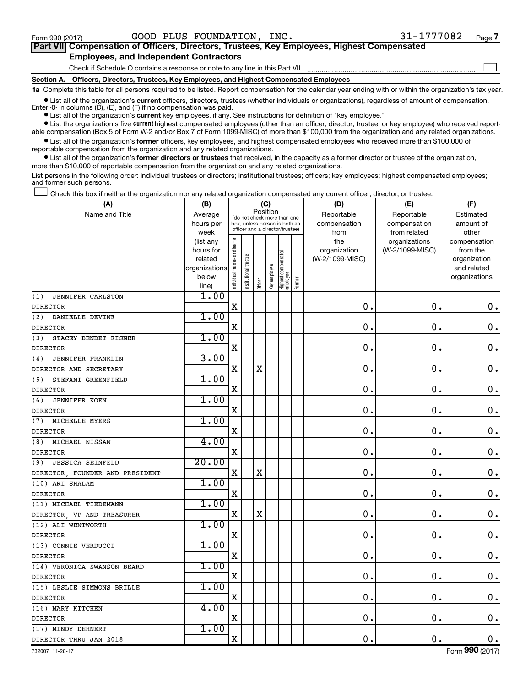$\Box$ 

| Part VII Compensation of Officers, Directors, Trustees, Key Employees, Highest Compensated |
|--------------------------------------------------------------------------------------------|
| <b>Employees, and Independent Contractors</b>                                              |

Check if Schedule O contains a response or note to any line in this Part VII

**Section A. Officers, Directors, Trustees, Key Employees, and Highest Compensated Employees**

**1a**  Complete this table for all persons required to be listed. Report compensation for the calendar year ending with or within the organization's tax year.

**•** List all of the organization's current officers, directors, trustees (whether individuals or organizations), regardless of amount of compensation. Enter -0- in columns  $(D)$ ,  $(E)$ , and  $(F)$  if no compensation was paid.

**•** List all of the organization's **current** key employees, if any. See instructions for definition of "key employee."

**•** List the organization's five current highest compensated employees (other than an officer, director, trustee, or key employee) who received reportable compensation (Box 5 of Form W-2 and/or Box 7 of Form 1099-MISC) of more than \$100,000 from the organization and any related organizations.

**•** List all of the organization's former officers, key employees, and highest compensated employees who received more than \$100,000 of reportable compensation from the organization and any related organizations.

**•** List all of the organization's former directors or trustees that received, in the capacity as a former director or trustee of the organization, more than \$10,000 of reportable compensation from the organization and any related organizations.

List persons in the following order: individual trustees or directors; institutional trustees; officers; key employees; highest compensated employees; and former such persons.

Check this box if neither the organization nor any related organization compensated any current officer, director, or trustee.  $\Box$ 

| Position<br>Name and Title<br>Reportable<br>Reportable<br>Estimated<br>Average<br>(do not check more than one<br>hours per<br>box, unless person is both an<br>compensation<br>compensation<br>amount of<br>officer and a director/trustee)<br>from related<br>other<br>week<br>from<br>Individual trustee or director<br>the<br>(list any<br>organizations<br>compensation<br>organization<br>(W-2/1099-MISC)<br>from the<br>hours for<br>Highest compensated<br>employee<br>Institutional trustee<br>(W-2/1099-MISC)<br>related<br>organization<br>Key employee<br>organizations<br>and related<br>below<br>organizations<br>Former<br>Officer<br>line)<br>1.00<br>(1)<br>JENNIFER CARLSTON<br>$\mathbf X$<br>$\mathbf 0$<br>$\mathbf 0$ .<br>$\mathbf 0$ .<br><b>DIRECTOR</b><br>1.00<br>(2)<br>DANIELLE DEVINE<br>X<br>0<br>$\mathbf 0$<br>$\mathbf 0$ .<br><b>DIRECTOR</b><br>1.00<br>STACEY BENDET EISNER<br>(3)<br>$\mathbf 0$<br>$\mathbf 0$ .<br>$\mathbf 0$ .<br>$\mathbf X$<br><b>DIRECTOR</b><br>3.00<br>JENNIFER FRANKLIN<br>(4)<br>$\mathbf X$<br>$\mathbf 0$<br>0.<br>$\mathbf 0$ .<br>X<br>DIRECTOR AND SECRETARY<br>1.00<br>STEFANI GREENFIELD<br>(5)<br>$\mathbf 0$<br>0.<br>$\mathbf 0$ .<br>$\mathbf X$<br><b>DIRECTOR</b><br>1.00<br>(6)<br><b>JENNIFER KOEN</b><br>$\mathbf X$<br>$\mathbf 0$<br>0.<br>$0$ .<br><b>DIRECTOR</b><br>1.00<br>(7) MICHELLE MYERS<br>$\mathbf X$<br>$\mathbf 0$<br>0.<br>$\mathbf 0$ .<br><b>DIRECTOR</b><br>4.00<br>(8)<br>MICHAEL NISSAN<br>$\mathbf X$<br>0.<br>0.<br>$\mathbf 0$ .<br>20.00<br><b>JESSICA SEINFELD</b><br>(9)<br>$\mathbf X$<br>$\mathbf X$<br>$\mathbf 0$<br>$\mathbf 0$ .<br>$\boldsymbol{0}$ .<br>DIRECTOR, FOUNDER AND PRESIDENT<br>1.00<br>(10) ARI SHALAM<br>$\mathbf X$<br>$\mathbf 0$<br>$\mathbf 0$ .<br>$\mathbf 0$ .<br><b>DIRECTOR</b><br>1.00<br>(11) MICHAEL TIEDEMANN<br>$\mathbf X$<br>$\mathbf X$<br>$\mathbf 0$<br>$\mathbf 0$ .<br>$\mathbf 0$ .<br>DIRECTOR, VP AND TREASURER<br>1.00<br>(12) ALI WENTWORTH<br>$\rm X$<br>$\mathbf 0$ .<br>$\mathbf 0$ .<br>$\mathbf 0$<br>1.00<br>(13) CONNIE VERDUCCI<br>X<br>$\mathbf 0$<br>$\mathbf 0$ .<br>$\boldsymbol{0}$ .<br><b>DIRECTOR</b><br>1.00<br>(14) VERONICA SWANSON BEARD<br>$\mathbf X$<br>0.<br>$\mathbf 0$<br>$\mathbf 0$ .<br><b>DIRECTOR</b><br>1.00<br>(15) LESLIE SIMMONS BRILLE<br>$\mathbf X$<br>0.<br>$\mathbf 0$<br>$\boldsymbol{0}$ .<br><b>DIRECTOR</b><br>4.00<br>(16) MARY KITCHEN<br>$\mathbf X$<br>0<br>$\mathbf 0$ .<br>$\mathbf 0$ .<br>1.00<br>(17) MINDY DEHNERT<br>$\mathbf X$<br>0.<br>$\mathbf 0$ .<br>$\mathbf 0$ .<br>DIRECTOR THRU JAN 2018 | (A)             | (B) |  | (C) |  | (D) | (E) | (F) |
|---------------------------------------------------------------------------------------------------------------------------------------------------------------------------------------------------------------------------------------------------------------------------------------------------------------------------------------------------------------------------------------------------------------------------------------------------------------------------------------------------------------------------------------------------------------------------------------------------------------------------------------------------------------------------------------------------------------------------------------------------------------------------------------------------------------------------------------------------------------------------------------------------------------------------------------------------------------------------------------------------------------------------------------------------------------------------------------------------------------------------------------------------------------------------------------------------------------------------------------------------------------------------------------------------------------------------------------------------------------------------------------------------------------------------------------------------------------------------------------------------------------------------------------------------------------------------------------------------------------------------------------------------------------------------------------------------------------------------------------------------------------------------------------------------------------------------------------------------------------------------------------------------------------------------------------------------------------------------------------------------------------------------------------------------------------------------------------------------------------------------------------------------------------------------------------------------------------------------------------------------------------------------------------------------------------------------------------------------------------------------------------------------------------------------------------------------------------------------------------------------------------------------------------------------------------------------------------------------------------------|-----------------|-----|--|-----|--|-----|-----|-----|
|                                                                                                                                                                                                                                                                                                                                                                                                                                                                                                                                                                                                                                                                                                                                                                                                                                                                                                                                                                                                                                                                                                                                                                                                                                                                                                                                                                                                                                                                                                                                                                                                                                                                                                                                                                                                                                                                                                                                                                                                                                                                                                                                                                                                                                                                                                                                                                                                                                                                                                                                                                                                                     |                 |     |  |     |  |     |     |     |
|                                                                                                                                                                                                                                                                                                                                                                                                                                                                                                                                                                                                                                                                                                                                                                                                                                                                                                                                                                                                                                                                                                                                                                                                                                                                                                                                                                                                                                                                                                                                                                                                                                                                                                                                                                                                                                                                                                                                                                                                                                                                                                                                                                                                                                                                                                                                                                                                                                                                                                                                                                                                                     |                 |     |  |     |  |     |     |     |
|                                                                                                                                                                                                                                                                                                                                                                                                                                                                                                                                                                                                                                                                                                                                                                                                                                                                                                                                                                                                                                                                                                                                                                                                                                                                                                                                                                                                                                                                                                                                                                                                                                                                                                                                                                                                                                                                                                                                                                                                                                                                                                                                                                                                                                                                                                                                                                                                                                                                                                                                                                                                                     |                 |     |  |     |  |     |     |     |
|                                                                                                                                                                                                                                                                                                                                                                                                                                                                                                                                                                                                                                                                                                                                                                                                                                                                                                                                                                                                                                                                                                                                                                                                                                                                                                                                                                                                                                                                                                                                                                                                                                                                                                                                                                                                                                                                                                                                                                                                                                                                                                                                                                                                                                                                                                                                                                                                                                                                                                                                                                                                                     |                 |     |  |     |  |     |     |     |
|                                                                                                                                                                                                                                                                                                                                                                                                                                                                                                                                                                                                                                                                                                                                                                                                                                                                                                                                                                                                                                                                                                                                                                                                                                                                                                                                                                                                                                                                                                                                                                                                                                                                                                                                                                                                                                                                                                                                                                                                                                                                                                                                                                                                                                                                                                                                                                                                                                                                                                                                                                                                                     |                 |     |  |     |  |     |     |     |
|                                                                                                                                                                                                                                                                                                                                                                                                                                                                                                                                                                                                                                                                                                                                                                                                                                                                                                                                                                                                                                                                                                                                                                                                                                                                                                                                                                                                                                                                                                                                                                                                                                                                                                                                                                                                                                                                                                                                                                                                                                                                                                                                                                                                                                                                                                                                                                                                                                                                                                                                                                                                                     |                 |     |  |     |  |     |     |     |
|                                                                                                                                                                                                                                                                                                                                                                                                                                                                                                                                                                                                                                                                                                                                                                                                                                                                                                                                                                                                                                                                                                                                                                                                                                                                                                                                                                                                                                                                                                                                                                                                                                                                                                                                                                                                                                                                                                                                                                                                                                                                                                                                                                                                                                                                                                                                                                                                                                                                                                                                                                                                                     |                 |     |  |     |  |     |     |     |
|                                                                                                                                                                                                                                                                                                                                                                                                                                                                                                                                                                                                                                                                                                                                                                                                                                                                                                                                                                                                                                                                                                                                                                                                                                                                                                                                                                                                                                                                                                                                                                                                                                                                                                                                                                                                                                                                                                                                                                                                                                                                                                                                                                                                                                                                                                                                                                                                                                                                                                                                                                                                                     |                 |     |  |     |  |     |     |     |
|                                                                                                                                                                                                                                                                                                                                                                                                                                                                                                                                                                                                                                                                                                                                                                                                                                                                                                                                                                                                                                                                                                                                                                                                                                                                                                                                                                                                                                                                                                                                                                                                                                                                                                                                                                                                                                                                                                                                                                                                                                                                                                                                                                                                                                                                                                                                                                                                                                                                                                                                                                                                                     |                 |     |  |     |  |     |     |     |
|                                                                                                                                                                                                                                                                                                                                                                                                                                                                                                                                                                                                                                                                                                                                                                                                                                                                                                                                                                                                                                                                                                                                                                                                                                                                                                                                                                                                                                                                                                                                                                                                                                                                                                                                                                                                                                                                                                                                                                                                                                                                                                                                                                                                                                                                                                                                                                                                                                                                                                                                                                                                                     |                 |     |  |     |  |     |     |     |
|                                                                                                                                                                                                                                                                                                                                                                                                                                                                                                                                                                                                                                                                                                                                                                                                                                                                                                                                                                                                                                                                                                                                                                                                                                                                                                                                                                                                                                                                                                                                                                                                                                                                                                                                                                                                                                                                                                                                                                                                                                                                                                                                                                                                                                                                                                                                                                                                                                                                                                                                                                                                                     |                 |     |  |     |  |     |     |     |
|                                                                                                                                                                                                                                                                                                                                                                                                                                                                                                                                                                                                                                                                                                                                                                                                                                                                                                                                                                                                                                                                                                                                                                                                                                                                                                                                                                                                                                                                                                                                                                                                                                                                                                                                                                                                                                                                                                                                                                                                                                                                                                                                                                                                                                                                                                                                                                                                                                                                                                                                                                                                                     |                 |     |  |     |  |     |     |     |
|                                                                                                                                                                                                                                                                                                                                                                                                                                                                                                                                                                                                                                                                                                                                                                                                                                                                                                                                                                                                                                                                                                                                                                                                                                                                                                                                                                                                                                                                                                                                                                                                                                                                                                                                                                                                                                                                                                                                                                                                                                                                                                                                                                                                                                                                                                                                                                                                                                                                                                                                                                                                                     |                 |     |  |     |  |     |     |     |
|                                                                                                                                                                                                                                                                                                                                                                                                                                                                                                                                                                                                                                                                                                                                                                                                                                                                                                                                                                                                                                                                                                                                                                                                                                                                                                                                                                                                                                                                                                                                                                                                                                                                                                                                                                                                                                                                                                                                                                                                                                                                                                                                                                                                                                                                                                                                                                                                                                                                                                                                                                                                                     |                 |     |  |     |  |     |     |     |
|                                                                                                                                                                                                                                                                                                                                                                                                                                                                                                                                                                                                                                                                                                                                                                                                                                                                                                                                                                                                                                                                                                                                                                                                                                                                                                                                                                                                                                                                                                                                                                                                                                                                                                                                                                                                                                                                                                                                                                                                                                                                                                                                                                                                                                                                                                                                                                                                                                                                                                                                                                                                                     |                 |     |  |     |  |     |     |     |
|                                                                                                                                                                                                                                                                                                                                                                                                                                                                                                                                                                                                                                                                                                                                                                                                                                                                                                                                                                                                                                                                                                                                                                                                                                                                                                                                                                                                                                                                                                                                                                                                                                                                                                                                                                                                                                                                                                                                                                                                                                                                                                                                                                                                                                                                                                                                                                                                                                                                                                                                                                                                                     |                 |     |  |     |  |     |     |     |
|                                                                                                                                                                                                                                                                                                                                                                                                                                                                                                                                                                                                                                                                                                                                                                                                                                                                                                                                                                                                                                                                                                                                                                                                                                                                                                                                                                                                                                                                                                                                                                                                                                                                                                                                                                                                                                                                                                                                                                                                                                                                                                                                                                                                                                                                                                                                                                                                                                                                                                                                                                                                                     |                 |     |  |     |  |     |     |     |
|                                                                                                                                                                                                                                                                                                                                                                                                                                                                                                                                                                                                                                                                                                                                                                                                                                                                                                                                                                                                                                                                                                                                                                                                                                                                                                                                                                                                                                                                                                                                                                                                                                                                                                                                                                                                                                                                                                                                                                                                                                                                                                                                                                                                                                                                                                                                                                                                                                                                                                                                                                                                                     |                 |     |  |     |  |     |     |     |
|                                                                                                                                                                                                                                                                                                                                                                                                                                                                                                                                                                                                                                                                                                                                                                                                                                                                                                                                                                                                                                                                                                                                                                                                                                                                                                                                                                                                                                                                                                                                                                                                                                                                                                                                                                                                                                                                                                                                                                                                                                                                                                                                                                                                                                                                                                                                                                                                                                                                                                                                                                                                                     |                 |     |  |     |  |     |     |     |
|                                                                                                                                                                                                                                                                                                                                                                                                                                                                                                                                                                                                                                                                                                                                                                                                                                                                                                                                                                                                                                                                                                                                                                                                                                                                                                                                                                                                                                                                                                                                                                                                                                                                                                                                                                                                                                                                                                                                                                                                                                                                                                                                                                                                                                                                                                                                                                                                                                                                                                                                                                                                                     |                 |     |  |     |  |     |     |     |
|                                                                                                                                                                                                                                                                                                                                                                                                                                                                                                                                                                                                                                                                                                                                                                                                                                                                                                                                                                                                                                                                                                                                                                                                                                                                                                                                                                                                                                                                                                                                                                                                                                                                                                                                                                                                                                                                                                                                                                                                                                                                                                                                                                                                                                                                                                                                                                                                                                                                                                                                                                                                                     |                 |     |  |     |  |     |     |     |
|                                                                                                                                                                                                                                                                                                                                                                                                                                                                                                                                                                                                                                                                                                                                                                                                                                                                                                                                                                                                                                                                                                                                                                                                                                                                                                                                                                                                                                                                                                                                                                                                                                                                                                                                                                                                                                                                                                                                                                                                                                                                                                                                                                                                                                                                                                                                                                                                                                                                                                                                                                                                                     |                 |     |  |     |  |     |     |     |
|                                                                                                                                                                                                                                                                                                                                                                                                                                                                                                                                                                                                                                                                                                                                                                                                                                                                                                                                                                                                                                                                                                                                                                                                                                                                                                                                                                                                                                                                                                                                                                                                                                                                                                                                                                                                                                                                                                                                                                                                                                                                                                                                                                                                                                                                                                                                                                                                                                                                                                                                                                                                                     |                 |     |  |     |  |     |     |     |
|                                                                                                                                                                                                                                                                                                                                                                                                                                                                                                                                                                                                                                                                                                                                                                                                                                                                                                                                                                                                                                                                                                                                                                                                                                                                                                                                                                                                                                                                                                                                                                                                                                                                                                                                                                                                                                                                                                                                                                                                                                                                                                                                                                                                                                                                                                                                                                                                                                                                                                                                                                                                                     | <b>DIRECTOR</b> |     |  |     |  |     |     |     |
|                                                                                                                                                                                                                                                                                                                                                                                                                                                                                                                                                                                                                                                                                                                                                                                                                                                                                                                                                                                                                                                                                                                                                                                                                                                                                                                                                                                                                                                                                                                                                                                                                                                                                                                                                                                                                                                                                                                                                                                                                                                                                                                                                                                                                                                                                                                                                                                                                                                                                                                                                                                                                     |                 |     |  |     |  |     |     |     |
|                                                                                                                                                                                                                                                                                                                                                                                                                                                                                                                                                                                                                                                                                                                                                                                                                                                                                                                                                                                                                                                                                                                                                                                                                                                                                                                                                                                                                                                                                                                                                                                                                                                                                                                                                                                                                                                                                                                                                                                                                                                                                                                                                                                                                                                                                                                                                                                                                                                                                                                                                                                                                     |                 |     |  |     |  |     |     |     |
|                                                                                                                                                                                                                                                                                                                                                                                                                                                                                                                                                                                                                                                                                                                                                                                                                                                                                                                                                                                                                                                                                                                                                                                                                                                                                                                                                                                                                                                                                                                                                                                                                                                                                                                                                                                                                                                                                                                                                                                                                                                                                                                                                                                                                                                                                                                                                                                                                                                                                                                                                                                                                     |                 |     |  |     |  |     |     |     |
|                                                                                                                                                                                                                                                                                                                                                                                                                                                                                                                                                                                                                                                                                                                                                                                                                                                                                                                                                                                                                                                                                                                                                                                                                                                                                                                                                                                                                                                                                                                                                                                                                                                                                                                                                                                                                                                                                                                                                                                                                                                                                                                                                                                                                                                                                                                                                                                                                                                                                                                                                                                                                     |                 |     |  |     |  |     |     |     |
|                                                                                                                                                                                                                                                                                                                                                                                                                                                                                                                                                                                                                                                                                                                                                                                                                                                                                                                                                                                                                                                                                                                                                                                                                                                                                                                                                                                                                                                                                                                                                                                                                                                                                                                                                                                                                                                                                                                                                                                                                                                                                                                                                                                                                                                                                                                                                                                                                                                                                                                                                                                                                     |                 |     |  |     |  |     |     |     |
|                                                                                                                                                                                                                                                                                                                                                                                                                                                                                                                                                                                                                                                                                                                                                                                                                                                                                                                                                                                                                                                                                                                                                                                                                                                                                                                                                                                                                                                                                                                                                                                                                                                                                                                                                                                                                                                                                                                                                                                                                                                                                                                                                                                                                                                                                                                                                                                                                                                                                                                                                                                                                     |                 |     |  |     |  |     |     |     |
|                                                                                                                                                                                                                                                                                                                                                                                                                                                                                                                                                                                                                                                                                                                                                                                                                                                                                                                                                                                                                                                                                                                                                                                                                                                                                                                                                                                                                                                                                                                                                                                                                                                                                                                                                                                                                                                                                                                                                                                                                                                                                                                                                                                                                                                                                                                                                                                                                                                                                                                                                                                                                     |                 |     |  |     |  |     |     |     |
|                                                                                                                                                                                                                                                                                                                                                                                                                                                                                                                                                                                                                                                                                                                                                                                                                                                                                                                                                                                                                                                                                                                                                                                                                                                                                                                                                                                                                                                                                                                                                                                                                                                                                                                                                                                                                                                                                                                                                                                                                                                                                                                                                                                                                                                                                                                                                                                                                                                                                                                                                                                                                     | <b>DIRECTOR</b> |     |  |     |  |     |     |     |
|                                                                                                                                                                                                                                                                                                                                                                                                                                                                                                                                                                                                                                                                                                                                                                                                                                                                                                                                                                                                                                                                                                                                                                                                                                                                                                                                                                                                                                                                                                                                                                                                                                                                                                                                                                                                                                                                                                                                                                                                                                                                                                                                                                                                                                                                                                                                                                                                                                                                                                                                                                                                                     |                 |     |  |     |  |     |     |     |
|                                                                                                                                                                                                                                                                                                                                                                                                                                                                                                                                                                                                                                                                                                                                                                                                                                                                                                                                                                                                                                                                                                                                                                                                                                                                                                                                                                                                                                                                                                                                                                                                                                                                                                                                                                                                                                                                                                                                                                                                                                                                                                                                                                                                                                                                                                                                                                                                                                                                                                                                                                                                                     |                 |     |  |     |  |     |     |     |
|                                                                                                                                                                                                                                                                                                                                                                                                                                                                                                                                                                                                                                                                                                                                                                                                                                                                                                                                                                                                                                                                                                                                                                                                                                                                                                                                                                                                                                                                                                                                                                                                                                                                                                                                                                                                                                                                                                                                                                                                                                                                                                                                                                                                                                                                                                                                                                                                                                                                                                                                                                                                                     |                 |     |  |     |  |     |     |     |
|                                                                                                                                                                                                                                                                                                                                                                                                                                                                                                                                                                                                                                                                                                                                                                                                                                                                                                                                                                                                                                                                                                                                                                                                                                                                                                                                                                                                                                                                                                                                                                                                                                                                                                                                                                                                                                                                                                                                                                                                                                                                                                                                                                                                                                                                                                                                                                                                                                                                                                                                                                                                                     |                 |     |  |     |  |     |     |     |
|                                                                                                                                                                                                                                                                                                                                                                                                                                                                                                                                                                                                                                                                                                                                                                                                                                                                                                                                                                                                                                                                                                                                                                                                                                                                                                                                                                                                                                                                                                                                                                                                                                                                                                                                                                                                                                                                                                                                                                                                                                                                                                                                                                                                                                                                                                                                                                                                                                                                                                                                                                                                                     |                 |     |  |     |  |     |     |     |
|                                                                                                                                                                                                                                                                                                                                                                                                                                                                                                                                                                                                                                                                                                                                                                                                                                                                                                                                                                                                                                                                                                                                                                                                                                                                                                                                                                                                                                                                                                                                                                                                                                                                                                                                                                                                                                                                                                                                                                                                                                                                                                                                                                                                                                                                                                                                                                                                                                                                                                                                                                                                                     |                 |     |  |     |  |     |     |     |
|                                                                                                                                                                                                                                                                                                                                                                                                                                                                                                                                                                                                                                                                                                                                                                                                                                                                                                                                                                                                                                                                                                                                                                                                                                                                                                                                                                                                                                                                                                                                                                                                                                                                                                                                                                                                                                                                                                                                                                                                                                                                                                                                                                                                                                                                                                                                                                                                                                                                                                                                                                                                                     |                 |     |  |     |  |     |     |     |
|                                                                                                                                                                                                                                                                                                                                                                                                                                                                                                                                                                                                                                                                                                                                                                                                                                                                                                                                                                                                                                                                                                                                                                                                                                                                                                                                                                                                                                                                                                                                                                                                                                                                                                                                                                                                                                                                                                                                                                                                                                                                                                                                                                                                                                                                                                                                                                                                                                                                                                                                                                                                                     | <b>DIRECTOR</b> |     |  |     |  |     |     |     |
|                                                                                                                                                                                                                                                                                                                                                                                                                                                                                                                                                                                                                                                                                                                                                                                                                                                                                                                                                                                                                                                                                                                                                                                                                                                                                                                                                                                                                                                                                                                                                                                                                                                                                                                                                                                                                                                                                                                                                                                                                                                                                                                                                                                                                                                                                                                                                                                                                                                                                                                                                                                                                     |                 |     |  |     |  |     |     |     |
|                                                                                                                                                                                                                                                                                                                                                                                                                                                                                                                                                                                                                                                                                                                                                                                                                                                                                                                                                                                                                                                                                                                                                                                                                                                                                                                                                                                                                                                                                                                                                                                                                                                                                                                                                                                                                                                                                                                                                                                                                                                                                                                                                                                                                                                                                                                                                                                                                                                                                                                                                                                                                     |                 |     |  |     |  |     |     |     |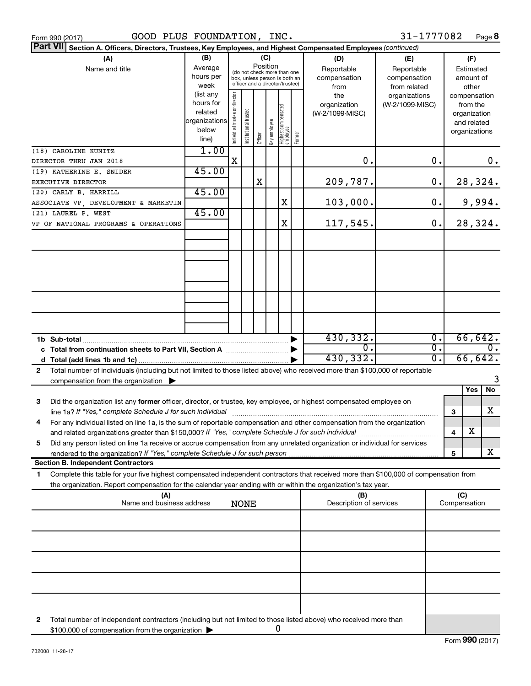| <b>Part VII</b><br>Section A. Officers, Directors, Trustees, Key Employees, and Highest Compensated Employees (continued)<br>(B)<br>(C)<br>(A)<br>(D)<br>(E)<br>Position<br>Average<br>Reportable<br>Name and title<br>Reportable<br>(do not check more than one<br>hours per<br>compensation<br>compensation<br>box, unless person is both an<br>officer and a director/trustee)<br>week<br>from related<br>from<br>(list any<br>Individual trustee or director<br>the<br>organizations<br>hours for<br>(W-2/1099-MISC)<br>organization<br>  Highest compensated<br>  employee<br>Institutional trustee<br>related<br>(W-2/1099-MISC)<br>organizations<br>below | (F)<br>Estimated<br>amount of<br>other<br>compensation<br>from the<br>organization<br>and related<br>organizations |
|------------------------------------------------------------------------------------------------------------------------------------------------------------------------------------------------------------------------------------------------------------------------------------------------------------------------------------------------------------------------------------------------------------------------------------------------------------------------------------------------------------------------------------------------------------------------------------------------------------------------------------------------------------------|--------------------------------------------------------------------------------------------------------------------|
|                                                                                                                                                                                                                                                                                                                                                                                                                                                                                                                                                                                                                                                                  |                                                                                                                    |
|                                                                                                                                                                                                                                                                                                                                                                                                                                                                                                                                                                                                                                                                  |                                                                                                                    |
| Key employee<br>Former<br>Officer<br>line)                                                                                                                                                                                                                                                                                                                                                                                                                                                                                                                                                                                                                       |                                                                                                                    |
| 1.00<br>(18) CAROLINE KUNITZ<br>$\mathbf X$<br>0.<br>О.<br>DIRECTOR THRU JAN 2018                                                                                                                                                                                                                                                                                                                                                                                                                                                                                                                                                                                | $0$ .                                                                                                              |
| 45.00<br>(19) KATHERINE E. SNIDER<br>X<br>О.                                                                                                                                                                                                                                                                                                                                                                                                                                                                                                                                                                                                                     |                                                                                                                    |
| 209,787.<br>EXECUTIVE DIRECTOR<br>45.00<br>(20) CARLY B. HARRILL                                                                                                                                                                                                                                                                                                                                                                                                                                                                                                                                                                                                 | 28,324.                                                                                                            |
| 103,000.<br>X<br>О.<br>ASSOCIATE VP, DEVELOPMENT & MARKETIN<br>45.00                                                                                                                                                                                                                                                                                                                                                                                                                                                                                                                                                                                             | 9,994.                                                                                                             |
| (21) LAUREL P. WEST<br>117,545.<br>X<br>О.<br>VP OF NATIONAL PROGRAMS & OPERATIONS                                                                                                                                                                                                                                                                                                                                                                                                                                                                                                                                                                               | 28,324.                                                                                                            |
|                                                                                                                                                                                                                                                                                                                                                                                                                                                                                                                                                                                                                                                                  |                                                                                                                    |
|                                                                                                                                                                                                                                                                                                                                                                                                                                                                                                                                                                                                                                                                  |                                                                                                                    |
|                                                                                                                                                                                                                                                                                                                                                                                                                                                                                                                                                                                                                                                                  |                                                                                                                    |
|                                                                                                                                                                                                                                                                                                                                                                                                                                                                                                                                                                                                                                                                  |                                                                                                                    |
|                                                                                                                                                                                                                                                                                                                                                                                                                                                                                                                                                                                                                                                                  |                                                                                                                    |
| 430, 332.<br>$\overline{0}$ .<br>1b Sub-total<br>σ.<br>0.                                                                                                                                                                                                                                                                                                                                                                                                                                                                                                                                                                                                        | 66,642.<br>σ.                                                                                                      |
| c Total from continuation sheets to Part VII, Section A [111] [120] [20]<br>430, 332.<br>σ.                                                                                                                                                                                                                                                                                                                                                                                                                                                                                                                                                                      | 66,642.                                                                                                            |
| Total number of individuals (including but not limited to those listed above) who received more than \$100,000 of reportable<br>$\mathbf{2}$<br>compensation from the organization $\blacktriangleright$                                                                                                                                                                                                                                                                                                                                                                                                                                                         | 3                                                                                                                  |
|                                                                                                                                                                                                                                                                                                                                                                                                                                                                                                                                                                                                                                                                  | Yes<br>No                                                                                                          |
| Did the organization list any former officer, director, or trustee, key employee, or highest compensated employee on<br>3<br>line 1a? If "Yes," complete Schedule J for such individual<br>3                                                                                                                                                                                                                                                                                                                                                                                                                                                                     | x                                                                                                                  |
| For any individual listed on line 1a, is the sum of reportable compensation and other compensation from the organization<br>4                                                                                                                                                                                                                                                                                                                                                                                                                                                                                                                                    | х                                                                                                                  |
| and related organizations greater than \$150,000? If "Yes," complete Schedule J for such individual<br>4<br>Did any person listed on line 1a receive or accrue compensation from any unrelated organization or individual for services<br>5                                                                                                                                                                                                                                                                                                                                                                                                                      |                                                                                                                    |
| 5<br><b>Section B. Independent Contractors</b>                                                                                                                                                                                                                                                                                                                                                                                                                                                                                                                                                                                                                   | x                                                                                                                  |
| Complete this table for your five highest compensated independent contractors that received more than \$100,000 of compensation from<br>1                                                                                                                                                                                                                                                                                                                                                                                                                                                                                                                        |                                                                                                                    |
| the organization. Report compensation for the calendar year ending with or within the organization's tax year.<br>(C)<br>(A)<br>(B)                                                                                                                                                                                                                                                                                                                                                                                                                                                                                                                              |                                                                                                                    |
| Name and business address<br>Description of services<br>Compensation<br><b>NONE</b>                                                                                                                                                                                                                                                                                                                                                                                                                                                                                                                                                                              |                                                                                                                    |
|                                                                                                                                                                                                                                                                                                                                                                                                                                                                                                                                                                                                                                                                  |                                                                                                                    |
|                                                                                                                                                                                                                                                                                                                                                                                                                                                                                                                                                                                                                                                                  |                                                                                                                    |
|                                                                                                                                                                                                                                                                                                                                                                                                                                                                                                                                                                                                                                                                  |                                                                                                                    |
|                                                                                                                                                                                                                                                                                                                                                                                                                                                                                                                                                                                                                                                                  |                                                                                                                    |
| Total number of independent contractors (including but not limited to those listed above) who received more than<br>2<br>0<br>\$100,000 of compensation from the organization                                                                                                                                                                                                                                                                                                                                                                                                                                                                                    |                                                                                                                    |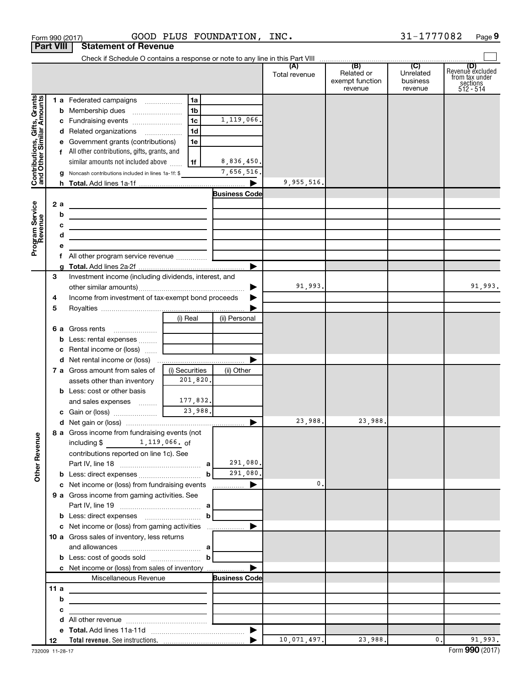|                                                           | <b>Part VIII</b><br><b>Statement of Revenue</b> |                                                                                                                           |                |                        |               |                                          |                                  |                                                                    |
|-----------------------------------------------------------|-------------------------------------------------|---------------------------------------------------------------------------------------------------------------------------|----------------|------------------------|---------------|------------------------------------------|----------------------------------|--------------------------------------------------------------------|
|                                                           |                                                 |                                                                                                                           |                |                        |               |                                          |                                  |                                                                    |
|                                                           |                                                 |                                                                                                                           |                |                        | Total revenue | Related or<br>exempt function<br>revenue | Unrelated<br>business<br>revenue | (D)<br>Revenue excluded<br>from tax under<br>sections<br>512 - 514 |
|                                                           |                                                 | 1 a Federated campaigns                                                                                                   | 1a             |                        |               |                                          |                                  |                                                                    |
| Contributions, Gifts, Grants<br>and Other Similar Amounts |                                                 |                                                                                                                           | 1 <sub>b</sub> |                        |               |                                          |                                  |                                                                    |
|                                                           |                                                 | c Fundraising events                                                                                                      | 1 <sub>c</sub> | 1,119,066.             |               |                                          |                                  |                                                                    |
|                                                           |                                                 | d Related organizations                                                                                                   | 1 <sub>d</sub> |                        |               |                                          |                                  |                                                                    |
|                                                           |                                                 | e Government grants (contributions)                                                                                       | 1e             |                        |               |                                          |                                  |                                                                    |
|                                                           |                                                 | f All other contributions, gifts, grants, and                                                                             |                |                        |               |                                          |                                  |                                                                    |
|                                                           |                                                 | similar amounts not included above                                                                                        | 1f             | 8,836,450.             |               |                                          |                                  |                                                                    |
|                                                           |                                                 | Noncash contributions included in lines 1a-1f: \$                                                                         |                | 7,656,516              |               |                                          |                                  |                                                                    |
|                                                           |                                                 |                                                                                                                           |                | ▶                      | 9,955,516.    |                                          |                                  |                                                                    |
|                                                           |                                                 |                                                                                                                           |                | <b>Business Code</b>   |               |                                          |                                  |                                                                    |
| Program Service<br>Revenue                                | 2 a                                             |                                                                                                                           |                |                        |               |                                          |                                  |                                                                    |
|                                                           |                                                 | b                                                                                                                         |                |                        |               |                                          |                                  |                                                                    |
|                                                           |                                                 | the control of the control of the control of the control of the control of                                                |                |                        |               |                                          |                                  |                                                                    |
|                                                           |                                                 | the control of the control of the control of the control of the control of                                                |                |                        |               |                                          |                                  |                                                                    |
|                                                           |                                                 |                                                                                                                           |                |                        |               |                                          |                                  |                                                                    |
|                                                           |                                                 |                                                                                                                           |                | ▶                      |               |                                          |                                  |                                                                    |
|                                                           | 3                                               | Investment income (including dividends, interest, and                                                                     |                |                        |               |                                          |                                  |                                                                    |
|                                                           |                                                 |                                                                                                                           |                | ▶                      | 91,993.       |                                          |                                  | 91,993.                                                            |
|                                                           | 4                                               | Income from investment of tax-exempt bond proceeds                                                                        |                |                        |               |                                          |                                  |                                                                    |
|                                                           | 5                                               |                                                                                                                           |                |                        |               |                                          |                                  |                                                                    |
|                                                           |                                                 |                                                                                                                           | (i) Real       | (ii) Personal          |               |                                          |                                  |                                                                    |
|                                                           |                                                 | Gross rents<br>6а                                                                                                         |                |                        |               |                                          |                                  |                                                                    |
|                                                           |                                                 | <b>b</b> Less: rental expenses                                                                                            |                |                        |               |                                          |                                  |                                                                    |
|                                                           |                                                 | c Rental income or (loss)                                                                                                 |                |                        |               |                                          |                                  |                                                                    |
|                                                           |                                                 |                                                                                                                           |                | ▶                      |               |                                          |                                  |                                                                    |
|                                                           |                                                 | 7 a Gross amount from sales of                                                                                            | (i) Securities | (ii) Other             |               |                                          |                                  |                                                                    |
|                                                           |                                                 | assets other than inventory                                                                                               | 201,820.       |                        |               |                                          |                                  |                                                                    |
|                                                           |                                                 | <b>b</b> Less: cost or other basis                                                                                        |                |                        |               |                                          |                                  |                                                                    |
|                                                           |                                                 | and sales expenses                                                                                                        | 177,832.       |                        |               |                                          |                                  |                                                                    |
|                                                           |                                                 | c Gain or (loss) 23,988.                                                                                                  |                |                        |               |                                          |                                  |                                                                    |
|                                                           |                                                 | 8 a Gross income from fundraising events (not<br>$1,119,066.$ of<br>including $$$                                         |                | ▶                      | 23,988.       | 23,988                                   |                                  |                                                                    |
|                                                           |                                                 |                                                                                                                           |                |                        |               |                                          |                                  |                                                                    |
|                                                           |                                                 |                                                                                                                           |                |                        |               |                                          |                                  |                                                                    |
| <b>Other Revenue</b>                                      |                                                 | contributions reported on line 1c). See                                                                                   |                | 291,080.               |               |                                          |                                  |                                                                    |
|                                                           |                                                 |                                                                                                                           | b              | 291,080.               |               |                                          |                                  |                                                                    |
|                                                           |                                                 | c Net income or (loss) from fundraising events                                                                            |                | ▶                      | 0.            |                                          |                                  |                                                                    |
|                                                           |                                                 | 9 a Gross income from gaming activities. See                                                                              |                | $\ldots \ldots \ldots$ |               |                                          |                                  |                                                                    |
|                                                           |                                                 |                                                                                                                           |                |                        |               |                                          |                                  |                                                                    |
|                                                           |                                                 |                                                                                                                           | b              |                        |               |                                          |                                  |                                                                    |
|                                                           |                                                 | c Net income or (loss) from gaming activities                                                                             |                | ▶                      |               |                                          |                                  |                                                                    |
|                                                           |                                                 | 10 a Gross sales of inventory, less returns                                                                               |                |                        |               |                                          |                                  |                                                                    |
|                                                           |                                                 | $\mathbf{b}$                                                                                                              |                |                        |               |                                          |                                  |                                                                    |
|                                                           |                                                 |                                                                                                                           |                |                        |               |                                          |                                  |                                                                    |
|                                                           |                                                 | c Net income or (loss) from sales of inventory                                                                            |                | ▶                      |               |                                          |                                  |                                                                    |
|                                                           |                                                 | Miscellaneous Revenue                                                                                                     |                | <b>Business Code</b>   |               |                                          |                                  |                                                                    |
|                                                           | 11a                                             |                                                                                                                           |                |                        |               |                                          |                                  |                                                                    |
|                                                           |                                                 | b                                                                                                                         |                |                        |               |                                          |                                  |                                                                    |
|                                                           |                                                 | с<br><u> 1980 - Johann John Stein, markin fan it ferstjer fan it ferstjer fan it ferstjer fan it ferstjer fan it fers</u> |                |                        |               |                                          |                                  |                                                                    |
|                                                           |                                                 | d                                                                                                                         |                |                        |               |                                          |                                  |                                                                    |
|                                                           |                                                 |                                                                                                                           |                | $\blacktriangleright$  |               |                                          |                                  |                                                                    |
|                                                           | 12                                              |                                                                                                                           |                |                        | 10,071,497.   | 23,988.                                  | $\mathbf{0}$ .                   | 91,993.                                                            |

Form 990 (2017) Page GOOD PLUS FOUNDATION, INC. 31-1777082

**9**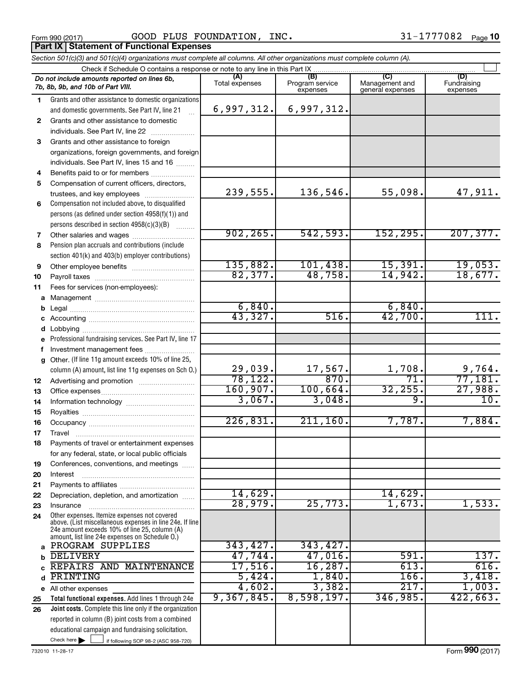**Part IX Statement of Functional Expenses** 

Form 990 (2017) Page GOOD PLUS FOUNDATION, INC. 31-1777082

| Section 501(c)(3) and 501(c)(4) organizations must complete all columns. All other organizations must complete column (A). |                                                                                                                                                                                                             |                       |                                    |                                           |                                |  |  |  |
|----------------------------------------------------------------------------------------------------------------------------|-------------------------------------------------------------------------------------------------------------------------------------------------------------------------------------------------------------|-----------------------|------------------------------------|-------------------------------------------|--------------------------------|--|--|--|
|                                                                                                                            | Check if Schedule O contains a response or note to any line in this Part IX.                                                                                                                                |                       |                                    |                                           |                                |  |  |  |
|                                                                                                                            | Do not include amounts reported on lines 6b,<br>7b, 8b, 9b, and 10b of Part VIII.                                                                                                                           | (A)<br>Total expenses | (B)<br>Program service<br>expenses | (C)<br>Management and<br>general expenses | (D)<br>Fundraising<br>expenses |  |  |  |
| 1                                                                                                                          | Grants and other assistance to domestic organizations                                                                                                                                                       |                       |                                    |                                           |                                |  |  |  |
|                                                                                                                            | and domestic governments. See Part IV, line 21                                                                                                                                                              | 6,997,312.            | 6,997,312.                         |                                           |                                |  |  |  |
| 2                                                                                                                          | Grants and other assistance to domestic                                                                                                                                                                     |                       |                                    |                                           |                                |  |  |  |
|                                                                                                                            | individuals. See Part IV, line 22                                                                                                                                                                           |                       |                                    |                                           |                                |  |  |  |
| 3                                                                                                                          | Grants and other assistance to foreign                                                                                                                                                                      |                       |                                    |                                           |                                |  |  |  |
|                                                                                                                            | organizations, foreign governments, and foreign                                                                                                                                                             |                       |                                    |                                           |                                |  |  |  |
|                                                                                                                            | individuals. See Part IV, lines 15 and 16                                                                                                                                                                   |                       |                                    |                                           |                                |  |  |  |
| 4                                                                                                                          | Benefits paid to or for members                                                                                                                                                                             |                       |                                    |                                           |                                |  |  |  |
| 5                                                                                                                          | Compensation of current officers, directors,                                                                                                                                                                |                       |                                    |                                           |                                |  |  |  |
|                                                                                                                            | trustees, and key employees                                                                                                                                                                                 | 239,555.              | 136,546.                           | 55,098.                                   | 47,911.                        |  |  |  |
| 6                                                                                                                          | Compensation not included above, to disqualified                                                                                                                                                            |                       |                                    |                                           |                                |  |  |  |
|                                                                                                                            | persons (as defined under section 4958(f)(1)) and                                                                                                                                                           |                       |                                    |                                           |                                |  |  |  |
|                                                                                                                            | persons described in section 4958(c)(3)(B)                                                                                                                                                                  |                       |                                    |                                           |                                |  |  |  |
| 7                                                                                                                          | Other salaries and wages                                                                                                                                                                                    | 902, 265.             | 542,593.                           | 152,295.                                  | 207, 377.                      |  |  |  |
| 8                                                                                                                          | Pension plan accruals and contributions (include                                                                                                                                                            |                       |                                    |                                           |                                |  |  |  |
|                                                                                                                            | section 401(k) and 403(b) employer contributions)                                                                                                                                                           |                       |                                    |                                           |                                |  |  |  |
| 9                                                                                                                          |                                                                                                                                                                                                             | 135,882.              | 101,438.                           | 15,391.                                   | 19,053.                        |  |  |  |
| 10                                                                                                                         |                                                                                                                                                                                                             | 82,377.               | 48,758.                            | 14,942.                                   | 18,677.                        |  |  |  |
| 11                                                                                                                         | Fees for services (non-employees):                                                                                                                                                                          |                       |                                    |                                           |                                |  |  |  |
| a                                                                                                                          |                                                                                                                                                                                                             |                       |                                    |                                           |                                |  |  |  |
|                                                                                                                            |                                                                                                                                                                                                             | 6,840.                |                                    | 6,840.                                    |                                |  |  |  |
|                                                                                                                            |                                                                                                                                                                                                             | 43,327.               | 516.                               | 42,700.                                   | 111.                           |  |  |  |
|                                                                                                                            |                                                                                                                                                                                                             |                       |                                    |                                           |                                |  |  |  |
| е                                                                                                                          | Professional fundraising services. See Part IV, line 17                                                                                                                                                     |                       |                                    |                                           |                                |  |  |  |
| f                                                                                                                          | Investment management fees                                                                                                                                                                                  |                       |                                    |                                           |                                |  |  |  |
| g                                                                                                                          | Other. (If line 11g amount exceeds 10% of line 25,                                                                                                                                                          |                       |                                    |                                           |                                |  |  |  |
|                                                                                                                            | column (A) amount, list line 11g expenses on Sch O.)                                                                                                                                                        | 29,039.               | $\frac{17,567}{870}$               | 1,708.                                    | $\frac{9,764}{77,181}$ .       |  |  |  |
| 12                                                                                                                         |                                                                                                                                                                                                             | 78, 122.              |                                    | 71.                                       |                                |  |  |  |
| 13                                                                                                                         |                                                                                                                                                                                                             | 160,907.              | 100,664.                           | 32, 255.                                  | 27,988.                        |  |  |  |
| 14                                                                                                                         |                                                                                                                                                                                                             | 3,067.                | 3,048.                             | $\overline{9}$ .                          | 10.                            |  |  |  |
| 15                                                                                                                         |                                                                                                                                                                                                             |                       |                                    |                                           |                                |  |  |  |
| 16                                                                                                                         |                                                                                                                                                                                                             | 226,831               | 211, 160.                          | 7,787.                                    | 7,884.                         |  |  |  |
| 17                                                                                                                         |                                                                                                                                                                                                             |                       |                                    |                                           |                                |  |  |  |
| 18                                                                                                                         | Payments of travel or entertainment expenses                                                                                                                                                                |                       |                                    |                                           |                                |  |  |  |
|                                                                                                                            | for any federal, state, or local public officials                                                                                                                                                           |                       |                                    |                                           |                                |  |  |  |
| 19                                                                                                                         | Conferences, conventions, and meetings                                                                                                                                                                      |                       |                                    |                                           |                                |  |  |  |
| 20                                                                                                                         | Interest                                                                                                                                                                                                    |                       |                                    |                                           |                                |  |  |  |
| 21                                                                                                                         |                                                                                                                                                                                                             |                       |                                    |                                           |                                |  |  |  |
| 22                                                                                                                         | Depreciation, depletion, and amortization                                                                                                                                                                   | 14,629.               |                                    | 14,629.                                   |                                |  |  |  |
| 23                                                                                                                         | Insurance                                                                                                                                                                                                   | 28,979.               | 25,773.                            | 1,673.                                    | 1,533.                         |  |  |  |
| 24                                                                                                                         | Other expenses. Itemize expenses not covered<br>above. (List miscellaneous expenses in line 24e. If line<br>24e amount exceeds 10% of line 25, column (A)<br>amount, list line 24e expenses on Schedule O.) |                       |                                    |                                           |                                |  |  |  |
| a                                                                                                                          | PROGRAM SUPPLIES                                                                                                                                                                                            | 343,427.              | 343, 427.                          |                                           |                                |  |  |  |
| b                                                                                                                          | <b>DELIVERY</b>                                                                                                                                                                                             | 47,744.               | 47,016.                            | 591.                                      | 137.                           |  |  |  |
|                                                                                                                            | REPAIRS AND MAINTENANCE                                                                                                                                                                                     | 17,516.               | 16, 287.                           | 613.                                      | 616.                           |  |  |  |
| d                                                                                                                          | PRINTING                                                                                                                                                                                                    | 5,424.                | 1,840.                             | <b>166.</b>                               | 3,418.                         |  |  |  |
|                                                                                                                            | e All other expenses                                                                                                                                                                                        | 4,602.                | 3,382.                             | 217.                                      | 1,003.                         |  |  |  |
| 25                                                                                                                         | Total functional expenses. Add lines 1 through 24e                                                                                                                                                          | 9,367,845.            | 8,598,197.                         | 346,985.                                  | 422,663.                       |  |  |  |
| 26                                                                                                                         | <b>Joint costs.</b> Complete this line only if the organization                                                                                                                                             |                       |                                    |                                           |                                |  |  |  |
|                                                                                                                            | reported in column (B) joint costs from a combined                                                                                                                                                          |                       |                                    |                                           |                                |  |  |  |
|                                                                                                                            | educational campaign and fundraising solicitation.                                                                                                                                                          |                       |                                    |                                           |                                |  |  |  |
|                                                                                                                            | Check here $\blacktriangleright$<br>if following SOP 98-2 (ASC 958-720)                                                                                                                                     |                       |                                    |                                           |                                |  |  |  |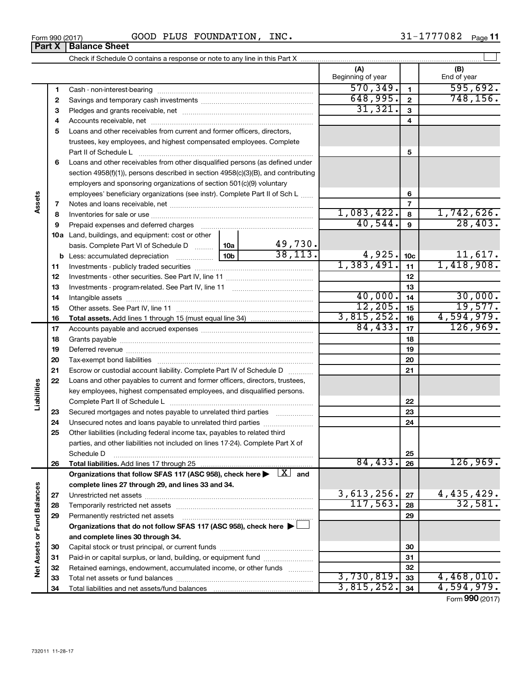| J990 (2017)<br>-<br>Form | PLUS<br>$\cap$<br>◡ | FOUNDATION | <b>INC</b> | -<br>Page |
|--------------------------|---------------------|------------|------------|-----------|
|                          |                     |            |            |           |

|                             |          |                                                                                                                         |                     | (A)<br>Beginning of year |                         | (B)<br>End of year    |
|-----------------------------|----------|-------------------------------------------------------------------------------------------------------------------------|---------------------|--------------------------|-------------------------|-----------------------|
|                             | 1        |                                                                                                                         |                     | 570, 349.                | $\mathbf{1}$            | 595,692.              |
|                             | 2        |                                                                                                                         |                     | 648,995.                 | $\overline{\mathbf{2}}$ | 748, 156.             |
|                             | З        |                                                                                                                         | 31,321.             | $\mathbf{3}$             |                         |                       |
|                             | 4        |                                                                                                                         |                     |                          | $\overline{4}$          |                       |
|                             | 5        | Loans and other receivables from current and former officers, directors,                                                |                     |                          |                         |                       |
|                             |          | trustees, key employees, and highest compensated employees. Complete                                                    |                     |                          |                         |                       |
|                             |          | Part II of Schedule L                                                                                                   |                     |                          | 5                       |                       |
|                             | 6        | Loans and other receivables from other disqualified persons (as defined under                                           |                     |                          |                         |                       |
|                             |          | section 4958(f)(1)), persons described in section 4958(c)(3)(B), and contributing                                       |                     |                          |                         |                       |
|                             |          | employers and sponsoring organizations of section 501(c)(9) voluntary                                                   |                     |                          |                         |                       |
|                             |          | employees' beneficiary organizations (see instr). Complete Part II of Sch L                                             |                     |                          | 6                       |                       |
| Assets                      | 7        |                                                                                                                         |                     |                          | $\overline{7}$          |                       |
|                             | 8        |                                                                                                                         |                     | 1,083,422.               | 8                       | 1,742,626.            |
|                             | 9        | Prepaid expenses and deferred charges                                                                                   |                     | 40,544.                  | $\mathbf{9}$            | 28,403.               |
|                             |          | 10a Land, buildings, and equipment: cost or other                                                                       |                     |                          |                         |                       |
|                             |          | 10a <br>basis. Complete Part VI of Schedule D                                                                           | 49,730.<br>38, 113. |                          |                         |                       |
|                             |          | 10 <sub>b</sub><br><b>b</b> Less: accumulated depreciation                                                              |                     | 4,925.<br>1,383,491.     | 10 <sub>c</sub>         | 11,617.<br>1,418,908. |
|                             | 11       |                                                                                                                         |                     |                          | 11                      |                       |
|                             | 12       |                                                                                                                         |                     |                          | 12                      |                       |
|                             | 13       |                                                                                                                         |                     | 40,000.                  | 13<br>14                | 30,000.               |
|                             | 14       |                                                                                                                         | 12, 205.            | 15                       | 19,577.                 |                       |
|                             | 15<br>16 |                                                                                                                         |                     | 3,815,252.               | 16                      | 4,594,979.            |
|                             | 17       |                                                                                                                         | 84, 433.            | 17                       | 126,969.                |                       |
|                             | 18       |                                                                                                                         |                     | 18                       |                         |                       |
|                             | 19       |                                                                                                                         |                     |                          | 19                      |                       |
|                             | 20       |                                                                                                                         |                     |                          | 20                      |                       |
|                             | 21       | Escrow or custodial account liability. Complete Part IV of Schedule D                                                   |                     |                          | 21                      |                       |
|                             | 22       | Loans and other payables to current and former officers, directors, trustees,                                           |                     |                          |                         |                       |
| Liabilities                 |          | key employees, highest compensated employees, and disqualified persons.                                                 |                     |                          |                         |                       |
|                             |          |                                                                                                                         |                     |                          | 22                      |                       |
|                             | 23       | Secured mortgages and notes payable to unrelated third parties                                                          |                     |                          | 23                      |                       |
|                             | 24       | Unsecured notes and loans payable to unrelated third parties                                                            |                     |                          | 24                      |                       |
|                             | 25       | Other liabilities (including federal income tax, payables to related third                                              |                     |                          |                         |                       |
|                             |          | parties, and other liabilities not included on lines 17-24). Complete Part X of                                         |                     |                          |                         |                       |
|                             |          | Schedule D                                                                                                              |                     |                          | 25                      |                       |
|                             | 26       |                                                                                                                         |                     | 84,433.                  | 26                      | 126,969.              |
|                             |          | Organizations that follow SFAS 117 (ASC 958), check here $\blacktriangleright \begin{array}{c} \perp X \end{array}$ and |                     |                          |                         |                       |
|                             |          | complete lines 27 through 29, and lines 33 and 34.                                                                      |                     | 3,613,256.               |                         |                       |
|                             | 27       |                                                                                                                         |                     | 117,563.                 | 27                      | 4,435,429.<br>32,581. |
|                             | 28       |                                                                                                                         |                     |                          | 28                      |                       |
|                             | 29       | Permanently restricted net assets                                                                                       |                     |                          | 29                      |                       |
|                             |          | Organizations that do not follow SFAS 117 (ASC 958), check here $\blacktriangleright$                                   |                     |                          |                         |                       |
| Net Assets or Fund Balances | 30       | and complete lines 30 through 34.                                                                                       |                     |                          | 30                      |                       |
|                             | 31       | Paid-in or capital surplus, or land, building, or equipment fund                                                        |                     |                          | 31                      |                       |
|                             | 32       | Retained earnings, endowment, accumulated income, or other funds                                                        |                     |                          | 32                      |                       |
|                             | 33       |                                                                                                                         |                     | 3,730,819.               | 33                      | 4,468,010.            |
|                             | 34       |                                                                                                                         |                     | 3,815,252.               | 34                      | 4,594,979.            |
|                             |          |                                                                                                                         |                     |                          |                         |                       |

Form (2017) **990**

# **Part X Balance Sheet**

|  | Form 990 (2017 |
|--|----------------|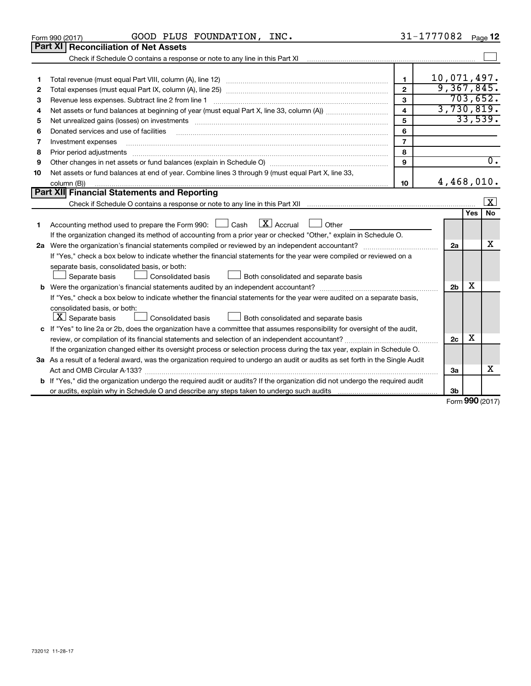| 732012 11-28-17 |  |  |
|-----------------|--|--|

**2 3**

| 4  | $\overline{\mathbf{4}}$                                                                                                              |                |                |            | 3,730,819. |  |
|----|--------------------------------------------------------------------------------------------------------------------------------------|----------------|----------------|------------|------------|--|
| 5  |                                                                                                                                      | 5              |                |            | 33,539.    |  |
| 6  | Donated services and use of facilities                                                                                               | 6              |                |            |            |  |
| 7  | Investment expenses                                                                                                                  | $\overline{7}$ |                |            |            |  |
| 8  | Prior period adjustments                                                                                                             | 8              |                |            |            |  |
| 9  |                                                                                                                                      | 9              |                |            | 0.         |  |
| 10 | Net assets or fund balances at end of year. Combine lines 3 through 9 (must equal Part X, line 33,                                   |                |                |            |            |  |
|    | column (B))                                                                                                                          | 10             | 4,468,010.     |            |            |  |
|    | Part XII Financial Statements and Reporting                                                                                          |                |                |            |            |  |
|    |                                                                                                                                      |                |                |            | X          |  |
|    |                                                                                                                                      |                |                | <b>Yes</b> | <b>No</b>  |  |
|    | $ \mathbf{X} $ Accrual<br>Accounting method used to prepare the Form 990: $\Box$ Cash<br>Other                                       |                |                |            |            |  |
|    | If the organization changed its method of accounting from a prior year or checked "Other," explain in Schedule O.                    |                |                |            |            |  |
| 2a | Were the organization's financial statements compiled or reviewed by an independent accountant?                                      |                |                |            |            |  |
|    | If "Yes," check a box below to indicate whether the financial statements for the year were compiled or reviewed on a                 |                |                |            |            |  |
|    | separate basis, consolidated basis, or both:                                                                                         |                |                |            |            |  |
|    | Consolidated basis<br>Both consolidated and separate basis<br>Separate basis                                                         |                |                |            |            |  |
| b  |                                                                                                                                      |                | 2 <sub>b</sub> | х          |            |  |
|    | If "Yes," check a box below to indicate whether the financial statements for the year were audited on a separate basis,              |                |                |            |            |  |
|    | consolidated basis, or both:                                                                                                         |                |                |            |            |  |
|    | $ \mathbf{X} $ Separate basis<br><b>Consolidated basis</b><br>Both consolidated and separate basis                                   |                |                |            |            |  |
| c  | If "Yes" to line 2a or 2b, does the organization have a committee that assumes responsibility for oversight of the audit,            |                |                |            |            |  |
|    | review, or compilation of its financial statements and selection of an independent accountant?                                       |                |                |            |            |  |
|    | If the organization changed either its oversight process or selection process during the tax year, explain in Schedule O.            |                |                |            |            |  |
|    | 3a As a result of a federal award, was the organization required to undergo an audit or audits as set forth in the Single Audit      |                |                |            |            |  |
|    |                                                                                                                                      |                | За             |            | x          |  |
|    | <b>b</b> If "Yes," did the organization undergo the required audit or audits? If the organization did not undergo the required audit |                |                |            |            |  |
|    | or audits, explain why in Schedule O and describe any steps taken to undergo such audits                                             |                | 3b             |            |            |  |

Form (2017) **990**

 $\Box$ 

10,071,497. 9,367,845. 703,652.

**1 2 3**

| Form 990 (2017) | $_{\tt{INC.}}$<br>GOOD PLUS FOUNDATION, | 31-1777082<br>Page 12 |
|-----------------|-----------------------------------------|-----------------------|
|-----------------|-----------------------------------------|-----------------------|

Check if Schedule O contains a response or note to any line in this Part XI

**Part XI Reconciliation of Net Assets**

**1** Total revenue (must equal Part VIII, column (A), line 12) *www.www.www.www.www.www.www.*ww...

Total expenses (must equal Part IX, column (A), line 25) …………………………………………………………… Revenue less expenses. Subtract line 2 from line 1 ~~~~~~~~~~~~~~~~~~~~~~~~~~~~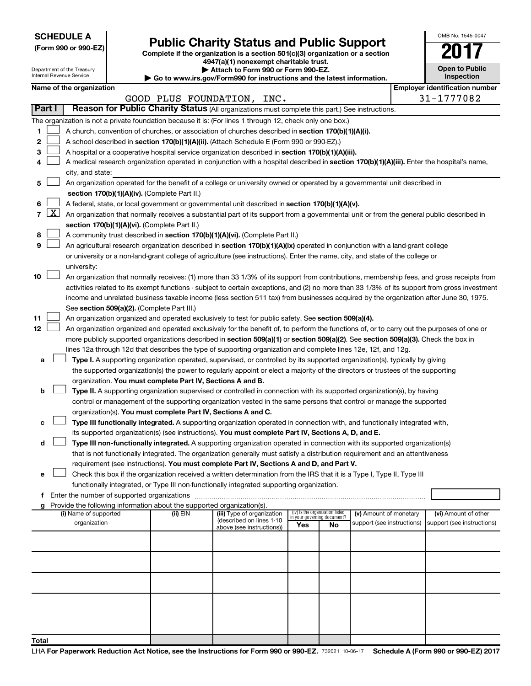**SCHEDULE A**

| (Form 990 or 990-EZ) |  |  |  |  |
|----------------------|--|--|--|--|
|----------------------|--|--|--|--|

# Form 990 or 990-EZ)<br>
Complete if the organization is a section 501(c)(3) organization or a section<br> **Public Charity Status and Public Support**

**4947(a)(1) nonexempt charitable trust.**

| OMB No. 1545-0047                   |  |  |  |  |  |
|-------------------------------------|--|--|--|--|--|
|                                     |  |  |  |  |  |
| <b>Open to Public</b><br>Inspection |  |  |  |  |  |
|                                     |  |  |  |  |  |

| Attach to Form 990 or Form 990-EZ.<br>Department of the Treasury<br>Internal Revenue Service<br>$\blacktriangleright$ Go to www.irs.gov/Form990 for instructions and the latest information. |              |                          |  |                                                                        |                                                                                                                                               |     | <b>Open to Public</b><br>Inspection                            |                            |                                       |
|----------------------------------------------------------------------------------------------------------------------------------------------------------------------------------------------|--------------|--------------------------|--|------------------------------------------------------------------------|-----------------------------------------------------------------------------------------------------------------------------------------------|-----|----------------------------------------------------------------|----------------------------|---------------------------------------|
|                                                                                                                                                                                              |              | Name of the organization |  |                                                                        |                                                                                                                                               |     |                                                                |                            | <b>Employer identification number</b> |
|                                                                                                                                                                                              |              |                          |  |                                                                        | GOOD PLUS FOUNDATION, INC.                                                                                                                    |     |                                                                |                            | 31-1777082                            |
|                                                                                                                                                                                              | Part I       |                          |  |                                                                        | Reason for Public Charity Status (All organizations must complete this part.) See instructions.                                               |     |                                                                |                            |                                       |
|                                                                                                                                                                                              |              |                          |  |                                                                        | The organization is not a private foundation because it is: (For lines 1 through 12, check only one box.)                                     |     |                                                                |                            |                                       |
| 1                                                                                                                                                                                            |              |                          |  |                                                                        | A church, convention of churches, or association of churches described in section 170(b)(1)(A)(i).                                            |     |                                                                |                            |                                       |
| 2                                                                                                                                                                                            |              |                          |  |                                                                        | A school described in section 170(b)(1)(A)(ii). (Attach Schedule E (Form 990 or 990-EZ).)                                                     |     |                                                                |                            |                                       |
| 3                                                                                                                                                                                            |              |                          |  |                                                                        | A hospital or a cooperative hospital service organization described in section 170(b)(1)(A)(iii).                                             |     |                                                                |                            |                                       |
| 4                                                                                                                                                                                            |              |                          |  |                                                                        | A medical research organization operated in conjunction with a hospital described in section 170(b)(1)(A)(iii). Enter the hospital's name,    |     |                                                                |                            |                                       |
|                                                                                                                                                                                              |              | city, and state:         |  |                                                                        |                                                                                                                                               |     |                                                                |                            |                                       |
| 5                                                                                                                                                                                            |              |                          |  |                                                                        | An organization operated for the benefit of a college or university owned or operated by a governmental unit described in                     |     |                                                                |                            |                                       |
|                                                                                                                                                                                              |              |                          |  | section 170(b)(1)(A)(iv). (Complete Part II.)                          |                                                                                                                                               |     |                                                                |                            |                                       |
| 6                                                                                                                                                                                            |              |                          |  |                                                                        | A federal, state, or local government or governmental unit described in section 170(b)(1)(A)(v).                                              |     |                                                                |                            |                                       |
| $\overline{7}$                                                                                                                                                                               | $\mathbf{X}$ |                          |  |                                                                        | An organization that normally receives a substantial part of its support from a governmental unit or from the general public described in     |     |                                                                |                            |                                       |
|                                                                                                                                                                                              |              |                          |  | section 170(b)(1)(A)(vi). (Complete Part II.)                          |                                                                                                                                               |     |                                                                |                            |                                       |
| 8                                                                                                                                                                                            |              |                          |  |                                                                        | A community trust described in section 170(b)(1)(A)(vi). (Complete Part II.)                                                                  |     |                                                                |                            |                                       |
| 9                                                                                                                                                                                            |              |                          |  |                                                                        | An agricultural research organization described in section 170(b)(1)(A)(ix) operated in conjunction with a land-grant college                 |     |                                                                |                            |                                       |
|                                                                                                                                                                                              |              |                          |  |                                                                        | or university or a non-land-grant college of agriculture (see instructions). Enter the name, city, and state of the college or                |     |                                                                |                            |                                       |
|                                                                                                                                                                                              |              | university:              |  |                                                                        |                                                                                                                                               |     |                                                                |                            |                                       |
| 10                                                                                                                                                                                           |              |                          |  |                                                                        | An organization that normally receives: (1) more than 33 1/3% of its support from contributions, membership fees, and gross receipts from     |     |                                                                |                            |                                       |
|                                                                                                                                                                                              |              |                          |  |                                                                        | activities related to its exempt functions - subject to certain exceptions, and (2) no more than 33 1/3% of its support from gross investment |     |                                                                |                            |                                       |
|                                                                                                                                                                                              |              |                          |  |                                                                        | income and unrelated business taxable income (less section 511 tax) from businesses acquired by the organization after June 30, 1975.         |     |                                                                |                            |                                       |
|                                                                                                                                                                                              |              |                          |  | See section 509(a)(2). (Complete Part III.)                            |                                                                                                                                               |     |                                                                |                            |                                       |
| 11                                                                                                                                                                                           |              |                          |  |                                                                        | An organization organized and operated exclusively to test for public safety. See section 509(a)(4).                                          |     |                                                                |                            |                                       |
| 12                                                                                                                                                                                           |              |                          |  |                                                                        | An organization organized and operated exclusively for the benefit of, to perform the functions of, or to carry out the purposes of one or    |     |                                                                |                            |                                       |
|                                                                                                                                                                                              |              |                          |  |                                                                        | more publicly supported organizations described in section 509(a)(1) or section 509(a)(2). See section 509(a)(3). Check the box in            |     |                                                                |                            |                                       |
|                                                                                                                                                                                              |              |                          |  |                                                                        | lines 12a through 12d that describes the type of supporting organization and complete lines 12e, 12f, and 12g.                                |     |                                                                |                            |                                       |
| а                                                                                                                                                                                            |              |                          |  |                                                                        | Type I. A supporting organization operated, supervised, or controlled by its supported organization(s), typically by giving                   |     |                                                                |                            |                                       |
|                                                                                                                                                                                              |              |                          |  |                                                                        | the supported organization(s) the power to regularly appoint or elect a majority of the directors or trustees of the supporting               |     |                                                                |                            |                                       |
|                                                                                                                                                                                              |              |                          |  | organization. You must complete Part IV, Sections A and B.             |                                                                                                                                               |     |                                                                |                            |                                       |
| b                                                                                                                                                                                            |              |                          |  |                                                                        | Type II. A supporting organization supervised or controlled in connection with its supported organization(s), by having                       |     |                                                                |                            |                                       |
|                                                                                                                                                                                              |              |                          |  |                                                                        | control or management of the supporting organization vested in the same persons that control or manage the supported                          |     |                                                                |                            |                                       |
|                                                                                                                                                                                              |              |                          |  | organization(s). You must complete Part IV, Sections A and C.          |                                                                                                                                               |     |                                                                |                            |                                       |
| с                                                                                                                                                                                            |              |                          |  |                                                                        | Type III functionally integrated. A supporting organization operated in connection with, and functionally integrated with,                    |     |                                                                |                            |                                       |
|                                                                                                                                                                                              |              |                          |  |                                                                        | its supported organization(s) (see instructions). You must complete Part IV, Sections A, D, and E.                                            |     |                                                                |                            |                                       |
| d                                                                                                                                                                                            |              |                          |  |                                                                        | Type III non-functionally integrated. A supporting organization operated in connection with its supported organization(s)                     |     |                                                                |                            |                                       |
|                                                                                                                                                                                              |              |                          |  |                                                                        | that is not functionally integrated. The organization generally must satisfy a distribution requirement and an attentiveness                  |     |                                                                |                            |                                       |
|                                                                                                                                                                                              |              |                          |  |                                                                        | requirement (see instructions). You must complete Part IV, Sections A and D, and Part V.                                                      |     |                                                                |                            |                                       |
|                                                                                                                                                                                              |              |                          |  |                                                                        | Check this box if the organization received a written determination from the IRS that it is a Type I, Type II, Type III                       |     |                                                                |                            |                                       |
|                                                                                                                                                                                              |              |                          |  |                                                                        | functionally integrated, or Type III non-functionally integrated supporting organization.                                                     |     |                                                                |                            |                                       |
|                                                                                                                                                                                              |              |                          |  |                                                                        |                                                                                                                                               |     |                                                                |                            |                                       |
|                                                                                                                                                                                              |              |                          |  | Provide the following information about the supported organization(s). |                                                                                                                                               |     |                                                                |                            |                                       |
|                                                                                                                                                                                              |              | (i) Name of supported    |  | (ii) EIN                                                               | (iii) Type of organization<br>(described on lines 1-10                                                                                        |     | (iv) Is the organization listed<br>in your governing document? | (v) Amount of monetary     | (vi) Amount of other                  |
|                                                                                                                                                                                              |              | organization             |  |                                                                        | above (see instructions))                                                                                                                     | Yes | No                                                             | support (see instructions) | support (see instructions)            |
|                                                                                                                                                                                              |              |                          |  |                                                                        |                                                                                                                                               |     |                                                                |                            |                                       |
|                                                                                                                                                                                              |              |                          |  |                                                                        |                                                                                                                                               |     |                                                                |                            |                                       |
|                                                                                                                                                                                              |              |                          |  |                                                                        |                                                                                                                                               |     |                                                                |                            |                                       |
|                                                                                                                                                                                              |              |                          |  |                                                                        |                                                                                                                                               |     |                                                                |                            |                                       |
|                                                                                                                                                                                              |              |                          |  |                                                                        |                                                                                                                                               |     |                                                                |                            |                                       |
|                                                                                                                                                                                              |              |                          |  |                                                                        |                                                                                                                                               |     |                                                                |                            |                                       |
|                                                                                                                                                                                              |              |                          |  |                                                                        |                                                                                                                                               |     |                                                                |                            |                                       |
|                                                                                                                                                                                              |              |                          |  |                                                                        |                                                                                                                                               |     |                                                                |                            |                                       |
|                                                                                                                                                                                              |              |                          |  |                                                                        |                                                                                                                                               |     |                                                                |                            |                                       |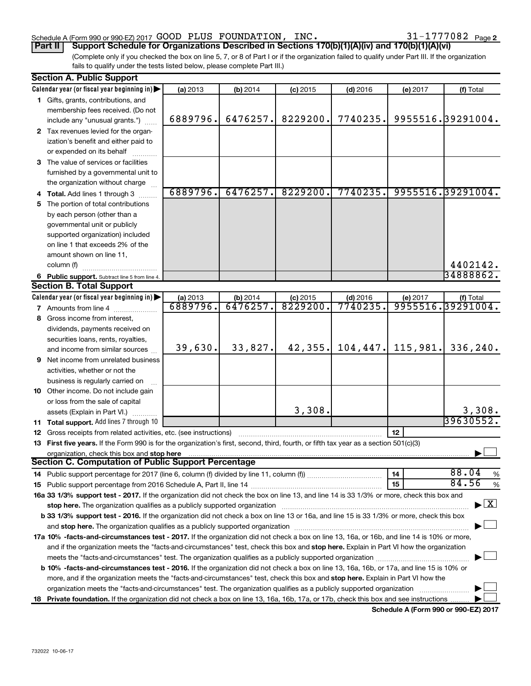### Schedule A (Form 990 or 990-EZ) 2017  $\,$  GOOD PLUS FOUNDATION, INC.  $\,$  31-1777082  $\,$  Page

31-1777082 Page 2

(Complete only if you checked the box on line 5, 7, or 8 of Part I or if the organization failed to qualify under Part III. If the organization fails to qualify under the tests listed below, please complete Part III.) **Part II Support Schedule for Organizations Described in Sections 170(b)(1)(A)(iv) and 170(b)(1)(A)(vi)**

| <b>Section A. Public Support</b>                                                                                                               |                      |                        |                        |                       |          |                                          |  |
|------------------------------------------------------------------------------------------------------------------------------------------------|----------------------|------------------------|------------------------|-----------------------|----------|------------------------------------------|--|
| Calendar year (or fiscal year beginning in)                                                                                                    | (a) 2013             | (b) 2014               | $(c)$ 2015             | $(d)$ 2016            | (e) 2017 | (f) Total                                |  |
| 1 Gifts, grants, contributions, and                                                                                                            |                      |                        |                        |                       |          |                                          |  |
| membership fees received. (Do not                                                                                                              |                      |                        |                        |                       |          |                                          |  |
| include any "unusual grants.")                                                                                                                 | 6889796.             | 6476257.               | 8229200.               | 7740235.              |          | 9955516.39291004.                        |  |
| 2 Tax revenues levied for the organ-                                                                                                           |                      |                        |                        |                       |          |                                          |  |
| ization's benefit and either paid to                                                                                                           |                      |                        |                        |                       |          |                                          |  |
| or expended on its behalf                                                                                                                      |                      |                        |                        |                       |          |                                          |  |
| 3 The value of services or facilities                                                                                                          |                      |                        |                        |                       |          |                                          |  |
| furnished by a governmental unit to                                                                                                            |                      |                        |                        |                       |          |                                          |  |
| the organization without charge                                                                                                                |                      |                        |                        |                       |          |                                          |  |
| 4 Total. Add lines 1 through 3                                                                                                                 | 6889796.             | 6476257.               | 8229200.               | 7740235.              |          | 9955516.39291004.                        |  |
| 5 The portion of total contributions                                                                                                           |                      |                        |                        |                       |          |                                          |  |
| by each person (other than a                                                                                                                   |                      |                        |                        |                       |          |                                          |  |
| governmental unit or publicly                                                                                                                  |                      |                        |                        |                       |          |                                          |  |
| supported organization) included                                                                                                               |                      |                        |                        |                       |          |                                          |  |
| on line 1 that exceeds 2% of the                                                                                                               |                      |                        |                        |                       |          |                                          |  |
| amount shown on line 11,                                                                                                                       |                      |                        |                        |                       |          |                                          |  |
| column (f)                                                                                                                                     |                      |                        |                        |                       |          | 4402142.                                 |  |
|                                                                                                                                                |                      |                        |                        |                       |          | 34888862.                                |  |
| 6 Public support. Subtract line 5 from line 4.<br><b>Section B. Total Support</b>                                                              |                      |                        |                        |                       |          |                                          |  |
|                                                                                                                                                |                      |                        |                        |                       |          |                                          |  |
| Calendar year (or fiscal year beginning in)                                                                                                    | (a) 2013<br>6889796. | $(b)$ 2014<br>6476257. | $(c)$ 2015<br>8229200. | $(d)$ 2016<br>7740235 | (e) 2017 | (f) Total<br>9955516.39291004.           |  |
| <b>7</b> Amounts from line 4                                                                                                                   |                      |                        |                        |                       |          |                                          |  |
| 8 Gross income from interest.                                                                                                                  |                      |                        |                        |                       |          |                                          |  |
| dividends, payments received on                                                                                                                |                      |                        |                        |                       |          |                                          |  |
| securities loans, rents, royalties,                                                                                                            |                      |                        |                        |                       |          |                                          |  |
| and income from similar sources                                                                                                                | 39,630.              | 33,827.                | 42,355.                | 104, 447.             | 115,981. | 336,240.                                 |  |
| <b>9</b> Net income from unrelated business                                                                                                    |                      |                        |                        |                       |          |                                          |  |
| activities, whether or not the                                                                                                                 |                      |                        |                        |                       |          |                                          |  |
| business is regularly carried on                                                                                                               |                      |                        |                        |                       |          |                                          |  |
| 10 Other income. Do not include gain                                                                                                           |                      |                        |                        |                       |          |                                          |  |
| or loss from the sale of capital                                                                                                               |                      |                        |                        |                       |          |                                          |  |
| assets (Explain in Part VI.)                                                                                                                   |                      |                        | 3,308.                 |                       |          | 3,308.                                   |  |
| 11 Total support. Add lines 7 through 10                                                                                                       |                      |                        |                        |                       |          | 39630552.                                |  |
| 12 Gross receipts from related activities, etc. (see instructions)                                                                             |                      |                        |                        |                       | 12       |                                          |  |
| 13 First five years. If the Form 990 is for the organization's first, second, third, fourth, or fifth tax year as a section 501(c)(3)          |                      |                        |                        |                       |          |                                          |  |
| organization, check this box and stop here                                                                                                     |                      |                        |                        |                       |          |                                          |  |
| <b>Section C. Computation of Public Support Percentage</b>                                                                                     |                      |                        |                        |                       |          |                                          |  |
|                                                                                                                                                |                      |                        |                        |                       | 14       | 88.04<br>$\%$                            |  |
|                                                                                                                                                |                      |                        |                        |                       | 15       | 84.56<br>$\%$                            |  |
| 16a 33 1/3% support test - 2017. If the organization did not check the box on line 13, and line 14 is 33 1/3% or more, check this box and      |                      |                        |                        |                       |          |                                          |  |
|                                                                                                                                                |                      |                        |                        |                       |          | $\blacktriangleright$ $\boxed{\text{X}}$ |  |
| b 33 1/3% support test - 2016. If the organization did not check a box on line 13 or 16a, and line 15 is 33 1/3% or more, check this box       |                      |                        |                        |                       |          |                                          |  |
|                                                                                                                                                |                      |                        |                        |                       |          |                                          |  |
| 17a 10% -facts-and-circumstances test - 2017. If the organization did not check a box on line 13, 16a, or 16b, and line 14 is 10% or more,     |                      |                        |                        |                       |          |                                          |  |
| and if the organization meets the "facts-and-circumstances" test, check this box and stop here. Explain in Part VI how the organization        |                      |                        |                        |                       |          |                                          |  |
| meets the "facts-and-circumstances" test. The organization qualifies as a publicly supported organization <i>manumumumum</i>                   |                      |                        |                        |                       |          |                                          |  |
| <b>b 10%</b> -facts-and-circumstances test - 2016. If the organization did not check a box on line 13, 16a, 16b, or 17a, and line 15 is 10% or |                      |                        |                        |                       |          |                                          |  |
| more, and if the organization meets the "facts-and-circumstances" test, check this box and stop here. Explain in Part VI how the               |                      |                        |                        |                       |          |                                          |  |
| organization meets the "facts-and-circumstances" test. The organization qualifies as a publicly supported organization                         |                      |                        |                        |                       |          |                                          |  |
|                                                                                                                                                |                      |                        |                        |                       |          |                                          |  |
| 18 Private foundation. If the organization did not check a box on line 13, 16a, 16b, 17a, or 17b, check this box and see instructions          |                      |                        |                        |                       |          |                                          |  |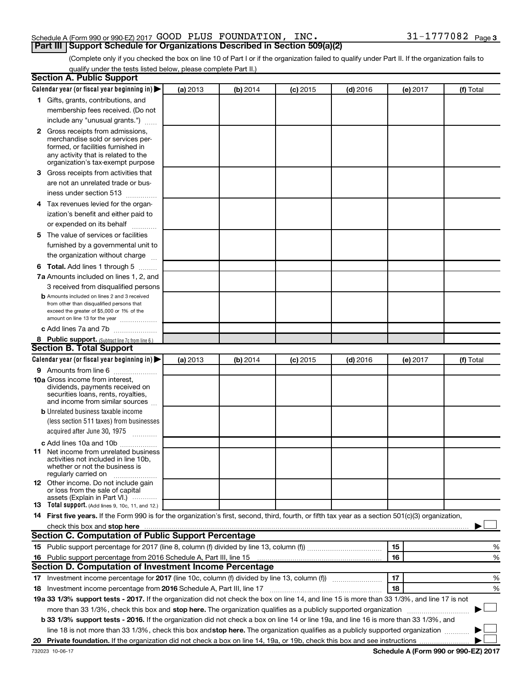### Schedule A (Form 990 or 990-EZ) 2017  $\,$  GOOD PLUS FOUNDATION, INC.  $\,$  31-1777082  $\,$  Page **Part III Support Schedule for Organizations Described in Section 509(a)(2)**

(Complete only if you checked the box on line 10 of Part I or if the organization failed to qualify under Part II. If the organization fails to qualify under the tests listed below, please complete Part II.)

| <b>Section A. Public Support</b>                                                                                                                                                                                                                                       |          |          |          |            |          |           |
|------------------------------------------------------------------------------------------------------------------------------------------------------------------------------------------------------------------------------------------------------------------------|----------|----------|----------|------------|----------|-----------|
| Calendar year (or fiscal year beginning in)                                                                                                                                                                                                                            | (a) 2013 | (b) 2014 | (c) 2015 | $(d)$ 2016 | (e) 2017 | (f) Total |
| 1 Gifts, grants, contributions, and                                                                                                                                                                                                                                    |          |          |          |            |          |           |
| membership fees received. (Do not                                                                                                                                                                                                                                      |          |          |          |            |          |           |
| include any "unusual grants.")                                                                                                                                                                                                                                         |          |          |          |            |          |           |
| <b>2</b> Gross receipts from admissions,                                                                                                                                                                                                                               |          |          |          |            |          |           |
| merchandise sold or services per-                                                                                                                                                                                                                                      |          |          |          |            |          |           |
| formed, or facilities furnished in                                                                                                                                                                                                                                     |          |          |          |            |          |           |
| any activity that is related to the<br>organization's tax-exempt purpose                                                                                                                                                                                               |          |          |          |            |          |           |
| 3 Gross receipts from activities that                                                                                                                                                                                                                                  |          |          |          |            |          |           |
| are not an unrelated trade or bus-                                                                                                                                                                                                                                     |          |          |          |            |          |           |
| iness under section 513                                                                                                                                                                                                                                                |          |          |          |            |          |           |
| 4 Tax revenues levied for the organ-                                                                                                                                                                                                                                   |          |          |          |            |          |           |
| ization's benefit and either paid to                                                                                                                                                                                                                                   |          |          |          |            |          |           |
| or expended on its behalf                                                                                                                                                                                                                                              |          |          |          |            |          |           |
| .<br>5 The value of services or facilities                                                                                                                                                                                                                             |          |          |          |            |          |           |
| furnished by a governmental unit to                                                                                                                                                                                                                                    |          |          |          |            |          |           |
| the organization without charge                                                                                                                                                                                                                                        |          |          |          |            |          |           |
|                                                                                                                                                                                                                                                                        |          |          |          |            |          |           |
| <b>6 Total.</b> Add lines 1 through 5                                                                                                                                                                                                                                  |          |          |          |            |          |           |
| 7a Amounts included on lines 1, 2, and                                                                                                                                                                                                                                 |          |          |          |            |          |           |
| 3 received from disqualified persons                                                                                                                                                                                                                                   |          |          |          |            |          |           |
| <b>b</b> Amounts included on lines 2 and 3 received<br>from other than disqualified persons that                                                                                                                                                                       |          |          |          |            |          |           |
| exceed the greater of \$5,000 or 1% of the                                                                                                                                                                                                                             |          |          |          |            |          |           |
| amount on line 13 for the year                                                                                                                                                                                                                                         |          |          |          |            |          |           |
| c Add lines 7a and 7b                                                                                                                                                                                                                                                  |          |          |          |            |          |           |
| 8 Public support. (Subtract line 7c from line 6.)                                                                                                                                                                                                                      |          |          |          |            |          |           |
| <b>Section B. Total Support</b>                                                                                                                                                                                                                                        |          |          |          |            |          |           |
| Calendar year (or fiscal year beginning in)                                                                                                                                                                                                                            | (a) 2013 | (b) 2014 | (c) 2015 | $(d)$ 2016 | (e) 2017 | (f) Total |
| <b>9</b> Amounts from line 6                                                                                                                                                                                                                                           |          |          |          |            |          |           |
| <b>10a</b> Gross income from interest,<br>dividends, payments received on                                                                                                                                                                                              |          |          |          |            |          |           |
| securities loans, rents, royalties,                                                                                                                                                                                                                                    |          |          |          |            |          |           |
| and income from similar sources                                                                                                                                                                                                                                        |          |          |          |            |          |           |
| <b>b</b> Unrelated business taxable income                                                                                                                                                                                                                             |          |          |          |            |          |           |
| (less section 511 taxes) from businesses                                                                                                                                                                                                                               |          |          |          |            |          |           |
| acquired after June 30, 1975                                                                                                                                                                                                                                           |          |          |          |            |          |           |
| c Add lines 10a and 10b                                                                                                                                                                                                                                                |          |          |          |            |          |           |
| <b>11</b> Net income from unrelated business                                                                                                                                                                                                                           |          |          |          |            |          |           |
| activities not included in line 10b.                                                                                                                                                                                                                                   |          |          |          |            |          |           |
| whether or not the business is<br>regularly carried on                                                                                                                                                                                                                 |          |          |          |            |          |           |
| 12 Other income. Do not include gain                                                                                                                                                                                                                                   |          |          |          |            |          |           |
| or loss from the sale of capital                                                                                                                                                                                                                                       |          |          |          |            |          |           |
| assets (Explain in Part VI.)<br><b>13</b> Total support. (Add lines 9, 10c, 11, and 12.)                                                                                                                                                                               |          |          |          |            |          |           |
| 14 First five years. If the Form 990 is for the organization's first, second, third, fourth, or fifth tax year as a section 501(c)(3) organization,                                                                                                                    |          |          |          |            |          |           |
| check this box and stop here <b>construction and construction</b> and stop here <b>constructed</b> and stop here <b>constructed</b> and stop here <b>constructed</b> and <b>construction</b> and <b>construction</b> and <b>construction</b> and <b>construction</b> a |          |          |          |            |          |           |
| <b>Section C. Computation of Public Support Percentage</b>                                                                                                                                                                                                             |          |          |          |            |          |           |
|                                                                                                                                                                                                                                                                        |          |          |          |            | 15       | %         |
| 16 Public support percentage from 2016 Schedule A, Part III, line 15                                                                                                                                                                                                   |          |          |          |            | 16       | %         |
| Section D. Computation of Investment Income Percentage                                                                                                                                                                                                                 |          |          |          |            |          |           |
| 17 Investment income percentage for 2017 (line 10c, column (f) divided by line 13, column (f))                                                                                                                                                                         |          |          |          |            | 17       | %         |
| 18 Investment income percentage from 2016 Schedule A, Part III, line 17                                                                                                                                                                                                |          |          |          |            | 18       | %         |
| 19a 33 1/3% support tests - 2017. If the organization did not check the box on line 14, and line 15 is more than 33 1/3%, and line 17 is not                                                                                                                           |          |          |          |            |          |           |
| more than 33 1/3%, check this box and stop here. The organization qualifies as a publicly supported organization                                                                                                                                                       |          |          |          |            |          |           |
| b 33 1/3% support tests - 2016. If the organization did not check a box on line 14 or line 19a, and line 16 is more than 33 1/3%, and                                                                                                                                  |          |          |          |            |          |           |
| line 18 is not more than 33 1/3%, check this box and stop here. The organization qualifies as a publicly supported organization                                                                                                                                        |          |          |          |            |          |           |
|                                                                                                                                                                                                                                                                        |          |          |          |            |          |           |
|                                                                                                                                                                                                                                                                        |          |          |          |            |          |           |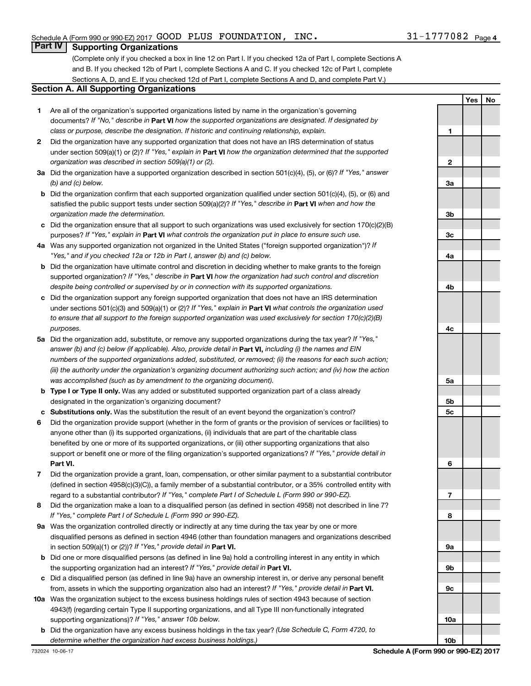**1**

**Yes No**

### **Part IV Supporting Organizations**

(Complete only if you checked a box in line 12 on Part I. If you checked 12a of Part I, complete Sections A and B. If you checked 12b of Part I, complete Sections A and C. If you checked 12c of Part I, complete Sections A, D, and E. If you checked 12d of Part I, complete Sections A and D, and complete Part V.)

### **Section A. All Supporting Organizations**

- **1** Are all of the organization's supported organizations listed by name in the organization's governing documents? If "No," describe in Part VI how the supported organizations are designated. If designated by *class or purpose, describe the designation. If historic and continuing relationship, explain.*
- **2** Did the organization have any supported organization that does not have an IRS determination of status under section 509(a)(1) or (2)? If "Yes," explain in Part **VI** how the organization determined that the supported *organization was described in section 509(a)(1) or (2).*
- **3a** Did the organization have a supported organization described in section 501(c)(4), (5), or (6)? If "Yes," answer *(b) and (c) below.*
- **b** Did the organization confirm that each supported organization qualified under section 501(c)(4), (5), or (6) and satisfied the public support tests under section 509(a)(2)? If "Yes," describe in Part VI when and how the *organization made the determination.*
- **c** Did the organization ensure that all support to such organizations was used exclusively for section 170(c)(2)(B) purposes? If "Yes," explain in Part VI what controls the organization put in place to ensure such use.
- **4 a** *If* Was any supported organization not organized in the United States ("foreign supported organization")? *"Yes," and if you checked 12a or 12b in Part I, answer (b) and (c) below.*
- **b** Did the organization have ultimate control and discretion in deciding whether to make grants to the foreign supported organization? If "Yes," describe in Part VI how the organization had such control and discretion *despite being controlled or supervised by or in connection with its supported organizations.*
- **c** Did the organization support any foreign supported organization that does not have an IRS determination under sections 501(c)(3) and 509(a)(1) or (2)? If "Yes," explain in Part VI what controls the organization used *to ensure that all support to the foreign supported organization was used exclusively for section 170(c)(2)(B) purposes.*
- **5a** Did the organization add, substitute, or remove any supported organizations during the tax year? If "Yes," answer (b) and (c) below (if applicable). Also, provide detail in **Part VI,** including (i) the names and EIN *numbers of the supported organizations added, substituted, or removed; (ii) the reasons for each such action; (iii) the authority under the organization's organizing document authorizing such action; and (iv) how the action was accomplished (such as by amendment to the organizing document).*
- **b** Type I or Type II only. Was any added or substituted supported organization part of a class already designated in the organization's organizing document?
- **c Substitutions only.**  Was the substitution the result of an event beyond the organization's control?
- **6** Did the organization provide support (whether in the form of grants or the provision of services or facilities) to **Part VI.** support or benefit one or more of the filing organization's supported organizations? If "Yes," provide detail in anyone other than (i) its supported organizations, (ii) individuals that are part of the charitable class benefited by one or more of its supported organizations, or (iii) other supporting organizations that also
- **7** Did the organization provide a grant, loan, compensation, or other similar payment to a substantial contributor regard to a substantial contributor? If "Yes," complete Part I of Schedule L (Form 990 or 990-EZ). (defined in section 4958(c)(3)(C)), a family member of a substantial contributor, or a 35% controlled entity with
- **8** Did the organization make a loan to a disqualified person (as defined in section 4958) not described in line 7? *If "Yes," complete Part I of Schedule L (Form 990 or 990-EZ).*
- **9 a** Was the organization controlled directly or indirectly at any time during the tax year by one or more in section 509(a)(1) or (2))? If "Yes," provide detail in **Part VI.** disqualified persons as defined in section 4946 (other than foundation managers and organizations described
- **b** Did one or more disqualified persons (as defined in line 9a) hold a controlling interest in any entity in which the supporting organization had an interest? If "Yes," provide detail in Part VI.
- **c** Did a disqualified person (as defined in line 9a) have an ownership interest in, or derive any personal benefit from, assets in which the supporting organization also had an interest? If "Yes," provide detail in Part VI.
- **10 a** Was the organization subject to the excess business holdings rules of section 4943 because of section supporting organizations)? If "Yes," answer 10b below. 4943(f) (regarding certain Type II supporting organizations, and all Type III non-functionally integrated
	- **b** Did the organization have any excess business holdings in the tax year? (Use Schedule C, Form 4720, to *determine whether the organization had excess business holdings.)*

**2 3a 3b 3c 4a 4b 4c 5a 5b 5c 6 7 8 9a 9b 9c 10a 10b**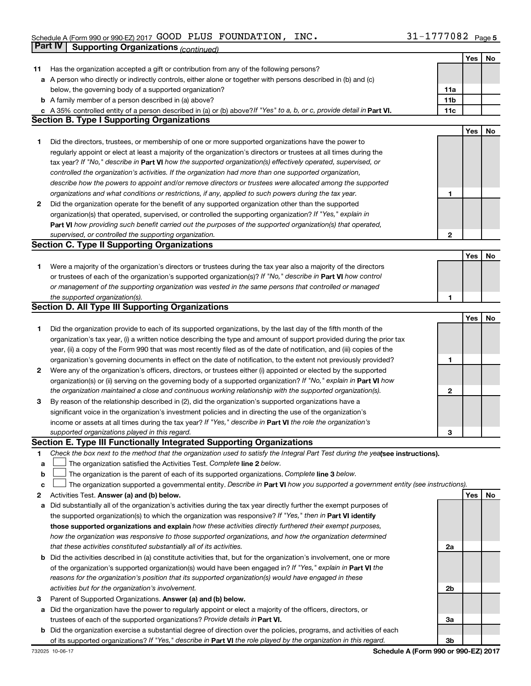|    | Part IV<br><b>Supporting Organizations (continued)</b>                                                                                                                                                                                       |                 |     |    |
|----|----------------------------------------------------------------------------------------------------------------------------------------------------------------------------------------------------------------------------------------------|-----------------|-----|----|
|    |                                                                                                                                                                                                                                              |                 | Yes | No |
| 11 | Has the organization accepted a gift or contribution from any of the following persons?                                                                                                                                                      |                 |     |    |
|    | a A person who directly or indirectly controls, either alone or together with persons described in (b) and (c)                                                                                                                               |                 |     |    |
|    | below, the governing body of a supported organization?                                                                                                                                                                                       | 11a             |     |    |
|    | <b>b</b> A family member of a person described in (a) above?                                                                                                                                                                                 | 11 <sub>b</sub> |     |    |
|    | c A 35% controlled entity of a person described in (a) or (b) above? If "Yes" to a, b, or c, provide detail in Part VI.                                                                                                                      | 11c             |     |    |
|    | <b>Section B. Type I Supporting Organizations</b>                                                                                                                                                                                            |                 |     |    |
|    |                                                                                                                                                                                                                                              |                 | Yes | No |
| 1  | Did the directors, trustees, or membership of one or more supported organizations have the power to                                                                                                                                          |                 |     |    |
|    | regularly appoint or elect at least a majority of the organization's directors or trustees at all times during the                                                                                                                           |                 |     |    |
|    | tax year? If "No," describe in Part VI how the supported organization(s) effectively operated, supervised, or                                                                                                                                |                 |     |    |
|    | controlled the organization's activities. If the organization had more than one supported organization,                                                                                                                                      |                 |     |    |
|    | describe how the powers to appoint and/or remove directors or trustees were allocated among the supported                                                                                                                                    |                 |     |    |
|    | organizations and what conditions or restrictions, if any, applied to such powers during the tax year.                                                                                                                                       | 1               |     |    |
| 2  | Did the organization operate for the benefit of any supported organization other than the supported                                                                                                                                          |                 |     |    |
|    | organization(s) that operated, supervised, or controlled the supporting organization? If "Yes," explain in                                                                                                                                   |                 |     |    |
|    | Part VI how providing such benefit carried out the purposes of the supported organization(s) that operated,                                                                                                                                  |                 |     |    |
|    | supervised, or controlled the supporting organization.                                                                                                                                                                                       | $\mathbf{2}$    |     |    |
|    | <b>Section C. Type II Supporting Organizations</b>                                                                                                                                                                                           |                 |     |    |
|    |                                                                                                                                                                                                                                              |                 | Yes | No |
| 1. | Were a majority of the organization's directors or trustees during the tax year also a majority of the directors                                                                                                                             |                 |     |    |
|    | or trustees of each of the organization's supported organization(s)? If "No," describe in Part VI how control                                                                                                                                |                 |     |    |
|    | or management of the supporting organization was vested in the same persons that controlled or managed                                                                                                                                       |                 |     |    |
|    | the supported organization(s).                                                                                                                                                                                                               | 1               |     |    |
|    | <b>Section D. All Type III Supporting Organizations</b>                                                                                                                                                                                      |                 |     |    |
|    |                                                                                                                                                                                                                                              |                 | Yes | No |
| 1  | Did the organization provide to each of its supported organizations, by the last day of the fifth month of the                                                                                                                               |                 |     |    |
|    | organization's tax year, (i) a written notice describing the type and amount of support provided during the prior tax                                                                                                                        |                 |     |    |
|    | year, (ii) a copy of the Form 990 that was most recently filed as of the date of notification, and (iii) copies of the                                                                                                                       |                 |     |    |
|    | organization's governing documents in effect on the date of notification, to the extent not previously provided?                                                                                                                             | 1               |     |    |
| 2  | Were any of the organization's officers, directors, or trustees either (i) appointed or elected by the supported                                                                                                                             |                 |     |    |
|    |                                                                                                                                                                                                                                              |                 |     |    |
|    | organization(s) or (ii) serving on the governing body of a supported organization? If "No," explain in Part VI how                                                                                                                           | $\mathbf{2}$    |     |    |
|    | the organization maintained a close and continuous working relationship with the supported organization(s).<br>By reason of the relationship described in (2), did the organization's supported organizations have a                         |                 |     |    |
| 3  |                                                                                                                                                                                                                                              |                 |     |    |
|    | significant voice in the organization's investment policies and in directing the use of the organization's                                                                                                                                   |                 |     |    |
|    | income or assets at all times during the tax year? If "Yes," describe in Part VI the role the organization's<br>supported organizations played in this regard.                                                                               |                 |     |    |
|    | Section E. Type III Functionally Integrated Supporting Organizations                                                                                                                                                                         | з               |     |    |
| 1  | Check the box next to the method that the organization used to satisfy the Integral Part Test during the yealsee instructions).                                                                                                              |                 |     |    |
| a  | The organization satisfied the Activities Test. Complete line 2 below.                                                                                                                                                                       |                 |     |    |
| b  | The organization is the parent of each of its supported organizations. Complete line 3 below.                                                                                                                                                |                 |     |    |
| с  | The organization supported a governmental entity. Describe in Part VI how you supported a government entity (see instructions).                                                                                                              |                 |     |    |
| 2  | Activities Test. Answer (a) and (b) below.                                                                                                                                                                                                   |                 | Yes | No |
|    | Did substantially all of the organization's activities during the tax year directly further the exempt purposes of                                                                                                                           |                 |     |    |
| а  | the supported organization(s) to which the organization was responsive? If "Yes," then in Part VI identify                                                                                                                                   |                 |     |    |
|    | those supported organizations and explain how these activities directly furthered their exempt purposes,                                                                                                                                     |                 |     |    |
|    | how the organization was responsive to those supported organizations, and how the organization determined                                                                                                                                    |                 |     |    |
|    | that these activities constituted substantially all of its activities.                                                                                                                                                                       | 2a              |     |    |
|    |                                                                                                                                                                                                                                              |                 |     |    |
|    | <b>b</b> Did the activities described in (a) constitute activities that, but for the organization's involvement, one or more<br>of the organization's supported organization(s) would have been engaged in? If "Yes," explain in Part VI the |                 |     |    |
|    |                                                                                                                                                                                                                                              |                 |     |    |
|    | reasons for the organization's position that its supported organization(s) would have engaged in these                                                                                                                                       |                 |     |    |
|    | activities but for the organization's involvement.                                                                                                                                                                                           | 2b              |     |    |
| з  | Parent of Supported Organizations. Answer (a) and (b) below.                                                                                                                                                                                 |                 |     |    |
| а  | Did the organization have the power to regularly appoint or elect a majority of the officers, directors, or                                                                                                                                  |                 |     |    |
|    | trustees of each of the supported organizations? Provide details in Part VI.<br><b>b</b> Did the organization exercise a substantial degree of direction over the policies, programs, and activities of each                                 | За              |     |    |
|    | of its supported organizations? If "Yes," describe in Part VI the role played by the organization in this regard.                                                                                                                            | 3b              |     |    |
|    |                                                                                                                                                                                                                                              |                 |     |    |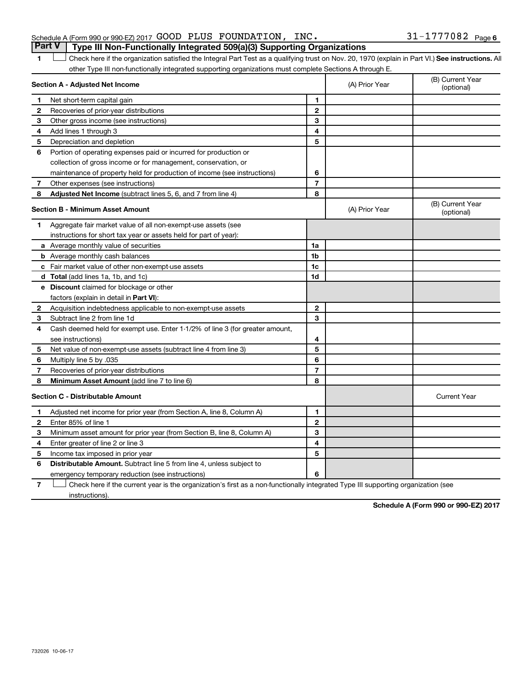### Schedule A (Form 990 or 990-EZ) 2017  $\,$  GOOD PLUS FOUNDATION, INC.  $\,$  31-1777082  $\,$  Page **Part V Type III Non-Functionally Integrated 509(a)(3) Supporting Organizations**

1 **Letter See instructions.** All Check here if the organization satisfied the Integral Part Test as a qualifying trust on Nov. 20, 1970 (explain in Part VI.) See instructions. All other Type III non-functionally integrated supporting organizations must complete Sections A through E.

|                | Section A - Adjusted Net Income                                              |                | (A) Prior Year | (B) Current Year<br>(optional) |
|----------------|------------------------------------------------------------------------------|----------------|----------------|--------------------------------|
| 1              | Net short-term capital gain                                                  | 1              |                |                                |
| $\mathbf{2}$   | Recoveries of prior-year distributions                                       | $\overline{2}$ |                |                                |
| 3              | Other gross income (see instructions)                                        | 3              |                |                                |
| 4              | Add lines 1 through 3                                                        | 4              |                |                                |
| 5              | Depreciation and depletion                                                   | 5              |                |                                |
| 6              | Portion of operating expenses paid or incurred for production or             |                |                |                                |
|                | collection of gross income or for management, conservation, or               |                |                |                                |
|                | maintenance of property held for production of income (see instructions)     | 6              |                |                                |
| 7              | Other expenses (see instructions)                                            | $\overline{7}$ |                |                                |
| 8              | Adjusted Net Income (subtract lines 5, 6, and 7 from line 4)                 | 8              |                |                                |
|                | <b>Section B - Minimum Asset Amount</b>                                      |                | (A) Prior Year | (B) Current Year<br>(optional) |
| 1              | Aggregate fair market value of all non-exempt-use assets (see                |                |                |                                |
|                | instructions for short tax year or assets held for part of year):            |                |                |                                |
|                | a Average monthly value of securities                                        | 1a             |                |                                |
|                | <b>b</b> Average monthly cash balances                                       | 1b             |                |                                |
|                | c Fair market value of other non-exempt-use assets                           | 1c             |                |                                |
|                | d Total (add lines 1a, 1b, and 1c)                                           | 1 <sub>d</sub> |                |                                |
|                | e Discount claimed for blockage or other                                     |                |                |                                |
|                | factors (explain in detail in Part VI):                                      |                |                |                                |
| 2              | Acquisition indebtedness applicable to non-exempt-use assets                 | $\mathbf{2}$   |                |                                |
| 3              | Subtract line 2 from line 1d                                                 | 3              |                |                                |
| 4              | Cash deemed held for exempt use. Enter 1-1/2% of line 3 (for greater amount, |                |                |                                |
|                | see instructions)                                                            | 4              |                |                                |
| 5              | Net value of non-exempt-use assets (subtract line 4 from line 3)             | 5              |                |                                |
| 6              | Multiply line 5 by .035                                                      | 6              |                |                                |
| $\overline{7}$ | Recoveries of prior-year distributions                                       | $\overline{7}$ |                |                                |
| 8              | Minimum Asset Amount (add line 7 to line 6)                                  | 8              |                |                                |
|                | <b>Section C - Distributable Amount</b>                                      |                |                | <b>Current Year</b>            |
| 1              | Adjusted net income for prior year (from Section A, line 8, Column A)        | 1              |                |                                |
| $\mathbf{2}$   | Enter 85% of line 1                                                          | $\mathbf{2}$   |                |                                |
| З              | Minimum asset amount for prior year (from Section B, line 8, Column A)       | 3              |                |                                |
| 4              | Enter greater of line 2 or line 3                                            | 4              |                |                                |
| 5              | Income tax imposed in prior year                                             | 5              |                |                                |
| 6              | <b>Distributable Amount.</b> Subtract line 5 from line 4, unless subject to  |                |                |                                |
|                | emergency temporary reduction (see instructions)                             | 6              |                |                                |
|                |                                                                              |                |                |                                |

**7** Check here if the current year is the organization's first as a non-functionally integrated Type III supporting organization (see † instructions).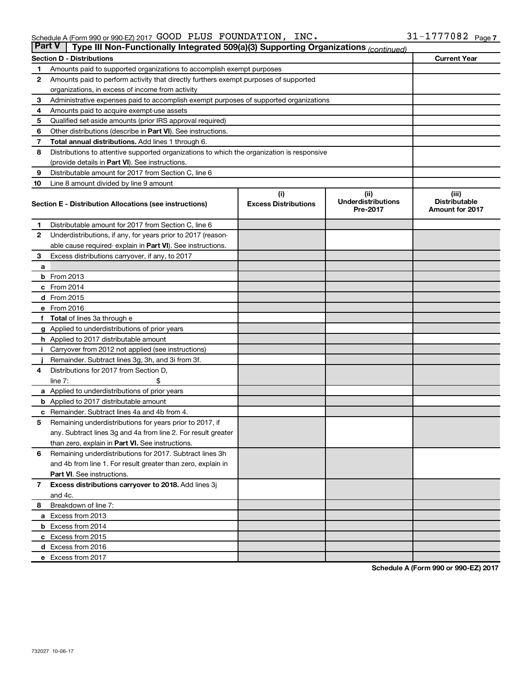| <b>Part V</b><br>Type III Non-Functionally Integrated 509(a)(3) Supporting Organizations (continued) |                                                                                            |                             |                                       |                                                |  |  |  |  |  |
|------------------------------------------------------------------------------------------------------|--------------------------------------------------------------------------------------------|-----------------------------|---------------------------------------|------------------------------------------------|--|--|--|--|--|
|                                                                                                      | <b>Section D - Distributions</b>                                                           |                             |                                       | <b>Current Year</b>                            |  |  |  |  |  |
| 1                                                                                                    | Amounts paid to supported organizations to accomplish exempt purposes                      |                             |                                       |                                                |  |  |  |  |  |
| $\mathbf{2}$                                                                                         | Amounts paid to perform activity that directly furthers exempt purposes of supported       |                             |                                       |                                                |  |  |  |  |  |
|                                                                                                      | organizations, in excess of income from activity                                           |                             |                                       |                                                |  |  |  |  |  |
| 3                                                                                                    | Administrative expenses paid to accomplish exempt purposes of supported organizations      |                             |                                       |                                                |  |  |  |  |  |
| 4                                                                                                    | Amounts paid to acquire exempt-use assets                                                  |                             |                                       |                                                |  |  |  |  |  |
| 5                                                                                                    | Qualified set-aside amounts (prior IRS approval required)                                  |                             |                                       |                                                |  |  |  |  |  |
| 6                                                                                                    | Other distributions (describe in <b>Part VI</b> ). See instructions.                       |                             |                                       |                                                |  |  |  |  |  |
| 7                                                                                                    | Total annual distributions. Add lines 1 through 6.                                         |                             |                                       |                                                |  |  |  |  |  |
| 8                                                                                                    | Distributions to attentive supported organizations to which the organization is responsive |                             |                                       |                                                |  |  |  |  |  |
|                                                                                                      | (provide details in Part VI). See instructions.                                            |                             |                                       |                                                |  |  |  |  |  |
| 9                                                                                                    | Distributable amount for 2017 from Section C, line 6                                       |                             |                                       |                                                |  |  |  |  |  |
| 10                                                                                                   | Line 8 amount divided by line 9 amount                                                     |                             |                                       |                                                |  |  |  |  |  |
|                                                                                                      |                                                                                            | (i)                         | (ii)                                  | (iii)                                          |  |  |  |  |  |
|                                                                                                      | Section E - Distribution Allocations (see instructions)                                    | <b>Excess Distributions</b> | <b>Underdistributions</b><br>Pre-2017 | <b>Distributable</b><br><b>Amount for 2017</b> |  |  |  |  |  |
| 1                                                                                                    | Distributable amount for 2017 from Section C, line 6                                       |                             |                                       |                                                |  |  |  |  |  |
| $\mathbf{2}$                                                                                         | Underdistributions, if any, for years prior to 2017 (reason-                               |                             |                                       |                                                |  |  |  |  |  |
|                                                                                                      | able cause required- explain in Part VI). See instructions.                                |                             |                                       |                                                |  |  |  |  |  |
| 3                                                                                                    | Excess distributions carryover, if any, to 2017                                            |                             |                                       |                                                |  |  |  |  |  |
| a                                                                                                    |                                                                                            |                             |                                       |                                                |  |  |  |  |  |
|                                                                                                      | <b>b</b> From 2013                                                                         |                             |                                       |                                                |  |  |  |  |  |
|                                                                                                      | c From 2014                                                                                |                             |                                       |                                                |  |  |  |  |  |
|                                                                                                      | d From 2015                                                                                |                             |                                       |                                                |  |  |  |  |  |
|                                                                                                      | e From 2016                                                                                |                             |                                       |                                                |  |  |  |  |  |
|                                                                                                      | f Total of lines 3a through e                                                              |                             |                                       |                                                |  |  |  |  |  |
|                                                                                                      | <b>g</b> Applied to underdistributions of prior years                                      |                             |                                       |                                                |  |  |  |  |  |
|                                                                                                      | <b>h</b> Applied to 2017 distributable amount                                              |                             |                                       |                                                |  |  |  |  |  |
| Ť.                                                                                                   | Carryover from 2012 not applied (see instructions)                                         |                             |                                       |                                                |  |  |  |  |  |
|                                                                                                      | Remainder. Subtract lines 3g, 3h, and 3i from 3f.                                          |                             |                                       |                                                |  |  |  |  |  |
| 4                                                                                                    | Distributions for 2017 from Section D,                                                     |                             |                                       |                                                |  |  |  |  |  |
|                                                                                                      | line $7:$                                                                                  |                             |                                       |                                                |  |  |  |  |  |
|                                                                                                      | a Applied to underdistributions of prior years                                             |                             |                                       |                                                |  |  |  |  |  |
|                                                                                                      | <b>b</b> Applied to 2017 distributable amount                                              |                             |                                       |                                                |  |  |  |  |  |
| c                                                                                                    | Remainder. Subtract lines 4a and 4b from 4.                                                |                             |                                       |                                                |  |  |  |  |  |
| 5                                                                                                    | Remaining underdistributions for years prior to 2017, if                                   |                             |                                       |                                                |  |  |  |  |  |
|                                                                                                      | any. Subtract lines 3g and 4a from line 2. For result greater                              |                             |                                       |                                                |  |  |  |  |  |
|                                                                                                      | than zero, explain in Part VI. See instructions.                                           |                             |                                       |                                                |  |  |  |  |  |
| 6                                                                                                    | Remaining underdistributions for 2017. Subtract lines 3h                                   |                             |                                       |                                                |  |  |  |  |  |
|                                                                                                      | and 4b from line 1. For result greater than zero, explain in                               |                             |                                       |                                                |  |  |  |  |  |
|                                                                                                      | <b>Part VI.</b> See instructions.                                                          |                             |                                       |                                                |  |  |  |  |  |
| $\mathbf{7}$                                                                                         | Excess distributions carryover to 2018. Add lines 3j                                       |                             |                                       |                                                |  |  |  |  |  |
|                                                                                                      | and 4c.                                                                                    |                             |                                       |                                                |  |  |  |  |  |
| 8                                                                                                    | Breakdown of line 7:                                                                       |                             |                                       |                                                |  |  |  |  |  |
|                                                                                                      | a Excess from 2013                                                                         |                             |                                       |                                                |  |  |  |  |  |
|                                                                                                      | <b>b</b> Excess from 2014                                                                  |                             |                                       |                                                |  |  |  |  |  |
|                                                                                                      | c Excess from 2015                                                                         |                             |                                       |                                                |  |  |  |  |  |
|                                                                                                      | d Excess from 2016                                                                         |                             |                                       |                                                |  |  |  |  |  |
|                                                                                                      | e Excess from 2017                                                                         |                             |                                       |                                                |  |  |  |  |  |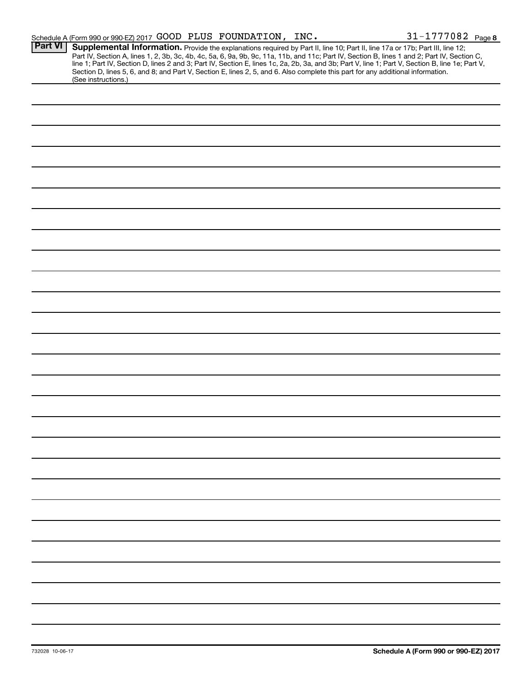|                | Schedule A (Form 990 or 990-EZ) 2017 GOOD PLUS FOUNDATION, INC.                                                                                                                                                                                                                                                                                                                                                                                                                                                                                                                             |  | 31-1777082 Page 8 |
|----------------|---------------------------------------------------------------------------------------------------------------------------------------------------------------------------------------------------------------------------------------------------------------------------------------------------------------------------------------------------------------------------------------------------------------------------------------------------------------------------------------------------------------------------------------------------------------------------------------------|--|-------------------|
| <b>Part VI</b> | Supplemental Information. Provide the explanations required by Part II, line 10; Part II, line 17a or 17b; Part III, line 12;<br>Part IV, Section A, lines 1, 2, 3b, 3c, 4b, 4c, 5a, 6, 9a, 9b, 9c, 11a, 11b, and 11c; Part IV, Section B, lines 1 and 2; Part IV, Section C,<br>line 1; Part IV, Section D, lines 2 and 3; Part IV, Section E, lines 1c, 2a, 2b, 3a, and 3b; Part V, line 1; Part V, Section B, line 1e; Part V,<br>Section D, lines 5, 6, and 8; and Part V, Section E, lines 2, 5, and 6. Also complete this part for any additional information.<br>(See instructions.) |  |                   |
|                |                                                                                                                                                                                                                                                                                                                                                                                                                                                                                                                                                                                             |  |                   |
|                |                                                                                                                                                                                                                                                                                                                                                                                                                                                                                                                                                                                             |  |                   |
|                |                                                                                                                                                                                                                                                                                                                                                                                                                                                                                                                                                                                             |  |                   |
|                |                                                                                                                                                                                                                                                                                                                                                                                                                                                                                                                                                                                             |  |                   |
|                |                                                                                                                                                                                                                                                                                                                                                                                                                                                                                                                                                                                             |  |                   |
|                |                                                                                                                                                                                                                                                                                                                                                                                                                                                                                                                                                                                             |  |                   |
|                |                                                                                                                                                                                                                                                                                                                                                                                                                                                                                                                                                                                             |  |                   |
|                |                                                                                                                                                                                                                                                                                                                                                                                                                                                                                                                                                                                             |  |                   |
|                |                                                                                                                                                                                                                                                                                                                                                                                                                                                                                                                                                                                             |  |                   |
|                |                                                                                                                                                                                                                                                                                                                                                                                                                                                                                                                                                                                             |  |                   |
|                |                                                                                                                                                                                                                                                                                                                                                                                                                                                                                                                                                                                             |  |                   |
|                |                                                                                                                                                                                                                                                                                                                                                                                                                                                                                                                                                                                             |  |                   |
|                |                                                                                                                                                                                                                                                                                                                                                                                                                                                                                                                                                                                             |  |                   |
|                |                                                                                                                                                                                                                                                                                                                                                                                                                                                                                                                                                                                             |  |                   |
|                |                                                                                                                                                                                                                                                                                                                                                                                                                                                                                                                                                                                             |  |                   |
|                |                                                                                                                                                                                                                                                                                                                                                                                                                                                                                                                                                                                             |  |                   |
|                |                                                                                                                                                                                                                                                                                                                                                                                                                                                                                                                                                                                             |  |                   |
|                |                                                                                                                                                                                                                                                                                                                                                                                                                                                                                                                                                                                             |  |                   |
|                |                                                                                                                                                                                                                                                                                                                                                                                                                                                                                                                                                                                             |  |                   |
|                |                                                                                                                                                                                                                                                                                                                                                                                                                                                                                                                                                                                             |  |                   |
|                |                                                                                                                                                                                                                                                                                                                                                                                                                                                                                                                                                                                             |  |                   |
|                |                                                                                                                                                                                                                                                                                                                                                                                                                                                                                                                                                                                             |  |                   |
|                |                                                                                                                                                                                                                                                                                                                                                                                                                                                                                                                                                                                             |  |                   |
|                |                                                                                                                                                                                                                                                                                                                                                                                                                                                                                                                                                                                             |  |                   |
|                |                                                                                                                                                                                                                                                                                                                                                                                                                                                                                                                                                                                             |  |                   |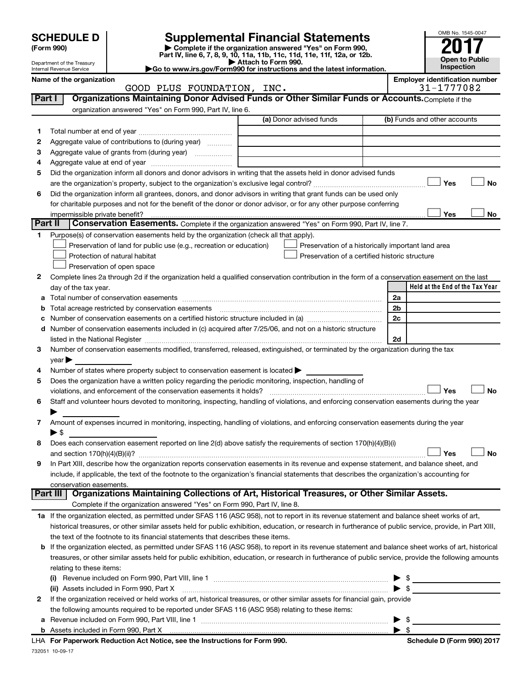| <b>SCHEDULE D</b><br>(Form 990)<br>Department of the Treasury<br>Go to www.irs.gov/Form990 for instructions and the latest information.<br>Internal Revenue Service |                                |                                                                                                               | <b>Supplemental Financial Statements</b><br>Complete if the organization answered "Yes" on Form 990,<br>Part IV, line 6, 7, 8, 9, 10, 11a, 11b, 11c, 11d, 11e, 11f, 12a, or 12b.<br>Attach to Form 990. |                      | OMB No. 1545-0047<br><b>Open to Public</b><br>Inspection |  |  |
|---------------------------------------------------------------------------------------------------------------------------------------------------------------------|--------------------------------|---------------------------------------------------------------------------------------------------------------|---------------------------------------------------------------------------------------------------------------------------------------------------------------------------------------------------------|----------------------|----------------------------------------------------------|--|--|
|                                                                                                                                                                     | Name of the organization       |                                                                                                               |                                                                                                                                                                                                         |                      | <b>Employer identification number</b>                    |  |  |
|                                                                                                                                                                     |                                | GOOD PLUS FOUNDATION, INC.                                                                                    |                                                                                                                                                                                                         |                      | 31-1777082                                               |  |  |
| Part I                                                                                                                                                              |                                |                                                                                                               | Organizations Maintaining Donor Advised Funds or Other Similar Funds or Accounts. Complete if the                                                                                                       |                      |                                                          |  |  |
|                                                                                                                                                                     |                                | organization answered "Yes" on Form 990, Part IV, line 6.                                                     |                                                                                                                                                                                                         |                      |                                                          |  |  |
|                                                                                                                                                                     |                                |                                                                                                               | (a) Donor advised funds                                                                                                                                                                                 |                      | (b) Funds and other accounts                             |  |  |
| 1.                                                                                                                                                                  |                                |                                                                                                               |                                                                                                                                                                                                         |                      |                                                          |  |  |
| 2                                                                                                                                                                   |                                | Aggregate value of contributions to (during year)                                                             |                                                                                                                                                                                                         |                      |                                                          |  |  |
| 3                                                                                                                                                                   |                                |                                                                                                               |                                                                                                                                                                                                         |                      |                                                          |  |  |
| 4<br>5                                                                                                                                                              |                                |                                                                                                               | Did the organization inform all donors and donor advisors in writing that the assets held in donor advised funds                                                                                        |                      |                                                          |  |  |
|                                                                                                                                                                     |                                |                                                                                                               |                                                                                                                                                                                                         |                      | Yes<br>No                                                |  |  |
| 6                                                                                                                                                                   |                                |                                                                                                               | Did the organization inform all grantees, donors, and donor advisors in writing that grant funds can be used only                                                                                       |                      |                                                          |  |  |
|                                                                                                                                                                     |                                |                                                                                                               | for charitable purposes and not for the benefit of the donor or donor advisor, or for any other purpose conferring                                                                                      |                      |                                                          |  |  |
|                                                                                                                                                                     | impermissible private benefit? |                                                                                                               |                                                                                                                                                                                                         |                      | Yes<br>No                                                |  |  |
| <b>Part II</b>                                                                                                                                                      |                                |                                                                                                               | Conservation Easements. Complete if the organization answered "Yes" on Form 990, Part IV, line 7.                                                                                                       |                      |                                                          |  |  |
| 1.                                                                                                                                                                  |                                | Purpose(s) of conservation easements held by the organization (check all that apply).                         |                                                                                                                                                                                                         |                      |                                                          |  |  |
|                                                                                                                                                                     |                                | Preservation of land for public use (e.g., recreation or education)                                           | Preservation of a historically important land area                                                                                                                                                      |                      |                                                          |  |  |
|                                                                                                                                                                     |                                | Protection of natural habitat                                                                                 | Preservation of a certified historic structure                                                                                                                                                          |                      |                                                          |  |  |
|                                                                                                                                                                     |                                | Preservation of open space                                                                                    |                                                                                                                                                                                                         |                      |                                                          |  |  |
| 2                                                                                                                                                                   |                                |                                                                                                               | Complete lines 2a through 2d if the organization held a qualified conservation contribution in the form of a conservation easement on the last                                                          |                      |                                                          |  |  |
|                                                                                                                                                                     | day of the tax year.           |                                                                                                               |                                                                                                                                                                                                         |                      | Held at the End of the Tax Year                          |  |  |
|                                                                                                                                                                     |                                |                                                                                                               |                                                                                                                                                                                                         | 2a<br>2 <sub>b</sub> |                                                          |  |  |
| с                                                                                                                                                                   |                                |                                                                                                               |                                                                                                                                                                                                         | 2c                   |                                                          |  |  |
| d                                                                                                                                                                   |                                |                                                                                                               | Number of conservation easements included in (c) acquired after 7/25/06, and not on a historic structure                                                                                                |                      |                                                          |  |  |
|                                                                                                                                                                     |                                | listed in the National Register [111] increases the National Property of the National Register [11] increases |                                                                                                                                                                                                         | 2d                   |                                                          |  |  |
| 3                                                                                                                                                                   |                                |                                                                                                               | Number of conservation easements modified, transferred, released, extinguished, or terminated by the organization during the tax                                                                        |                      |                                                          |  |  |
|                                                                                                                                                                     | vear                           |                                                                                                               |                                                                                                                                                                                                         |                      |                                                          |  |  |
| 4                                                                                                                                                                   |                                | Number of states where property subject to conservation easement is located >                                 |                                                                                                                                                                                                         |                      |                                                          |  |  |
| 5                                                                                                                                                                   |                                | Does the organization have a written policy regarding the periodic monitoring, inspection, handling of        |                                                                                                                                                                                                         |                      |                                                          |  |  |
|                                                                                                                                                                     |                                |                                                                                                               |                                                                                                                                                                                                         |                      | Yes<br>No                                                |  |  |
| 6                                                                                                                                                                   |                                |                                                                                                               | Staff and volunteer hours devoted to monitoring, inspecting, handling of violations, and enforcing conservation easements during the year                                                               |                      |                                                          |  |  |
|                                                                                                                                                                     |                                |                                                                                                               |                                                                                                                                                                                                         |                      |                                                          |  |  |
| 7                                                                                                                                                                   |                                |                                                                                                               | Amount of expenses incurred in monitoring, inspecting, handling of violations, and enforcing conservation easements during the year                                                                     |                      |                                                          |  |  |
| 8                                                                                                                                                                   | ▶ \$                           |                                                                                                               | Does each conservation easement reported on line 2(d) above satisfy the requirements of section 170(h)(4)(B)(i)                                                                                         |                      |                                                          |  |  |
|                                                                                                                                                                     |                                |                                                                                                               |                                                                                                                                                                                                         |                      | Yes<br><b>No</b>                                         |  |  |
| 9                                                                                                                                                                   |                                |                                                                                                               | In Part XIII, describe how the organization reports conservation easements in its revenue and expense statement, and balance sheet, and                                                                 |                      |                                                          |  |  |
|                                                                                                                                                                     |                                |                                                                                                               | include, if applicable, the text of the footnote to the organization's financial statements that describes the organization's accounting for                                                            |                      |                                                          |  |  |
|                                                                                                                                                                     | conservation easements.        |                                                                                                               |                                                                                                                                                                                                         |                      |                                                          |  |  |
|                                                                                                                                                                     | Part III                       |                                                                                                               | Organizations Maintaining Collections of Art, Historical Treasures, or Other Similar Assets.                                                                                                            |                      |                                                          |  |  |
|                                                                                                                                                                     |                                | Complete if the organization answered "Yes" on Form 990, Part IV, line 8.                                     |                                                                                                                                                                                                         |                      |                                                          |  |  |
|                                                                                                                                                                     |                                |                                                                                                               | 1a If the organization elected, as permitted under SFAS 116 (ASC 958), not to report in its revenue statement and balance sheet works of art,                                                           |                      |                                                          |  |  |
|                                                                                                                                                                     |                                |                                                                                                               | historical treasures, or other similar assets held for public exhibition, education, or research in furtherance of public service, provide, in Part XIII,                                               |                      |                                                          |  |  |
|                                                                                                                                                                     |                                | the text of the footnote to its financial statements that describes these items.                              |                                                                                                                                                                                                         |                      |                                                          |  |  |
| b                                                                                                                                                                   |                                |                                                                                                               | If the organization elected, as permitted under SFAS 116 (ASC 958), to report in its revenue statement and balance sheet works of art, historical                                                       |                      |                                                          |  |  |
|                                                                                                                                                                     |                                |                                                                                                               | treasures, or other similar assets held for public exhibition, education, or research in furtherance of public service, provide the following amounts                                                   |                      |                                                          |  |  |
|                                                                                                                                                                     | relating to these items:       |                                                                                                               |                                                                                                                                                                                                         |                      |                                                          |  |  |
|                                                                                                                                                                     |                                |                                                                                                               |                                                                                                                                                                                                         |                      |                                                          |  |  |
|                                                                                                                                                                     |                                | (ii) Assets included in Form 990, Part X                                                                      |                                                                                                                                                                                                         |                      |                                                          |  |  |
| 2                                                                                                                                                                   |                                | the following amounts required to be reported under SFAS 116 (ASC 958) relating to these items:               | If the organization received or held works of art, historical treasures, or other similar assets for financial gain, provide                                                                            |                      |                                                          |  |  |
|                                                                                                                                                                     |                                |                                                                                                               |                                                                                                                                                                                                         |                      |                                                          |  |  |

732051 10-09-17 **b** Assets included in Form 990, Part X **For Paperwork Reduction Act Notice, see the Instructions for Form 990. Schedule D (Form 990) 2017** LHA | \$

**a** Revenue included on Form 990, Part VIII, line 1 ~~~~~~~~~~~~~~~~~~~~~~~~~~~~~~ | \$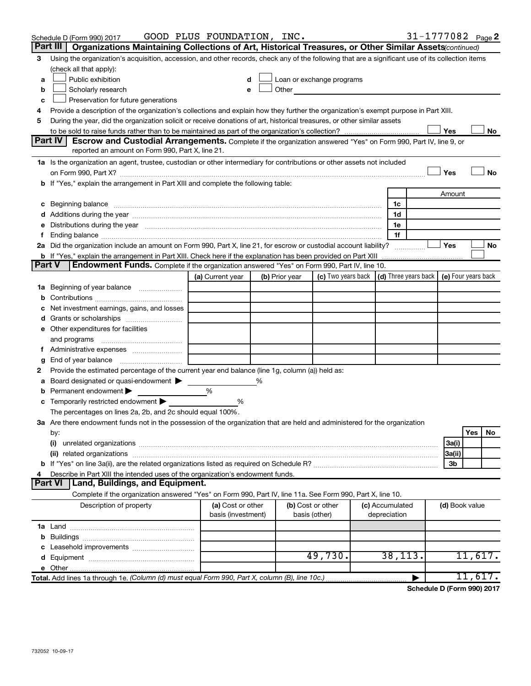|               | Schedule D (Form 990) 2017                                                                                                                                                                                                     | GOOD PLUS FOUNDATION, INC.              |                |                                                                                                                                                                                                                               |  |                                 |   |                | 31-1777082 Page 2 |
|---------------|--------------------------------------------------------------------------------------------------------------------------------------------------------------------------------------------------------------------------------|-----------------------------------------|----------------|-------------------------------------------------------------------------------------------------------------------------------------------------------------------------------------------------------------------------------|--|---------------------------------|---|----------------|-------------------|
|               | Organizations Maintaining Collections of Art, Historical Treasures, or Other Similar Assets (continued)<br>Part III                                                                                                            |                                         |                |                                                                                                                                                                                                                               |  |                                 |   |                |                   |
| 3             | Using the organization's acquisition, accession, and other records, check any of the following that are a significant use of its collection items                                                                              |                                         |                |                                                                                                                                                                                                                               |  |                                 |   |                |                   |
|               | (check all that apply):                                                                                                                                                                                                        |                                         |                |                                                                                                                                                                                                                               |  |                                 |   |                |                   |
| a             | Public exhibition                                                                                                                                                                                                              | d                                       |                | Loan or exchange programs                                                                                                                                                                                                     |  |                                 |   |                |                   |
| b             | Scholarly research                                                                                                                                                                                                             | e                                       |                | Other and the contract of the contract of the contract of the contract of the contract of the contract of the contract of the contract of the contract of the contract of the contract of the contract of the contract of the |  |                                 |   |                |                   |
| c             | Preservation for future generations                                                                                                                                                                                            |                                         |                |                                                                                                                                                                                                                               |  |                                 |   |                |                   |
| 4             | Provide a description of the organization's collections and explain how they further the organization's exempt purpose in Part XIII.                                                                                           |                                         |                |                                                                                                                                                                                                                               |  |                                 |   |                |                   |
| 5             | During the year, did the organization solicit or receive donations of art, historical treasures, or other similar assets                                                                                                       |                                         |                |                                                                                                                                                                                                                               |  |                                 |   |                |                   |
|               | Yes<br>No<br>Escrow and Custodial Arrangements. Complete if the organization answered "Yes" on Form 990, Part IV, line 9, or                                                                                                   |                                         |                |                                                                                                                                                                                                                               |  |                                 |   |                |                   |
|               | Part IV<br>reported an amount on Form 990, Part X, line 21.                                                                                                                                                                    |                                         |                |                                                                                                                                                                                                                               |  |                                 |   |                |                   |
|               |                                                                                                                                                                                                                                |                                         |                |                                                                                                                                                                                                                               |  |                                 |   |                |                   |
|               | 1a Is the organization an agent, trustee, custodian or other intermediary for contributions or other assets not included                                                                                                       |                                         |                |                                                                                                                                                                                                                               |  |                                 |   | Yes            | No                |
|               | b If "Yes," explain the arrangement in Part XIII and complete the following table:                                                                                                                                             |                                         |                |                                                                                                                                                                                                                               |  |                                 |   |                |                   |
|               |                                                                                                                                                                                                                                |                                         |                |                                                                                                                                                                                                                               |  |                                 |   | Amount         |                   |
|               |                                                                                                                                                                                                                                |                                         |                |                                                                                                                                                                                                                               |  | 1c                              |   |                |                   |
|               | c Beginning balance measurements and the contract of the contract of the contract of the contract of the contract of the contract of the contract of the contract of the contract of the contract of the contract of the contr |                                         |                |                                                                                                                                                                                                                               |  | 1d                              |   |                |                   |
| е             | Distributions during the year manufactured and an account of the year manufactured and the year manufactured and the year manufactured and the year manufactured and the year manufactured and the year manufactured and the y |                                         |                |                                                                                                                                                                                                                               |  | 1e                              |   |                |                   |
|               |                                                                                                                                                                                                                                |                                         |                |                                                                                                                                                                                                                               |  | 1f                              |   |                |                   |
|               | 2a Did the organization include an amount on Form 990, Part X, line 21, for escrow or custodial account liability?                                                                                                             |                                         |                |                                                                                                                                                                                                                               |  |                                 | . | Yes            | No                |
|               | <b>b</b> If "Yes," explain the arrangement in Part XIII. Check here if the explanation has been provided on Part XIII                                                                                                          |                                         |                |                                                                                                                                                                                                                               |  |                                 |   |                |                   |
| <b>Part V</b> | Endowment Funds. Complete if the organization answered "Yes" on Form 990, Part IV, line 10.                                                                                                                                    |                                         |                |                                                                                                                                                                                                                               |  |                                 |   |                |                   |
|               |                                                                                                                                                                                                                                | (a) Current year                        | (b) Prior year | (c) Two years back $\vert$ (d) Three years back $\vert$ (e) Four years back                                                                                                                                                   |  |                                 |   |                |                   |
|               | <b>1a</b> Beginning of year balance                                                                                                                                                                                            |                                         |                |                                                                                                                                                                                                                               |  |                                 |   |                |                   |
|               |                                                                                                                                                                                                                                |                                         |                |                                                                                                                                                                                                                               |  |                                 |   |                |                   |
| с             | Net investment earnings, gains, and losses                                                                                                                                                                                     |                                         |                |                                                                                                                                                                                                                               |  |                                 |   |                |                   |
| d             |                                                                                                                                                                                                                                |                                         |                |                                                                                                                                                                                                                               |  |                                 |   |                |                   |
|               | e Other expenditures for facilities                                                                                                                                                                                            |                                         |                |                                                                                                                                                                                                                               |  |                                 |   |                |                   |
|               | and programs                                                                                                                                                                                                                   |                                         |                |                                                                                                                                                                                                                               |  |                                 |   |                |                   |
|               | Administrative expenses                                                                                                                                                                                                        |                                         |                |                                                                                                                                                                                                                               |  |                                 |   |                |                   |
| g             |                                                                                                                                                                                                                                |                                         |                |                                                                                                                                                                                                                               |  |                                 |   |                |                   |
| 2             | Provide the estimated percentage of the current year end balance (line 1g, column (a)) held as:                                                                                                                                |                                         |                |                                                                                                                                                                                                                               |  |                                 |   |                |                   |
| а             | Board designated or quasi-endowment                                                                                                                                                                                            |                                         | %              |                                                                                                                                                                                                                               |  |                                 |   |                |                   |
| b             | Permanent endowment                                                                                                                                                                                                            | %                                       |                |                                                                                                                                                                                                                               |  |                                 |   |                |                   |
| с             | Temporarily restricted endowment                                                                                                                                                                                               | %                                       |                |                                                                                                                                                                                                                               |  |                                 |   |                |                   |
|               | The percentages on lines 2a, 2b, and 2c should equal 100%.                                                                                                                                                                     |                                         |                |                                                                                                                                                                                                                               |  |                                 |   |                |                   |
|               | 3a Are there endowment funds not in the possession of the organization that are held and administered for the organization                                                                                                     |                                         |                |                                                                                                                                                                                                                               |  |                                 |   |                |                   |
|               | by:                                                                                                                                                                                                                            |                                         |                |                                                                                                                                                                                                                               |  |                                 |   |                | Yes<br>No         |
|               | (i)                                                                                                                                                                                                                            |                                         |                |                                                                                                                                                                                                                               |  |                                 |   | 3a(i)          |                   |
|               |                                                                                                                                                                                                                                |                                         |                |                                                                                                                                                                                                                               |  |                                 |   | 3a(ii)         |                   |
|               |                                                                                                                                                                                                                                |                                         |                |                                                                                                                                                                                                                               |  |                                 |   | 3b             |                   |
| 4             | Describe in Part XIII the intended uses of the organization's endowment funds.                                                                                                                                                 |                                         |                |                                                                                                                                                                                                                               |  |                                 |   |                |                   |
|               | Land, Buildings, and Equipment.<br><b>Part VI</b>                                                                                                                                                                              |                                         |                |                                                                                                                                                                                                                               |  |                                 |   |                |                   |
|               | Complete if the organization answered "Yes" on Form 990, Part IV, line 11a. See Form 990, Part X, line 10.                                                                                                                     |                                         |                |                                                                                                                                                                                                                               |  |                                 |   |                |                   |
|               | Description of property                                                                                                                                                                                                        | (a) Cost or other<br>basis (investment) |                | (b) Cost or other<br>basis (other)                                                                                                                                                                                            |  | (c) Accumulated<br>depreciation |   | (d) Book value |                   |
|               |                                                                                                                                                                                                                                |                                         |                |                                                                                                                                                                                                                               |  |                                 |   |                |                   |
|               |                                                                                                                                                                                                                                |                                         |                |                                                                                                                                                                                                                               |  |                                 |   |                |                   |
|               |                                                                                                                                                                                                                                |                                         |                |                                                                                                                                                                                                                               |  |                                 |   |                |                   |
|               |                                                                                                                                                                                                                                |                                         |                | 49,730.                                                                                                                                                                                                                       |  | 38, 113.                        |   |                | 11,617.           |
|               |                                                                                                                                                                                                                                |                                         |                |                                                                                                                                                                                                                               |  |                                 |   |                |                   |
|               | Total. Add lines 1a through 1e. (Column (d) must equal Form 990, Part X, column (B), line 10c.)                                                                                                                                |                                         |                |                                                                                                                                                                                                                               |  |                                 |   |                | 11,617.           |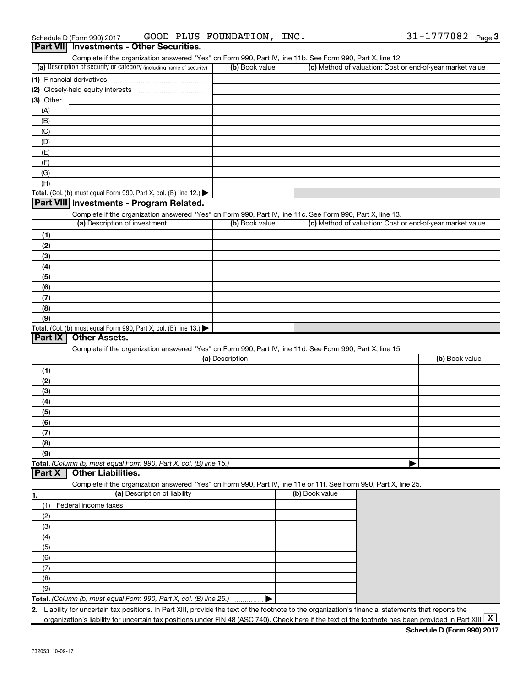| Schedule D (Form 990) 2017 | GOOD | PLUS | FOUNDATION, | INC. | 777082 | Page 3 |
|----------------------------|------|------|-------------|------|--------|--------|
|                            |      |      |             |      |        |        |

| Part VII Investments - Other Securities.                                                                                                          |                 |                                                                                                                                                      |
|---------------------------------------------------------------------------------------------------------------------------------------------------|-----------------|------------------------------------------------------------------------------------------------------------------------------------------------------|
| Complete if the organization answered "Yes" on Form 990, Part IV, line 11b. See Form 990, Part X, line 12.                                        |                 |                                                                                                                                                      |
| (a) Description of security or category (including name of security)                                                                              | (b) Book value  | (c) Method of valuation: Cost or end-of-year market value                                                                                            |
| (1) Financial derivatives                                                                                                                         |                 |                                                                                                                                                      |
|                                                                                                                                                   |                 |                                                                                                                                                      |
| (3) Other                                                                                                                                         |                 |                                                                                                                                                      |
| (A)                                                                                                                                               |                 |                                                                                                                                                      |
| (B)                                                                                                                                               |                 |                                                                                                                                                      |
| (C)                                                                                                                                               |                 |                                                                                                                                                      |
| (D)                                                                                                                                               |                 |                                                                                                                                                      |
| (E)                                                                                                                                               |                 |                                                                                                                                                      |
| (F)                                                                                                                                               |                 |                                                                                                                                                      |
| (G)                                                                                                                                               |                 |                                                                                                                                                      |
| (H)                                                                                                                                               |                 |                                                                                                                                                      |
| Total. (Col. (b) must equal Form 990, Part X, col. (B) line 12.) $\blacktriangleright$                                                            |                 |                                                                                                                                                      |
| Part VIII Investments - Program Related.                                                                                                          |                 |                                                                                                                                                      |
| Complete if the organization answered "Yes" on Form 990, Part IV, line 11c. See Form 990, Part X, line 13.                                        |                 |                                                                                                                                                      |
| (a) Description of investment                                                                                                                     | (b) Book value  | (c) Method of valuation: Cost or end-of-year market value                                                                                            |
| (1)                                                                                                                                               |                 |                                                                                                                                                      |
| (2)                                                                                                                                               |                 |                                                                                                                                                      |
| (3)                                                                                                                                               |                 |                                                                                                                                                      |
| (4)                                                                                                                                               |                 |                                                                                                                                                      |
| (5)                                                                                                                                               |                 |                                                                                                                                                      |
| (6)                                                                                                                                               |                 |                                                                                                                                                      |
| (7)                                                                                                                                               |                 |                                                                                                                                                      |
| (8)                                                                                                                                               |                 |                                                                                                                                                      |
| (9)                                                                                                                                               |                 |                                                                                                                                                      |
| Total. (Col. (b) must equal Form 990, Part X, col. (B) line $13.$ )                                                                               |                 |                                                                                                                                                      |
| <b>Other Assets.</b><br>Part IX                                                                                                                   |                 |                                                                                                                                                      |
| Complete if the organization answered "Yes" on Form 990, Part IV, line 11d. See Form 990, Part X, line 15.                                        |                 |                                                                                                                                                      |
|                                                                                                                                                   | (a) Description | (b) Book value                                                                                                                                       |
| (1)                                                                                                                                               |                 |                                                                                                                                                      |
| (2)                                                                                                                                               |                 |                                                                                                                                                      |
| (3)                                                                                                                                               |                 |                                                                                                                                                      |
| (4)                                                                                                                                               |                 |                                                                                                                                                      |
| (5)                                                                                                                                               |                 |                                                                                                                                                      |
|                                                                                                                                                   |                 |                                                                                                                                                      |
| (6)                                                                                                                                               |                 |                                                                                                                                                      |
| (7)                                                                                                                                               |                 |                                                                                                                                                      |
| (8)                                                                                                                                               |                 |                                                                                                                                                      |
| (9)                                                                                                                                               |                 |                                                                                                                                                      |
| Total. (Column (b) must equal Form 990, Part X, col. (B) line 15.).<br><b>Other Liabilities.</b><br>Part X                                        |                 |                                                                                                                                                      |
|                                                                                                                                                   |                 |                                                                                                                                                      |
| Complete if the organization answered "Yes" on Form 990, Part IV, line 11e or 11f. See Form 990, Part X, line 25.<br>(a) Description of liability |                 | (b) Book value                                                                                                                                       |
| 1.                                                                                                                                                |                 |                                                                                                                                                      |
| (1)<br>Federal income taxes                                                                                                                       |                 |                                                                                                                                                      |
| (2)                                                                                                                                               |                 |                                                                                                                                                      |
| (3)                                                                                                                                               |                 |                                                                                                                                                      |
| (4)                                                                                                                                               |                 |                                                                                                                                                      |
| (5)                                                                                                                                               |                 |                                                                                                                                                      |
| (6)                                                                                                                                               |                 |                                                                                                                                                      |
| (7)                                                                                                                                               |                 |                                                                                                                                                      |
| (8)                                                                                                                                               |                 |                                                                                                                                                      |
| (9)                                                                                                                                               |                 |                                                                                                                                                      |
| Total. (Column (b) must equal Form 990, Part X, col. (B) line 25.)                                                                                |                 |                                                                                                                                                      |
|                                                                                                                                                   |                 | 2. Liability for uncertain tax positions. In Part XIII, provide the text of the footnote to the organization's financial statements that reports the |

organization's liability for uncertain tax positions under FIN 48 (ASC 740). Check here if the text of the footnote has been provided in Part XIII  $\boxed{\text{X}}$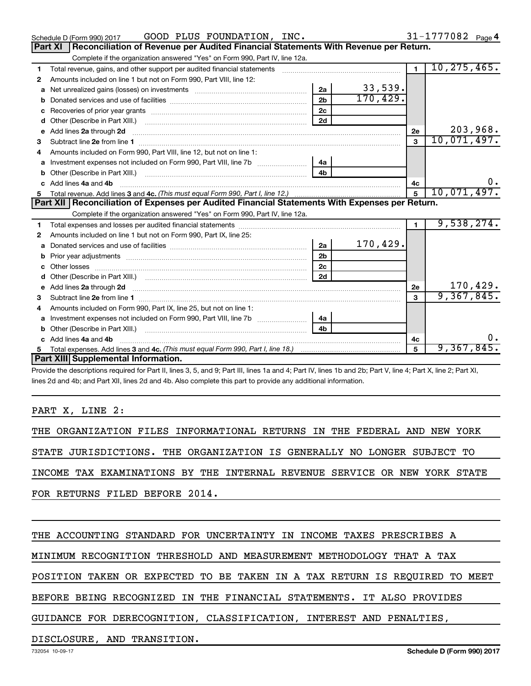|              | GOOD PLUS FOUNDATION, INC.<br>Schedule D (Form 990) 2017                                                                                                                                                                           |                |          |                | $31 - 1777082$ Page 4 |
|--------------|------------------------------------------------------------------------------------------------------------------------------------------------------------------------------------------------------------------------------------|----------------|----------|----------------|-----------------------|
|              | <b>Part XI</b><br>Reconciliation of Revenue per Audited Financial Statements With Revenue per Return.                                                                                                                              |                |          |                |                       |
|              | Complete if the organization answered "Yes" on Form 990, Part IV, line 12a.                                                                                                                                                        |                |          |                |                       |
| 1.           | Total revenue, gains, and other support per audited financial statements [111] [11] Total revenue, gains, and other support per audited financial statements                                                                       |                |          | $\overline{1}$ | 10, 275, 465.         |
| 2            | Amounts included on line 1 but not on Form 990, Part VIII, line 12:                                                                                                                                                                |                |          |                |                       |
| a            |                                                                                                                                                                                                                                    | 2a             | 33,539.  |                |                       |
|              |                                                                                                                                                                                                                                    | 2 <sub>h</sub> | 170,429. |                |                       |
| c            | Recoveries of prior year grants [11,111] Recoveries of prior year grants [11] Recoveries of prior year grants                                                                                                                      | 2 <sub>c</sub> |          |                |                       |
| d            |                                                                                                                                                                                                                                    | 2d             |          |                |                       |
| e            | Add lines 2a through 2d                                                                                                                                                                                                            |                |          | 2e             | 203,968.              |
| 3            |                                                                                                                                                                                                                                    |                |          | $\mathbf{3}$   | 10,071,497.           |
| 4            | Amounts included on Form 990, Part VIII, line 12, but not on line 1:                                                                                                                                                               |                |          |                |                       |
|              | Investment expenses not included on Form 990, Part VIII, line 7b [[[[[[[[[[[[[[[[[[[[[[]]]]]]]                                                                                                                                     | 4a             |          |                |                       |
| b            |                                                                                                                                                                                                                                    | 4 <sub>b</sub> |          |                |                       |
| $\mathbf{c}$ | Add lines 4a and 4b                                                                                                                                                                                                                |                |          | 4c             | 0.                    |
|              |                                                                                                                                                                                                                                    |                |          | $\overline{5}$ | 10,071,497.           |
|              |                                                                                                                                                                                                                                    |                |          |                |                       |
|              | Part XII   Reconciliation of Expenses per Audited Financial Statements With Expenses per Return.                                                                                                                                   |                |          |                |                       |
|              | Complete if the organization answered "Yes" on Form 990, Part IV, line 12a.                                                                                                                                                        |                |          |                |                       |
| 1            |                                                                                                                                                                                                                                    |                |          | $\blacksquare$ | 9,538,274.            |
| 2            | Amounts included on line 1 but not on Form 990, Part IX, line 25:                                                                                                                                                                  |                |          |                |                       |
| a            |                                                                                                                                                                                                                                    | 2a             | 170,429. |                |                       |
| b            |                                                                                                                                                                                                                                    | 2 <sub>b</sub> |          |                |                       |
|              |                                                                                                                                                                                                                                    | 2 <sub>c</sub> |          |                |                       |
| d            |                                                                                                                                                                                                                                    | 2d             |          |                |                       |
|              | Add lines 2a through 2d <b>must be a constructed as the constant of the construction</b> and the state of the state of the state of the state of the state of the state of the state of the state of the state of the state of the |                |          | 2e             | 170,429.              |
| з            |                                                                                                                                                                                                                                    |                |          | 3              | 9,367,845.            |
| 4            | Amounts included on Form 990, Part IX, line 25, but not on line 1:                                                                                                                                                                 |                |          |                |                       |
| a            | Investment expenses not included on Form 990, Part VIII, line 7b [11, 111, 120]                                                                                                                                                    | 4a             |          |                |                       |
| b            | Other (Describe in Part XIII.)                                                                                                                                                                                                     | 4 <sub>b</sub> |          |                |                       |
| c            | Add lines 4a and 4b                                                                                                                                                                                                                |                |          | 4с             | 0.                    |
|              | Part XIII Supplemental Information.                                                                                                                                                                                                |                |          | 5              | 9,367,845.            |

Provide the descriptions required for Part II, lines 3, 5, and 9; Part III, lines 1a and 4; Part IV, lines 1b and 2b; Part V, line 4; Part X, line 2; Part XI, lines 2d and 4b; and Part XII, lines 2d and 4b. Also complete this part to provide any additional information.

### PART X, LINE 2:

THE ORGANIZATION FILES INFORMATIONAL RETURNS IN THE FEDERAL AND NEW YORK STATE JURISDICTIONS. THE ORGANIZATION IS GENERALLY NO LONGER SUBJECT TO INCOME TAX EXAMINATIONS BY THE INTERNAL REVENUE SERVICE OR NEW YORK STATE FOR RETURNS FILED BEFORE 2014.

THE ACCOUNTING STANDARD FOR UNCERTAINTY IN INCOME TAXES PRESCRIBES A

MINIMUM RECOGNITION THRESHOLD AND MEASUREMENT METHODOLOGY THAT A TAX

POSITION TAKEN OR EXPECTED TO BE TAKEN IN A TAX RETURN IS REQUIRED TO MEET

BEFORE BEING RECOGNIZED IN THE FINANCIAL STATEMENTS. IT ALSO PROVIDES

GUIDANCE FOR DERECOGNITION, CLASSIFICATION, INTEREST AND PENALTIES,

DISCLOSURE, AND TRANSITION.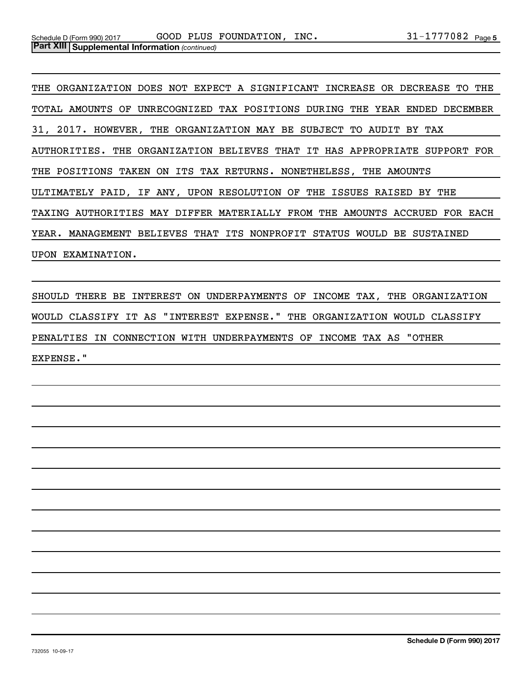THE ORGANIZATION DOES NOT EXPECT A SIGNIFICANT INCREASE OR DECREASE TO THE TOTAL AMOUNTS OF UNRECOGNIZED TAX POSITIONS DURING THE YEAR ENDED DECEMBER 31, 2017. HOWEVER, THE ORGANIZATION MAY BE SUBJECT TO AUDIT BY TAX AUTHORITIES. THE ORGANIZATION BELIEVES THAT IT HAS APPROPRIATE SUPPORT FOR THE POSITIONS TAKEN ON ITS TAX RETURNS. NONETHELESS, THE AMOUNTS ULTIMATELY PAID, IF ANY, UPON RESOLUTION OF THE ISSUES RAISED BY THE TAXING AUTHORITIES MAY DIFFER MATERIALLY FROM THE AMOUNTS ACCRUED FOR EACH YEAR. MANAGEMENT BELIEVES THAT ITS NONPROFIT STATUS WOULD BE SUSTAINED UPON EXAMINATION.

SHOULD THERE BE INTEREST ON UNDERPAYMENTS OF INCOME TAX, THE ORGANIZATION WOULD CLASSIFY IT AS "INTEREST EXPENSE." THE ORGANIZATION WOULD CLASSIFY PENALTIES IN CONNECTION WITH UNDERPAYMENTS OF INCOME TAX AS "OTHER EXPENSE."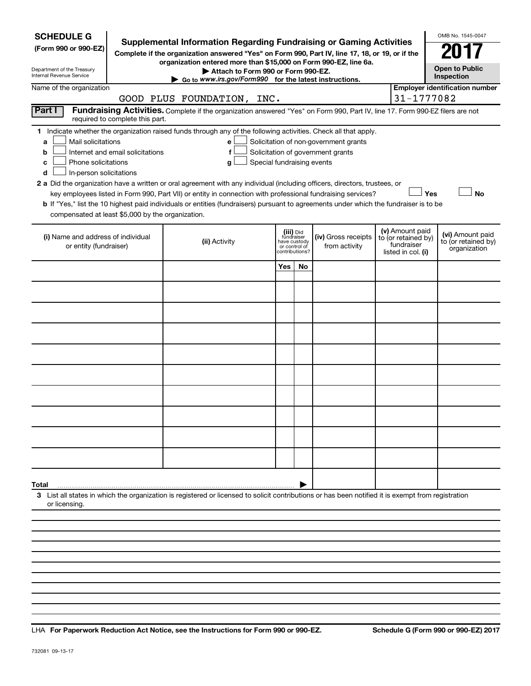| <b>SCHEDULE G</b><br>(Form 990 or 990-EZ)<br>Department of the Treasury<br>Internal Revenue Service                                                                                                                                                                                                                                                                                                                                                                                                                                                                                                                                                                                                                                                                                                                                              | <b>Supplemental Information Regarding Fundraising or Gaming Activities</b><br>Complete if the organization answered "Yes" on Form 990, Part IV, line 17, 18, or 19, or if the<br>organization entered more than \$15,000 on Form 990-EZ, line 6a.<br>Attach to Form 990 or Form 990-EZ.<br>$\triangleright$ Go to www.irs.gov/Form990 for the latest instructions. |                            |                                              |                                      |  |                                                                            | OMB No. 1545-0047<br><b>Open to Public</b><br>Inspection |
|--------------------------------------------------------------------------------------------------------------------------------------------------------------------------------------------------------------------------------------------------------------------------------------------------------------------------------------------------------------------------------------------------------------------------------------------------------------------------------------------------------------------------------------------------------------------------------------------------------------------------------------------------------------------------------------------------------------------------------------------------------------------------------------------------------------------------------------------------|--------------------------------------------------------------------------------------------------------------------------------------------------------------------------------------------------------------------------------------------------------------------------------------------------------------------------------------------------------------------|----------------------------|----------------------------------------------|--------------------------------------|--|----------------------------------------------------------------------------|----------------------------------------------------------|
| Name of the organization                                                                                                                                                                                                                                                                                                                                                                                                                                                                                                                                                                                                                                                                                                                                                                                                                         | GOOD PLUS FOUNDATION, INC.                                                                                                                                                                                                                                                                                                                                         |                            |                                              |                                      |  | 31-1777082                                                                 | <b>Employer identification number</b>                    |
| Part I<br>required to complete this part.                                                                                                                                                                                                                                                                                                                                                                                                                                                                                                                                                                                                                                                                                                                                                                                                        | Fundraising Activities. Complete if the organization answered "Yes" on Form 990, Part IV, line 17. Form 990-EZ filers are not                                                                                                                                                                                                                                      |                            |                                              |                                      |  |                                                                            |                                                          |
| 1 Indicate whether the organization raised funds through any of the following activities. Check all that apply.<br>Mail solicitations<br>Solicitation of non-government grants<br>e<br>a<br>Internet and email solicitations<br>f<br>Solicitation of government grants<br>b<br>Phone solicitations<br>Special fundraising events<br>g<br>с<br>In-person solicitations<br>d<br>2 a Did the organization have a written or oral agreement with any individual (including officers, directors, trustees, or<br>Yes<br><b>No</b><br>key employees listed in Form 990, Part VII) or entity in connection with professional fundraising services?<br><b>b</b> If "Yes," list the 10 highest paid individuals or entities (fundraisers) pursuant to agreements under which the fundraiser is to be<br>compensated at least \$5,000 by the organization. |                                                                                                                                                                                                                                                                                                                                                                    |                            |                                              |                                      |  |                                                                            |                                                          |
| (i) Name and address of individual<br>or entity (fundraiser)                                                                                                                                                                                                                                                                                                                                                                                                                                                                                                                                                                                                                                                                                                                                                                                     | (ii) Activity                                                                                                                                                                                                                                                                                                                                                      | fundraiser<br>have custody | (iii) Did<br>or control of<br>contributions? | (iv) Gross receipts<br>from activity |  | (v) Amount paid<br>to (or retained by)<br>fundraiser<br>listed in col. (i) | (vi) Amount paid<br>to (or retained by)<br>organization  |
|                                                                                                                                                                                                                                                                                                                                                                                                                                                                                                                                                                                                                                                                                                                                                                                                                                                  |                                                                                                                                                                                                                                                                                                                                                                    | Yes                        | No.                                          |                                      |  |                                                                            |                                                          |
|                                                                                                                                                                                                                                                                                                                                                                                                                                                                                                                                                                                                                                                                                                                                                                                                                                                  |                                                                                                                                                                                                                                                                                                                                                                    |                            |                                              |                                      |  |                                                                            |                                                          |
|                                                                                                                                                                                                                                                                                                                                                                                                                                                                                                                                                                                                                                                                                                                                                                                                                                                  |                                                                                                                                                                                                                                                                                                                                                                    |                            |                                              |                                      |  |                                                                            |                                                          |
|                                                                                                                                                                                                                                                                                                                                                                                                                                                                                                                                                                                                                                                                                                                                                                                                                                                  |                                                                                                                                                                                                                                                                                                                                                                    |                            |                                              |                                      |  |                                                                            |                                                          |
|                                                                                                                                                                                                                                                                                                                                                                                                                                                                                                                                                                                                                                                                                                                                                                                                                                                  |                                                                                                                                                                                                                                                                                                                                                                    |                            |                                              |                                      |  |                                                                            |                                                          |
|                                                                                                                                                                                                                                                                                                                                                                                                                                                                                                                                                                                                                                                                                                                                                                                                                                                  |                                                                                                                                                                                                                                                                                                                                                                    |                            |                                              |                                      |  |                                                                            |                                                          |
|                                                                                                                                                                                                                                                                                                                                                                                                                                                                                                                                                                                                                                                                                                                                                                                                                                                  |                                                                                                                                                                                                                                                                                                                                                                    |                            |                                              |                                      |  |                                                                            |                                                          |
|                                                                                                                                                                                                                                                                                                                                                                                                                                                                                                                                                                                                                                                                                                                                                                                                                                                  |                                                                                                                                                                                                                                                                                                                                                                    |                            |                                              |                                      |  |                                                                            |                                                          |
|                                                                                                                                                                                                                                                                                                                                                                                                                                                                                                                                                                                                                                                                                                                                                                                                                                                  |                                                                                                                                                                                                                                                                                                                                                                    |                            |                                              |                                      |  |                                                                            |                                                          |
|                                                                                                                                                                                                                                                                                                                                                                                                                                                                                                                                                                                                                                                                                                                                                                                                                                                  |                                                                                                                                                                                                                                                                                                                                                                    |                            |                                              |                                      |  |                                                                            |                                                          |
| Total                                                                                                                                                                                                                                                                                                                                                                                                                                                                                                                                                                                                                                                                                                                                                                                                                                            |                                                                                                                                                                                                                                                                                                                                                                    |                            |                                              |                                      |  |                                                                            |                                                          |
| 3 List all states in which the organization is registered or licensed to solicit contributions or has been notified it is exempt from registration<br>or licensing.                                                                                                                                                                                                                                                                                                                                                                                                                                                                                                                                                                                                                                                                              |                                                                                                                                                                                                                                                                                                                                                                    |                            |                                              |                                      |  |                                                                            |                                                          |
|                                                                                                                                                                                                                                                                                                                                                                                                                                                                                                                                                                                                                                                                                                                                                                                                                                                  |                                                                                                                                                                                                                                                                                                                                                                    |                            |                                              |                                      |  |                                                                            |                                                          |
|                                                                                                                                                                                                                                                                                                                                                                                                                                                                                                                                                                                                                                                                                                                                                                                                                                                  |                                                                                                                                                                                                                                                                                                                                                                    |                            |                                              |                                      |  |                                                                            |                                                          |
|                                                                                                                                                                                                                                                                                                                                                                                                                                                                                                                                                                                                                                                                                                                                                                                                                                                  |                                                                                                                                                                                                                                                                                                                                                                    |                            |                                              |                                      |  |                                                                            |                                                          |

**For Paperwork Reduction Act Notice, see the Instructions for Form 990 or 990-EZ. Schedule G (Form 990 or 990-EZ) 2017** LHA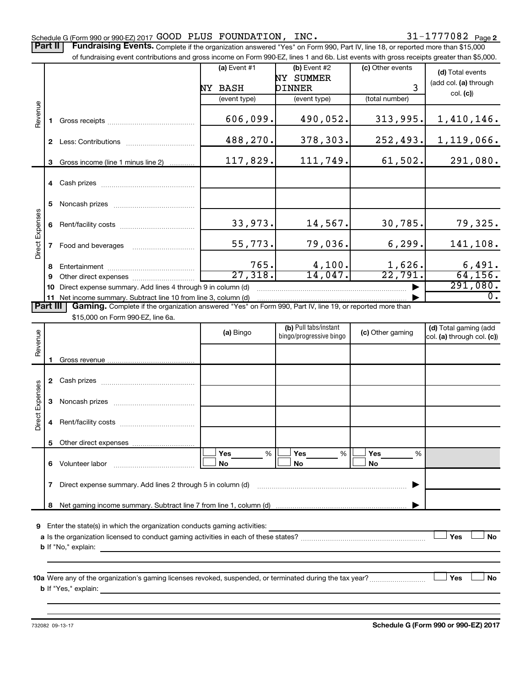Part II | Fundraising Events. Complete if the organization answered "Yes" on Form 990, Part IV, line 18, or reported more than \$15,000

|                        |             | of fundraising event contributions and gross income on Form 990-EZ, lines 1 and 6b. List events with gross receipts greater than \$5,000. |                       |                                                  |                  |                                                     |
|------------------------|-------------|-------------------------------------------------------------------------------------------------------------------------------------------|-----------------------|--------------------------------------------------|------------------|-----------------------------------------------------|
|                        |             |                                                                                                                                           | (a) Event $#1$        | $(b)$ Event #2<br>NY SUMMER                      | (c) Other events | (d) Total events<br>(add col. (a) through           |
|                        |             |                                                                                                                                           | NY BASH               | DINNER                                           | 3                | col. (c)                                            |
|                        |             |                                                                                                                                           | (event type)          | (event type)                                     | (total number)   |                                                     |
| Revenue                | 1.          |                                                                                                                                           | 606,099.              | 490,052.                                         | 313,995.         | 1,410,146.                                          |
|                        |             |                                                                                                                                           | 488,270.              | 378,303.                                         | 252, 493.        | 1,119,066.                                          |
|                        | 3           | Gross income (line 1 minus line 2)                                                                                                        | 117,829.              | 111,749.                                         | 61,502.          | 291,080.                                            |
|                        |             |                                                                                                                                           |                       |                                                  |                  |                                                     |
|                        | 5           |                                                                                                                                           |                       |                                                  |                  |                                                     |
|                        | 6           |                                                                                                                                           | 33,973.               | 14,567.                                          | 30,785.          | 79,325.                                             |
| <b>Direct Expenses</b> | $7^{\circ}$ | Food and beverages                                                                                                                        | 55,773.               | 79,036.                                          | 6, 299.          | 141,108.                                            |
|                        | 8           |                                                                                                                                           | 765.                  | 4,100.                                           | 1,626.           | 6,491.                                              |
|                        | 9           |                                                                                                                                           | $\overline{27,318}$ . | 14,047.                                          | 22,791.          | 64, 156.                                            |
|                        |             | 10 Direct expense summary. Add lines 4 through 9 in column (d)                                                                            |                       |                                                  |                  | 291,080.                                            |
|                        |             | 11 Net income summary. Subtract line 10 from line 3, column (d)                                                                           |                       |                                                  |                  | $\overline{0}$ .                                    |
| Part III               |             | Gaming. Complete if the organization answered "Yes" on Form 990, Part IV, line 19, or reported more than                                  |                       |                                                  |                  |                                                     |
|                        |             | \$15,000 on Form 990-EZ, line 6a.                                                                                                         |                       |                                                  |                  |                                                     |
| Revenue                |             |                                                                                                                                           | (a) Bingo             | (b) Pull tabs/instant<br>bingo/progressive bingo | (c) Other gaming | (d) Total gaming (add<br>col. (a) through col. (c)) |
|                        |             |                                                                                                                                           |                       |                                                  |                  |                                                     |
|                        |             |                                                                                                                                           |                       |                                                  |                  |                                                     |
|                        |             |                                                                                                                                           |                       |                                                  |                  |                                                     |
| Direct Expenses        |             |                                                                                                                                           |                       |                                                  |                  |                                                     |
|                        |             |                                                                                                                                           |                       |                                                  |                  |                                                     |
|                        |             |                                                                                                                                           |                       |                                                  |                  |                                                     |
|                        |             |                                                                                                                                           | <b>Yes</b><br>%       | Yes<br>%                                         | Yes<br>%         |                                                     |
|                        | 6.          | Volunteer labor                                                                                                                           | No                    | No                                               | No               |                                                     |
|                        |             |                                                                                                                                           |                       |                                                  |                  |                                                     |

**8** Net gaming income summary. Subtract line 7 from line 1, column (d)

| <b>9</b> Enter the state(s) in which the organization conducts gaming activities:    |            |    |
|--------------------------------------------------------------------------------------|------------|----|
| a Is the organization licensed to conduct gaming activities in each of these states? | <b>Yes</b> | No |
| <b>b</b> If "No," explain:                                                           |            |    |

|

**10 a Yes No** Were any of the organization's gaming licenses revoked, suspended, or terminated during the tax year? ~~~~~~~~~ † † **b** If "Yes," explain:

**7** Direct expense summary. Add lines 2 through 5 in column (d) ~~~~~~~~~~~~~~~~~~~~~~~~ |

732082 09-13-17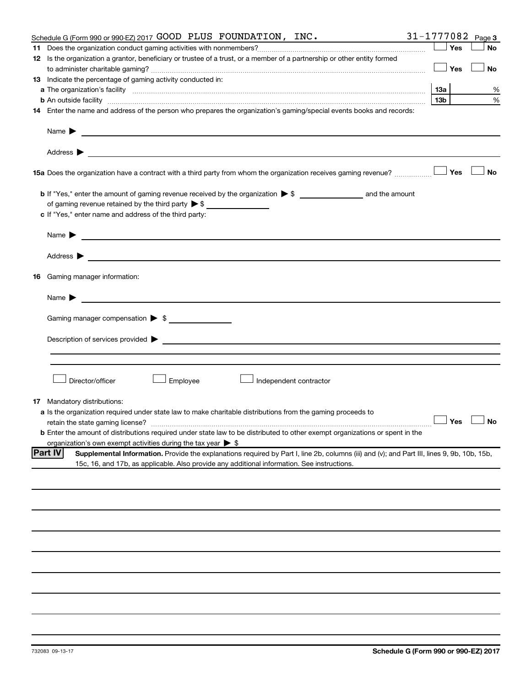| Schedule G (Form 990 or 990-EZ) 2017 GOOD PLUS FOUNDATION, $INC.$                                                                                                                                                                                            |                 |     | 31-1777082 $_{Page 3}$ |
|--------------------------------------------------------------------------------------------------------------------------------------------------------------------------------------------------------------------------------------------------------------|-----------------|-----|------------------------|
|                                                                                                                                                                                                                                                              |                 | Yes | No                     |
| 12 Is the organization a grantor, beneficiary or trustee of a trust, or a member of a partnership or other entity formed                                                                                                                                     |                 |     |                        |
|                                                                                                                                                                                                                                                              |                 | Yes | No                     |
| 13 Indicate the percentage of gaming activity conducted in:                                                                                                                                                                                                  |                 |     |                        |
|                                                                                                                                                                                                                                                              | 13а             |     | %                      |
| <b>b</b> An outside facility <i>www.communicality www.communicality.communicality www.communicality www.communicality.communicality www.communicality.com</i>                                                                                                | 13 <sub>b</sub> |     | %                      |
| 14 Enter the name and address of the person who prepares the organization's gaming/special events books and records:                                                                                                                                         |                 |     |                        |
|                                                                                                                                                                                                                                                              |                 |     |                        |
|                                                                                                                                                                                                                                                              |                 |     |                        |
| 15a Does the organization have a contract with a third party from whom the organization receives gaming revenue?                                                                                                                                             |                 | Yes | <b>No</b>              |
|                                                                                                                                                                                                                                                              |                 |     |                        |
| of gaming revenue retained by the third party $\triangleright$ \$                                                                                                                                                                                            |                 |     |                        |
| c If "Yes," enter name and address of the third party:                                                                                                                                                                                                       |                 |     |                        |
|                                                                                                                                                                                                                                                              |                 |     |                        |
|                                                                                                                                                                                                                                                              |                 |     |                        |
| 16 Gaming manager information:                                                                                                                                                                                                                               |                 |     |                        |
| Name $\blacktriangleright$<br><u> 1989 - Johann Barn, mars and de Branch Barn, mars and de Branch Barn, mars and de Branch Barn, mars and de Br</u>                                                                                                          |                 |     |                        |
| Gaming manager compensation > \$                                                                                                                                                                                                                             |                 |     |                        |
|                                                                                                                                                                                                                                                              |                 |     |                        |
|                                                                                                                                                                                                                                                              |                 |     |                        |
|                                                                                                                                                                                                                                                              |                 |     |                        |
| Director/officer<br>Employee<br>Independent contractor                                                                                                                                                                                                       |                 |     |                        |
| <b>17</b> Mandatory distributions:                                                                                                                                                                                                                           |                 |     |                        |
| a Is the organization required under state law to make charitable distributions from the gaming proceeds to                                                                                                                                                  |                 |     |                        |
|                                                                                                                                                                                                                                                              |                 |     | $\Box$ Yes $\Box$ No   |
| <b>b</b> Enter the amount of distributions required under state law to be distributed to other exempt organizations or spent in the                                                                                                                          |                 |     |                        |
| organization's own exempt activities during the tax year $\triangleright$ \$                                                                                                                                                                                 |                 |     |                        |
| <b>Part IV</b><br>Supplemental Information. Provide the explanations required by Part I, line 2b, columns (iii) and (v); and Part III, lines 9, 9b, 10b, 15b,<br>15c, 16, and 17b, as applicable. Also provide any additional information. See instructions. |                 |     |                        |
|                                                                                                                                                                                                                                                              |                 |     |                        |
|                                                                                                                                                                                                                                                              |                 |     |                        |
|                                                                                                                                                                                                                                                              |                 |     |                        |
|                                                                                                                                                                                                                                                              |                 |     |                        |
|                                                                                                                                                                                                                                                              |                 |     |                        |
|                                                                                                                                                                                                                                                              |                 |     |                        |
|                                                                                                                                                                                                                                                              |                 |     |                        |
|                                                                                                                                                                                                                                                              |                 |     |                        |
|                                                                                                                                                                                                                                                              |                 |     |                        |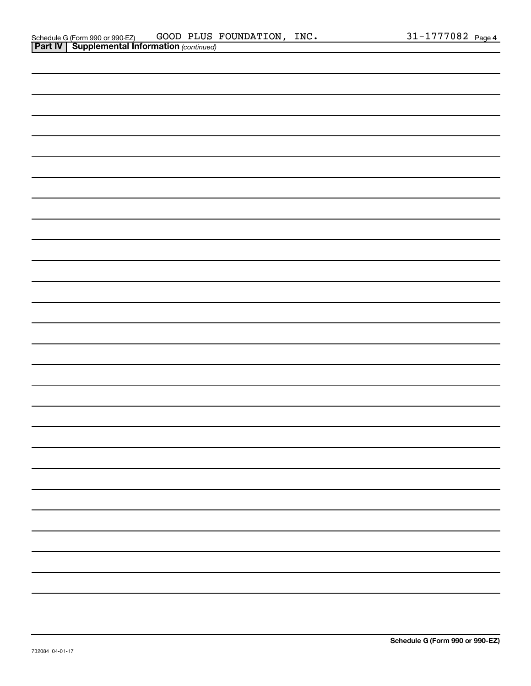| ۰  |
|----|
| -  |
|    |
| ł, |
|    |
| ۰  |
|    |
|    |
|    |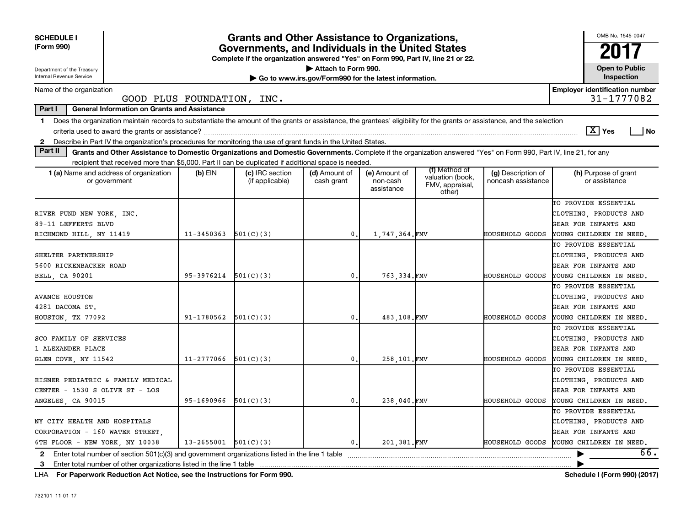| <b>SCHEDULE I</b><br>(Form 990)                                                                                                                                                                                                                                                                                |                                                                                   | <b>Grants and Other Assistance to Organizations,</b><br>Governments, and Individuals in the United States<br>Complete if the organization answered "Yes" on Form 990, Part IV, line 21 or 22. |                             |                                         |                                                                |                                          | OMB No. 1545-0047<br>2017                                                                                |  |  |  |  |  |  |
|----------------------------------------------------------------------------------------------------------------------------------------------------------------------------------------------------------------------------------------------------------------------------------------------------------------|-----------------------------------------------------------------------------------|-----------------------------------------------------------------------------------------------------------------------------------------------------------------------------------------------|-----------------------------|-----------------------------------------|----------------------------------------------------------------|------------------------------------------|----------------------------------------------------------------------------------------------------------|--|--|--|--|--|--|
| Attach to Form 990.<br><b>Open to Public</b><br>Department of the Treasury<br>Internal Revenue Service<br>Inspection<br>Go to www.irs.gov/Form990 for the latest information.                                                                                                                                  |                                                                                   |                                                                                                                                                                                               |                             |                                         |                                                                |                                          |                                                                                                          |  |  |  |  |  |  |
| Name of the organization                                                                                                                                                                                                                                                                                       | <b>Employer identification number</b><br>31-1777082<br>GOOD PLUS FOUNDATION, INC. |                                                                                                                                                                                               |                             |                                         |                                                                |                                          |                                                                                                          |  |  |  |  |  |  |
| Part I                                                                                                                                                                                                                                                                                                         | <b>General Information on Grants and Assistance</b>                               |                                                                                                                                                                                               |                             |                                         |                                                                |                                          |                                                                                                          |  |  |  |  |  |  |
| Does the organization maintain records to substantiate the amount of the grants or assistance, the grantees' eligibility for the grants or assistance, and the selection<br>$\mathbf{1}$<br>Describe in Part IV the organization's procedures for monitoring the use of grant funds in the United States.<br>2 |                                                                                   |                                                                                                                                                                                               |                             |                                         |                                                                |                                          | $\boxed{\text{X}}$ Yes<br>l No                                                                           |  |  |  |  |  |  |
| Part II<br>Grants and Other Assistance to Domestic Organizations and Domestic Governments. Complete if the organization answered "Yes" on Form 990, Part IV, line 21, for any                                                                                                                                  |                                                                                   |                                                                                                                                                                                               |                             |                                         |                                                                |                                          |                                                                                                          |  |  |  |  |  |  |
| recipient that received more than \$5,000. Part II can be duplicated if additional space is needed                                                                                                                                                                                                             |                                                                                   |                                                                                                                                                                                               |                             |                                         |                                                                |                                          |                                                                                                          |  |  |  |  |  |  |
| <b>1 (a)</b> Name and address of organization<br>or government                                                                                                                                                                                                                                                 | $(b)$ EIN                                                                         | (c) IRC section<br>(if applicable)                                                                                                                                                            | (d) Amount of<br>cash grant | (e) Amount of<br>non-cash<br>assistance | (f) Method of<br>valuation (book,<br>FMV, appraisal,<br>other) | (g) Description of<br>noncash assistance | (h) Purpose of grant<br>or assistance                                                                    |  |  |  |  |  |  |
| RIVER FUND NEW YORK, INC.<br>89-11 LEFFERTS BLVD<br>RICHMOND HILL, NY 11419                                                                                                                                                                                                                                    | $11 - 3450363$                                                                    | 501(C)(3)                                                                                                                                                                                     | $\mathbf{0}$ .              | 1,747,364.FMV                           |                                                                | HOUSEHOLD GOODS                          | TO PROVIDE ESSENTIAL<br>CLOTHING, PRODUCTS AND<br>GEAR FOR INFANTS AND<br>YOUNG CHILDREN IN NEED.        |  |  |  |  |  |  |
| SHELTER PARTNERSHIP<br>5600 RICKENBACKER ROAD<br>BELL, CA 90201                                                                                                                                                                                                                                                | 95-3976214                                                                        | 501(C)(3)                                                                                                                                                                                     | $\mathbf{0}$ .              | 763.334.FMV                             |                                                                | HOUSEHOLD GOODS                          | TO PROVIDE ESSENTIAL<br>CLOTHING, PRODUCTS AND<br>GEAR FOR INFANTS AND<br>YOUNG CHILDREN IN NEED.        |  |  |  |  |  |  |
| <b>AVANCE HOUSTON</b><br>4281 DACOMA ST.<br>HOUSTON, TX 77092                                                                                                                                                                                                                                                  | 91-1780562                                                                        | 501(C)(3)                                                                                                                                                                                     | $\mathbf{0}$ .              | 483.108.FMV                             |                                                                | HOUSEHOLD GOODS                          | TO PROVIDE ESSENTIAL<br>CLOTHING, PRODUCTS AND<br>GEAR FOR INFANTS AND<br>YOUNG CHILDREN IN NEED,        |  |  |  |  |  |  |
| SCO FAMILY OF SERVICES<br>1 ALEXANDER PLACE<br>GLEN COVE, NY 11542                                                                                                                                                                                                                                             | 11-2777066                                                                        | 501(C)(3)                                                                                                                                                                                     | 0.                          | 258,101.FMV                             |                                                                | HOUSEHOLD GOODS                          | TO PROVIDE ESSENTIAL<br>CLOTHING, PRODUCTS AND<br>GEAR FOR INFANTS AND<br>YOUNG CHILDREN IN NEED.        |  |  |  |  |  |  |
| EISNER PEDIATRIC & FAMILY MEDICAL<br>CENTER - 1530 S OLIVE ST - LOS<br>ANGELES, CA 90015                                                                                                                                                                                                                       | 95-1690966                                                                        | 501(C)(3)                                                                                                                                                                                     | $\mathbf{0}$ .              | 238,040.FMV                             |                                                                | HOUSEHOLD GOODS                          | TO PROVIDE ESSENTIAL<br>CLOTHING, PRODUCTS AND<br>GEAR FOR INFANTS AND<br>YOUNG CHILDREN IN NEED,        |  |  |  |  |  |  |
| NY CITY HEALTH AND HOSPITALS<br>CORPORATION - 160 WATER STREET.<br>6TH FLOOR - NEW YORK, NY 10038                                                                                                                                                                                                              | 13-2655001                                                                        | 501(C)(3)                                                                                                                                                                                     | $\mathbf{0}$ .              | 201.381.FMV                             |                                                                | <b>HOUSEHOLD GOODS</b>                   | TO PROVIDE ESSENTIAL<br>CLOTHING, PRODUCTS AND<br>GEAR FOR INFANTS AND<br>YOUNG CHILDREN IN NEED.<br>66. |  |  |  |  |  |  |
| Enter total number of section $501(c)(3)$ and government organizations listed in the line 1 table<br>2<br>3<br>Enter total number of other organizations listed in the line 1 table                                                                                                                            |                                                                                   |                                                                                                                                                                                               |                             |                                         |                                                                |                                          |                                                                                                          |  |  |  |  |  |  |

**For Paperwork Reduction Act Notice, see the Instructions for Form 990. Schedule I (Form 990) (2017)** LHA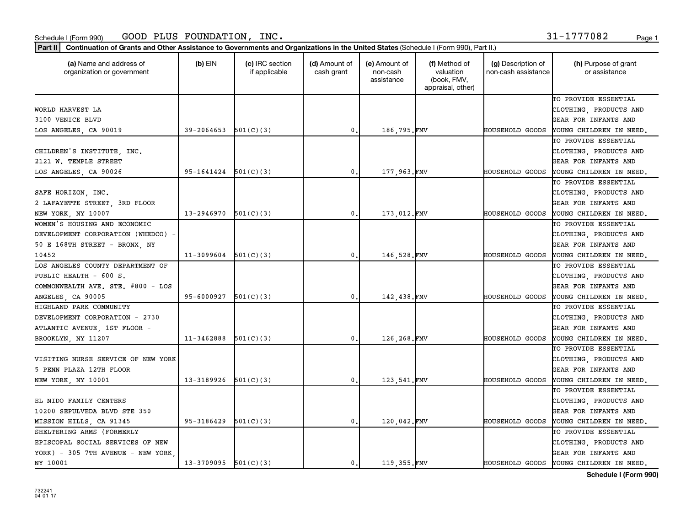organization or government

| TO PROVIDE ESSENTIAL<br>WORLD HARVEST LA<br>CLOTHING, PRODUCTS AND<br>3100 VENICE BLVD<br>GEAR FOR INFANTS AND<br>39-2064653<br>501(C)(3)<br>186,795.FMV<br>HOUSEHOLD GOODS<br>$\mathsf{0}$ .<br>YOUNG CHILDREN IN NEED.<br>TO PROVIDE ESSENTIAL<br>CLOTHING, PRODUCTS AND<br>2121 W. TEMPLE STREET<br>GEAR FOR INFANTS AND<br>95-1641424<br>501(C)(3)<br>177,963.FMV<br>LOS ANGELES, CA 90026<br>0.<br>HOUSEHOLD GOODS<br>YOUNG CHILDREN IN NEED.<br>TO PROVIDE ESSENTIAL<br>SAFE HORIZON, INC.<br>CLOTHING, PRODUCTS AND<br>2 LAFAYETTE STREET, 3RD FLOOR<br>GEAR FOR INFANTS AND<br>173,012.FMV<br>13-2946970<br>501(C)(3)<br>NEW YORK, NY 10007<br>0.<br>HOUSEHOLD GOODS<br>YOUNG CHILDREN IN NEED.<br>WOMEN'S HOUSING AND ECONOMIC<br>TO PROVIDE ESSENTIAL<br>DEVELOPMENT CORPORATION (WHEDCO) -<br>CLOTHING, PRODUCTS AND<br>50 E 168TH STREET - BRONX, NY<br>GEAR FOR INFANTS AND<br>11-3099604<br>146,528.FMV<br>501(C)(3)<br>0,<br>HOUSEHOLD GOODS<br>YOUNG CHILDREN IN NEED.<br>LOS ANGELES COUNTY DEPARTMENT OF<br>TO PROVIDE ESSENTIAL<br>PUBLIC HEALTH - 600 S.<br>CLOTHING, PRODUCTS AND<br>COMMONWEALTH AVE. STE. #800 - LOS<br><b>GEAR FOR INFANTS AND</b><br>95-6000927<br>501(C)(3)<br>142,438.FMV<br>0.<br>HOUSEHOLD GOODS<br>YOUNG CHILDREN IN NEED.<br>ANGELES, CA 90005<br>HIGHLAND PARK COMMUNITY<br>TO PROVIDE ESSENTIAL<br>DEVELOPMENT CORPORATION - 2730<br>CLOTHING, PRODUCTS AND<br>ATLANTIC AVENUE, 1ST FLOOR -<br>GEAR FOR INFANTS AND<br>501(C)(3)<br>126,268.FMV<br>11-3462888<br>HOUSEHOLD GOODS<br>BROOKLYN, NY 11207<br>0.<br>YOUNG CHILDREN IN NEED.<br>TO PROVIDE ESSENTIAL<br>VISITING NURSE SERVICE OF NEW YORK<br>CLOTHING, PRODUCTS AND<br>5 PENN PLAZA 12TH FLOOR<br>GEAR FOR INFANTS AND<br>123,541.FMV<br>13-3189926<br>501(C)(3)<br>HOUSEHOLD GOODS<br>YOUNG CHILDREN IN NEED.<br>NEW YORK, NY 10001<br>0.<br>TO PROVIDE ESSENTIAL<br>EL NIDO FAMILY CENTERS<br>CLOTHING, PRODUCTS AND<br><b>GEAR FOR INFANTS AND</b><br>120,042.FMV<br>95-3186429<br>501(C)(3)<br>0.<br>HOUSEHOLD GOODS<br>MISSION HILLS, CA 91345<br>YOUNG CHILDREN IN NEED.<br>SHELTERING ARMS (FORMERLY<br>TO PROVIDE ESSENTIAL<br>EPISCOPAL SOCIAL SERVICES OF NEW<br>CLOTHING, PRODUCTS AND<br>YORK) - 305 7TH AVENUE - NEW YORK<br><b>GEAR FOR INFANTS AND</b><br>$13-3709095$ $501(C)(3)$<br>119,355.FMV<br>NY 10001<br>0.<br>HOUSEHOLD GOODS<br>YOUNG CHILDREN IN NEED. |                              |  | assistance | (book, FMV,<br>appraisal, other) |  |
|-----------------------------------------------------------------------------------------------------------------------------------------------------------------------------------------------------------------------------------------------------------------------------------------------------------------------------------------------------------------------------------------------------------------------------------------------------------------------------------------------------------------------------------------------------------------------------------------------------------------------------------------------------------------------------------------------------------------------------------------------------------------------------------------------------------------------------------------------------------------------------------------------------------------------------------------------------------------------------------------------------------------------------------------------------------------------------------------------------------------------------------------------------------------------------------------------------------------------------------------------------------------------------------------------------------------------------------------------------------------------------------------------------------------------------------------------------------------------------------------------------------------------------------------------------------------------------------------------------------------------------------------------------------------------------------------------------------------------------------------------------------------------------------------------------------------------------------------------------------------------------------------------------------------------------------------------------------------------------------------------------------------------------------------------------------------------------------------------------------------------------------------------------------------------------------------------------------------------------------------------------------------------------------------------------------------------------------------------------------------------------------------------|------------------------------|--|------------|----------------------------------|--|
|                                                                                                                                                                                                                                                                                                                                                                                                                                                                                                                                                                                                                                                                                                                                                                                                                                                                                                                                                                                                                                                                                                                                                                                                                                                                                                                                                                                                                                                                                                                                                                                                                                                                                                                                                                                                                                                                                                                                                                                                                                                                                                                                                                                                                                                                                                                                                                                               |                              |  |            |                                  |  |
|                                                                                                                                                                                                                                                                                                                                                                                                                                                                                                                                                                                                                                                                                                                                                                                                                                                                                                                                                                                                                                                                                                                                                                                                                                                                                                                                                                                                                                                                                                                                                                                                                                                                                                                                                                                                                                                                                                                                                                                                                                                                                                                                                                                                                                                                                                                                                                                               |                              |  |            |                                  |  |
|                                                                                                                                                                                                                                                                                                                                                                                                                                                                                                                                                                                                                                                                                                                                                                                                                                                                                                                                                                                                                                                                                                                                                                                                                                                                                                                                                                                                                                                                                                                                                                                                                                                                                                                                                                                                                                                                                                                                                                                                                                                                                                                                                                                                                                                                                                                                                                                               |                              |  |            |                                  |  |
|                                                                                                                                                                                                                                                                                                                                                                                                                                                                                                                                                                                                                                                                                                                                                                                                                                                                                                                                                                                                                                                                                                                                                                                                                                                                                                                                                                                                                                                                                                                                                                                                                                                                                                                                                                                                                                                                                                                                                                                                                                                                                                                                                                                                                                                                                                                                                                                               | LOS ANGELES, CA 90019        |  |            |                                  |  |
|                                                                                                                                                                                                                                                                                                                                                                                                                                                                                                                                                                                                                                                                                                                                                                                                                                                                                                                                                                                                                                                                                                                                                                                                                                                                                                                                                                                                                                                                                                                                                                                                                                                                                                                                                                                                                                                                                                                                                                                                                                                                                                                                                                                                                                                                                                                                                                                               |                              |  |            |                                  |  |
|                                                                                                                                                                                                                                                                                                                                                                                                                                                                                                                                                                                                                                                                                                                                                                                                                                                                                                                                                                                                                                                                                                                                                                                                                                                                                                                                                                                                                                                                                                                                                                                                                                                                                                                                                                                                                                                                                                                                                                                                                                                                                                                                                                                                                                                                                                                                                                                               | CHILDREN'S INSTITUTE, INC.   |  |            |                                  |  |
|                                                                                                                                                                                                                                                                                                                                                                                                                                                                                                                                                                                                                                                                                                                                                                                                                                                                                                                                                                                                                                                                                                                                                                                                                                                                                                                                                                                                                                                                                                                                                                                                                                                                                                                                                                                                                                                                                                                                                                                                                                                                                                                                                                                                                                                                                                                                                                                               |                              |  |            |                                  |  |
|                                                                                                                                                                                                                                                                                                                                                                                                                                                                                                                                                                                                                                                                                                                                                                                                                                                                                                                                                                                                                                                                                                                                                                                                                                                                                                                                                                                                                                                                                                                                                                                                                                                                                                                                                                                                                                                                                                                                                                                                                                                                                                                                                                                                                                                                                                                                                                                               |                              |  |            |                                  |  |
|                                                                                                                                                                                                                                                                                                                                                                                                                                                                                                                                                                                                                                                                                                                                                                                                                                                                                                                                                                                                                                                                                                                                                                                                                                                                                                                                                                                                                                                                                                                                                                                                                                                                                                                                                                                                                                                                                                                                                                                                                                                                                                                                                                                                                                                                                                                                                                                               |                              |  |            |                                  |  |
|                                                                                                                                                                                                                                                                                                                                                                                                                                                                                                                                                                                                                                                                                                                                                                                                                                                                                                                                                                                                                                                                                                                                                                                                                                                                                                                                                                                                                                                                                                                                                                                                                                                                                                                                                                                                                                                                                                                                                                                                                                                                                                                                                                                                                                                                                                                                                                                               |                              |  |            |                                  |  |
|                                                                                                                                                                                                                                                                                                                                                                                                                                                                                                                                                                                                                                                                                                                                                                                                                                                                                                                                                                                                                                                                                                                                                                                                                                                                                                                                                                                                                                                                                                                                                                                                                                                                                                                                                                                                                                                                                                                                                                                                                                                                                                                                                                                                                                                                                                                                                                                               |                              |  |            |                                  |  |
|                                                                                                                                                                                                                                                                                                                                                                                                                                                                                                                                                                                                                                                                                                                                                                                                                                                                                                                                                                                                                                                                                                                                                                                                                                                                                                                                                                                                                                                                                                                                                                                                                                                                                                                                                                                                                                                                                                                                                                                                                                                                                                                                                                                                                                                                                                                                                                                               |                              |  |            |                                  |  |
|                                                                                                                                                                                                                                                                                                                                                                                                                                                                                                                                                                                                                                                                                                                                                                                                                                                                                                                                                                                                                                                                                                                                                                                                                                                                                                                                                                                                                                                                                                                                                                                                                                                                                                                                                                                                                                                                                                                                                                                                                                                                                                                                                                                                                                                                                                                                                                                               |                              |  |            |                                  |  |
|                                                                                                                                                                                                                                                                                                                                                                                                                                                                                                                                                                                                                                                                                                                                                                                                                                                                                                                                                                                                                                                                                                                                                                                                                                                                                                                                                                                                                                                                                                                                                                                                                                                                                                                                                                                                                                                                                                                                                                                                                                                                                                                                                                                                                                                                                                                                                                                               |                              |  |            |                                  |  |
|                                                                                                                                                                                                                                                                                                                                                                                                                                                                                                                                                                                                                                                                                                                                                                                                                                                                                                                                                                                                                                                                                                                                                                                                                                                                                                                                                                                                                                                                                                                                                                                                                                                                                                                                                                                                                                                                                                                                                                                                                                                                                                                                                                                                                                                                                                                                                                                               |                              |  |            |                                  |  |
|                                                                                                                                                                                                                                                                                                                                                                                                                                                                                                                                                                                                                                                                                                                                                                                                                                                                                                                                                                                                                                                                                                                                                                                                                                                                                                                                                                                                                                                                                                                                                                                                                                                                                                                                                                                                                                                                                                                                                                                                                                                                                                                                                                                                                                                                                                                                                                                               | 10452                        |  |            |                                  |  |
|                                                                                                                                                                                                                                                                                                                                                                                                                                                                                                                                                                                                                                                                                                                                                                                                                                                                                                                                                                                                                                                                                                                                                                                                                                                                                                                                                                                                                                                                                                                                                                                                                                                                                                                                                                                                                                                                                                                                                                                                                                                                                                                                                                                                                                                                                                                                                                                               |                              |  |            |                                  |  |
|                                                                                                                                                                                                                                                                                                                                                                                                                                                                                                                                                                                                                                                                                                                                                                                                                                                                                                                                                                                                                                                                                                                                                                                                                                                                                                                                                                                                                                                                                                                                                                                                                                                                                                                                                                                                                                                                                                                                                                                                                                                                                                                                                                                                                                                                                                                                                                                               |                              |  |            |                                  |  |
|                                                                                                                                                                                                                                                                                                                                                                                                                                                                                                                                                                                                                                                                                                                                                                                                                                                                                                                                                                                                                                                                                                                                                                                                                                                                                                                                                                                                                                                                                                                                                                                                                                                                                                                                                                                                                                                                                                                                                                                                                                                                                                                                                                                                                                                                                                                                                                                               |                              |  |            |                                  |  |
|                                                                                                                                                                                                                                                                                                                                                                                                                                                                                                                                                                                                                                                                                                                                                                                                                                                                                                                                                                                                                                                                                                                                                                                                                                                                                                                                                                                                                                                                                                                                                                                                                                                                                                                                                                                                                                                                                                                                                                                                                                                                                                                                                                                                                                                                                                                                                                                               |                              |  |            |                                  |  |
|                                                                                                                                                                                                                                                                                                                                                                                                                                                                                                                                                                                                                                                                                                                                                                                                                                                                                                                                                                                                                                                                                                                                                                                                                                                                                                                                                                                                                                                                                                                                                                                                                                                                                                                                                                                                                                                                                                                                                                                                                                                                                                                                                                                                                                                                                                                                                                                               |                              |  |            |                                  |  |
|                                                                                                                                                                                                                                                                                                                                                                                                                                                                                                                                                                                                                                                                                                                                                                                                                                                                                                                                                                                                                                                                                                                                                                                                                                                                                                                                                                                                                                                                                                                                                                                                                                                                                                                                                                                                                                                                                                                                                                                                                                                                                                                                                                                                                                                                                                                                                                                               |                              |  |            |                                  |  |
|                                                                                                                                                                                                                                                                                                                                                                                                                                                                                                                                                                                                                                                                                                                                                                                                                                                                                                                                                                                                                                                                                                                                                                                                                                                                                                                                                                                                                                                                                                                                                                                                                                                                                                                                                                                                                                                                                                                                                                                                                                                                                                                                                                                                                                                                                                                                                                                               |                              |  |            |                                  |  |
|                                                                                                                                                                                                                                                                                                                                                                                                                                                                                                                                                                                                                                                                                                                                                                                                                                                                                                                                                                                                                                                                                                                                                                                                                                                                                                                                                                                                                                                                                                                                                                                                                                                                                                                                                                                                                                                                                                                                                                                                                                                                                                                                                                                                                                                                                                                                                                                               |                              |  |            |                                  |  |
|                                                                                                                                                                                                                                                                                                                                                                                                                                                                                                                                                                                                                                                                                                                                                                                                                                                                                                                                                                                                                                                                                                                                                                                                                                                                                                                                                                                                                                                                                                                                                                                                                                                                                                                                                                                                                                                                                                                                                                                                                                                                                                                                                                                                                                                                                                                                                                                               |                              |  |            |                                  |  |
|                                                                                                                                                                                                                                                                                                                                                                                                                                                                                                                                                                                                                                                                                                                                                                                                                                                                                                                                                                                                                                                                                                                                                                                                                                                                                                                                                                                                                                                                                                                                                                                                                                                                                                                                                                                                                                                                                                                                                                                                                                                                                                                                                                                                                                                                                                                                                                                               |                              |  |            |                                  |  |
|                                                                                                                                                                                                                                                                                                                                                                                                                                                                                                                                                                                                                                                                                                                                                                                                                                                                                                                                                                                                                                                                                                                                                                                                                                                                                                                                                                                                                                                                                                                                                                                                                                                                                                                                                                                                                                                                                                                                                                                                                                                                                                                                                                                                                                                                                                                                                                                               |                              |  |            |                                  |  |
|                                                                                                                                                                                                                                                                                                                                                                                                                                                                                                                                                                                                                                                                                                                                                                                                                                                                                                                                                                                                                                                                                                                                                                                                                                                                                                                                                                                                                                                                                                                                                                                                                                                                                                                                                                                                                                                                                                                                                                                                                                                                                                                                                                                                                                                                                                                                                                                               |                              |  |            |                                  |  |
|                                                                                                                                                                                                                                                                                                                                                                                                                                                                                                                                                                                                                                                                                                                                                                                                                                                                                                                                                                                                                                                                                                                                                                                                                                                                                                                                                                                                                                                                                                                                                                                                                                                                                                                                                                                                                                                                                                                                                                                                                                                                                                                                                                                                                                                                                                                                                                                               |                              |  |            |                                  |  |
|                                                                                                                                                                                                                                                                                                                                                                                                                                                                                                                                                                                                                                                                                                                                                                                                                                                                                                                                                                                                                                                                                                                                                                                                                                                                                                                                                                                                                                                                                                                                                                                                                                                                                                                                                                                                                                                                                                                                                                                                                                                                                                                                                                                                                                                                                                                                                                                               |                              |  |            |                                  |  |
|                                                                                                                                                                                                                                                                                                                                                                                                                                                                                                                                                                                                                                                                                                                                                                                                                                                                                                                                                                                                                                                                                                                                                                                                                                                                                                                                                                                                                                                                                                                                                                                                                                                                                                                                                                                                                                                                                                                                                                                                                                                                                                                                                                                                                                                                                                                                                                                               | 10200 SEPULVEDA BLVD STE 350 |  |            |                                  |  |
|                                                                                                                                                                                                                                                                                                                                                                                                                                                                                                                                                                                                                                                                                                                                                                                                                                                                                                                                                                                                                                                                                                                                                                                                                                                                                                                                                                                                                                                                                                                                                                                                                                                                                                                                                                                                                                                                                                                                                                                                                                                                                                                                                                                                                                                                                                                                                                                               |                              |  |            |                                  |  |
|                                                                                                                                                                                                                                                                                                                                                                                                                                                                                                                                                                                                                                                                                                                                                                                                                                                                                                                                                                                                                                                                                                                                                                                                                                                                                                                                                                                                                                                                                                                                                                                                                                                                                                                                                                                                                                                                                                                                                                                                                                                                                                                                                                                                                                                                                                                                                                                               |                              |  |            |                                  |  |
|                                                                                                                                                                                                                                                                                                                                                                                                                                                                                                                                                                                                                                                                                                                                                                                                                                                                                                                                                                                                                                                                                                                                                                                                                                                                                                                                                                                                                                                                                                                                                                                                                                                                                                                                                                                                                                                                                                                                                                                                                                                                                                                                                                                                                                                                                                                                                                                               |                              |  |            |                                  |  |
|                                                                                                                                                                                                                                                                                                                                                                                                                                                                                                                                                                                                                                                                                                                                                                                                                                                                                                                                                                                                                                                                                                                                                                                                                                                                                                                                                                                                                                                                                                                                                                                                                                                                                                                                                                                                                                                                                                                                                                                                                                                                                                                                                                                                                                                                                                                                                                                               |                              |  |            |                                  |  |
|                                                                                                                                                                                                                                                                                                                                                                                                                                                                                                                                                                                                                                                                                                                                                                                                                                                                                                                                                                                                                                                                                                                                                                                                                                                                                                                                                                                                                                                                                                                                                                                                                                                                                                                                                                                                                                                                                                                                                                                                                                                                                                                                                                                                                                                                                                                                                                                               |                              |  |            |                                  |  |

Part II | Continuation of Grants and Other Assistance to Governments and Organizations in the United States (Schedule I (Form 990), Part II.)

if applicable

 $(b)$  EIN  $(c)$  IRC section

**(a) (b) (c) (d) (e) (f) (g) (h)** Name and address of

(d) Amount of cash grant

 Amount of non-cash

 Method of valuation

(g) Description of non-cash assistance

**Schedule I (Form 990)**

(h) Purpose of grant or assistance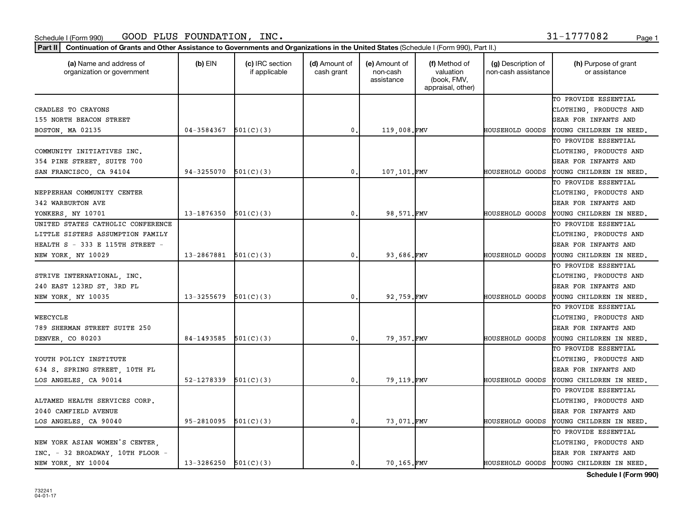Part II | Continuation of Grants and Other Assistance to Governments and Organizations in the United States (Schedule I (Form 990), Part II.)

| (a) Name and address of<br>organization or government | $(b)$ EIN  | (c) IRC section<br>if applicable | (d) Amount of<br>cash grant | (e) Amount of<br>non-cash<br>assistance | (f) Method of<br>valuation<br>(book, FMV,<br>appraisal, other) | (g) Description of<br>non-cash assistance | (h) Purpose of grant<br>or assistance   |
|-------------------------------------------------------|------------|----------------------------------|-----------------------------|-----------------------------------------|----------------------------------------------------------------|-------------------------------------------|-----------------------------------------|
|                                                       |            |                                  |                             |                                         |                                                                |                                           | TO PROVIDE ESSENTIAL                    |
| CRADLES TO CRAYONS                                    |            |                                  |                             |                                         |                                                                |                                           | CLOTHING, PRODUCTS AND                  |
| 155 NORTH BEACON STREET                               |            |                                  |                             |                                         |                                                                |                                           | GEAR FOR INFANTS AND                    |
| BOSTON, MA 02135                                      | 04-3584367 | 501(C)(3)                        | 0.                          | 119,008.FMV                             |                                                                | HOUSEHOLD GOODS                           | YOUNG CHILDREN IN NEED.                 |
|                                                       |            |                                  |                             |                                         |                                                                |                                           | TO PROVIDE ESSENTIAL                    |
| COMMUNITY INITIATIVES INC.                            |            |                                  |                             |                                         |                                                                |                                           | CLOTHING, PRODUCTS AND                  |
| 354 PINE STREET, SUITE 700                            |            |                                  |                             |                                         |                                                                |                                           | GEAR FOR INFANTS AND                    |
| SAN FRANCISCO, CA 94104                               | 94-3255070 | 501(C)(3)                        | 0.                          | 107,101.FMV                             |                                                                | HOUSEHOLD GOODS                           | YOUNG CHILDREN IN NEED,                 |
|                                                       |            |                                  |                             |                                         |                                                                |                                           | TO PROVIDE ESSENTIAL                    |
| NEPPERHAN COMMUNITY CENTER                            |            |                                  |                             |                                         |                                                                |                                           | CLOTHING, PRODUCTS AND                  |
| 342 WARBURTON AVE                                     |            |                                  |                             |                                         |                                                                |                                           | GEAR FOR INFANTS AND                    |
| YONKERS, NY 10701                                     | 13-1876350 | 501(C)(3)                        | 0.                          | 98,571.FMV                              |                                                                | HOUSEHOLD GOODS                           | YOUNG CHILDREN IN NEED,                 |
| UNITED STATES CATHOLIC CONFERENCE                     |            |                                  |                             |                                         |                                                                |                                           | TO PROVIDE ESSENTIAL                    |
| LITTLE SISTERS ASSUMPTION FAMILY                      |            |                                  |                             |                                         |                                                                |                                           | CLOTHING, PRODUCTS AND                  |
| HEALTH S - 333 E 115TH STREET -                       |            |                                  |                             |                                         |                                                                |                                           | GEAR FOR INFANTS AND                    |
| NEW YORK, NY 10029                                    | 13-2867881 | 501(C)(3)                        | 0.                          | 93,686.FMV                              |                                                                | HOUSEHOLD GOODS                           | YOUNG CHILDREN IN NEED,                 |
|                                                       |            |                                  |                             |                                         |                                                                |                                           | TO PROVIDE ESSENTIAL                    |
| STRIVE INTERNATIONAL, INC.                            |            |                                  |                             |                                         |                                                                |                                           | CLOTHING, PRODUCTS AND                  |
| 240 EAST 123RD ST, 3RD FL                             |            |                                  |                             |                                         |                                                                |                                           | GEAR FOR INFANTS AND                    |
| NEW YORK, NY 10035                                    | 13-3255679 | 501(C)(3)                        | 0.                          | 92,759.FMV                              |                                                                | HOUSEHOLD GOODS                           | YOUNG CHILDREN IN NEED,                 |
|                                                       |            |                                  |                             |                                         |                                                                |                                           | TO PROVIDE ESSENTIAL                    |
| WEECYCLE                                              |            |                                  |                             |                                         |                                                                |                                           | CLOTHING, PRODUCTS AND                  |
| 789 SHERMAN STREET SUITE 250                          |            |                                  |                             |                                         |                                                                |                                           | GEAR FOR INFANTS AND                    |
| DENVER, CO 80203                                      | 84-1493585 | 501(C)(3)                        | $\mathbf 0$ .               | 79,357.FMV                              |                                                                | HOUSEHOLD GOODS                           | YOUNG CHILDREN IN NEED,                 |
|                                                       |            |                                  |                             |                                         |                                                                |                                           | TO PROVIDE ESSENTIAL                    |
| YOUTH POLICY INSTITUTE                                |            |                                  |                             |                                         |                                                                |                                           | CLOTHING, PRODUCTS AND                  |
| 634 S. SPRING STREET, 10TH FL                         |            |                                  |                             |                                         |                                                                |                                           | GEAR FOR INFANTS AND                    |
| LOS ANGELES, CA 90014                                 | 52-1278339 | 501(C)(3)                        | 0.                          | 79,119.FMV                              |                                                                | HOUSEHOLD GOODS                           | YOUNG CHILDREN IN NEED,                 |
|                                                       |            |                                  |                             |                                         |                                                                |                                           | TO PROVIDE ESSENTIAL                    |
| ALTAMED HEALTH SERVICES CORP.                         |            |                                  |                             |                                         |                                                                |                                           | CLOTHING, PRODUCTS AND                  |
| 2040 CAMFIELD AVENUE                                  |            |                                  |                             |                                         |                                                                |                                           | GEAR FOR INFANTS AND                    |
| LOS ANGELES, CA 90040                                 | 95-2810095 | 501(C)(3)                        | 0.                          | 73,071.FMV                              |                                                                | HOUSEHOLD GOODS                           | YOUNG CHILDREN IN NEED.                 |
|                                                       |            |                                  |                             |                                         |                                                                |                                           | TO PROVIDE ESSENTIAL                    |
| NEW YORK ASIAN WOMEN'S CENTER,                        |            |                                  |                             |                                         |                                                                |                                           | CLOTHING, PRODUCTS AND                  |
| INC. - 32 BROADWAY, 10TH FLOOR -                      |            |                                  |                             |                                         |                                                                |                                           | GEAR FOR INFANTS AND                    |
| NEW YORK, NY 10004                                    | 13-3286250 | 501(C)(3)                        | 0.                          | 70,165.FMV                              |                                                                |                                           | HOUSEHOLD GOODS YOUNG CHILDREN IN NEED. |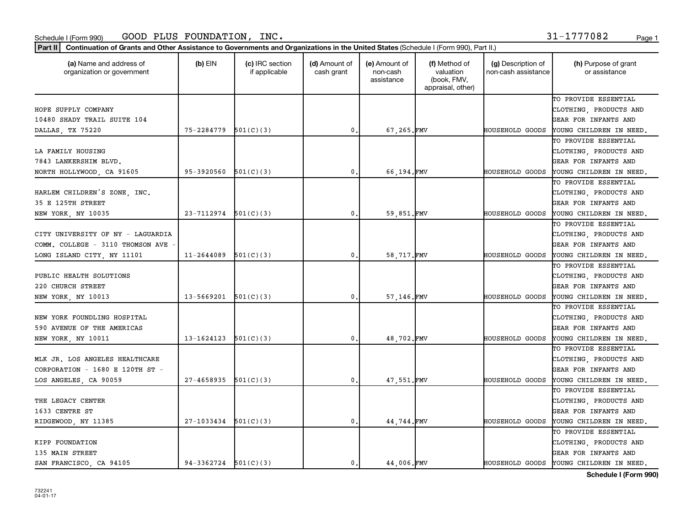#### Schedule I (Form 990) Page 1 GOOD PLUS FOUNDATION, INC. 31-1777082

|--|

| (a) Name and address of<br>organization or government | (b) $EIN$                  | (c) IRC section<br>if applicable | (d) Amount of<br>cash grant | (e) Amount of<br>non-cash<br>assistance | (f) Method of<br>valuation<br>(book, FMV,<br>appraisal, other) | (g) Description of<br>non-cash assistance | (h) Purpose of grant<br>or assistance   |
|-------------------------------------------------------|----------------------------|----------------------------------|-----------------------------|-----------------------------------------|----------------------------------------------------------------|-------------------------------------------|-----------------------------------------|
|                                                       |                            |                                  |                             |                                         |                                                                |                                           | TO PROVIDE ESSENTIAL                    |
| HOPE SUPPLY COMPANY                                   |                            |                                  |                             |                                         |                                                                |                                           | CLOTHING, PRODUCTS AND                  |
| 10480 SHADY TRAIL SUITE 104                           |                            |                                  |                             |                                         |                                                                |                                           | GEAR FOR INFANTS AND                    |
| DALLAS, TX 75220                                      | 75-2284779                 | 501(C)(3)                        | $\mathbf{0}$ .              | 67,265.FMV                              |                                                                | HOUSEHOLD GOODS                           | YOUNG CHILDREN IN NEED.                 |
|                                                       |                            |                                  |                             |                                         |                                                                |                                           | TO PROVIDE ESSENTIAL                    |
| LA FAMILY HOUSING                                     |                            |                                  |                             |                                         |                                                                |                                           | CLOTHING, PRODUCTS AND                  |
| 7843 LANKERSHIM BLVD.                                 |                            |                                  |                             |                                         |                                                                |                                           | GEAR FOR INFANTS AND                    |
| NORTH HOLLYWOOD, CA 91605                             | 95-3920560                 | 501(C)(3)                        | $\mathbf{0}$ .              | 66,194.FMV                              |                                                                | HOUSEHOLD GOODS                           | YOUNG CHILDREN IN NEED,                 |
|                                                       |                            |                                  |                             |                                         |                                                                |                                           | TO PROVIDE ESSENTIAL                    |
| HARLEM CHILDREN'S ZONE, INC.                          |                            |                                  |                             |                                         |                                                                |                                           | CLOTHING, PRODUCTS AND                  |
| 35 E 125TH STREET                                     |                            |                                  |                             |                                         |                                                                |                                           | GEAR FOR INFANTS AND                    |
| NEW YORK, NY 10035                                    | $23 - 7112974$ $501(C)(3)$ |                                  | $\mathbf{0}$ .              | 59,851.FMV                              |                                                                | HOUSEHOLD GOODS                           | YOUNG CHILDREN IN NEED.                 |
|                                                       |                            |                                  |                             |                                         |                                                                |                                           | TO PROVIDE ESSENTIAL                    |
| CITY UNIVERSITY OF NY - LAGUARDIA                     |                            |                                  |                             |                                         |                                                                |                                           | CLOTHING, PRODUCTS AND                  |
| COMM. COLLEGE - 3110 THOMSON AVE                      |                            |                                  |                             |                                         |                                                                |                                           | GEAR FOR INFANTS AND                    |
| LONG ISLAND CITY, NY 11101                            | $11 - 2644089$             | 501(C)(3)                        | 0.                          | 58,717.FMV                              |                                                                | HOUSEHOLD GOODS                           | YOUNG CHILDREN IN NEED.                 |
|                                                       |                            |                                  |                             |                                         |                                                                |                                           | TO PROVIDE ESSENTIAL                    |
| PUBLIC HEALTH SOLUTIONS                               |                            |                                  |                             |                                         |                                                                |                                           | CLOTHING, PRODUCTS AND                  |
| 220 CHURCH STREET                                     |                            |                                  |                             |                                         |                                                                |                                           | GEAR FOR INFANTS AND                    |
| NEW YORK, NY 10013                                    | 13-5669201                 | 501(C)(3)                        | $\mathbf{0}$ .              | 57,146.FMV                              |                                                                | <b>HOUSEHOLD GOODS</b>                    | YOUNG CHILDREN IN NEED.                 |
|                                                       |                            |                                  |                             |                                         |                                                                |                                           | TO PROVIDE ESSENTIAL                    |
| NEW YORK FOUNDLING HOSPITAL                           |                            |                                  |                             |                                         |                                                                |                                           | CLOTHING, PRODUCTS AND                  |
| 590 AVENUE OF THE AMERICAS                            |                            |                                  |                             |                                         |                                                                |                                           | <b>GEAR FOR INFANTS AND</b>             |
| NEW YORK, NY 10011                                    | 13-1624123                 | 501(C)(3)                        | $\mathbf{0}$ .              | 48,702.FMV                              |                                                                | HOUSEHOLD GOODS                           | YOUNG CHILDREN IN NEED.                 |
|                                                       |                            |                                  |                             |                                         |                                                                |                                           | TO PROVIDE ESSENTIAL                    |
| MLK JR. LOS ANGELES HEALTHCARE                        |                            |                                  |                             |                                         |                                                                |                                           | CLOTHING, PRODUCTS AND                  |
| CORPORATION - $1680$ E 120TH ST -                     |                            |                                  |                             |                                         |                                                                |                                           | GEAR FOR INFANTS AND                    |
| LOS ANGELES, CA 90059                                 | 27-4658935                 | 501(C)(3)                        | $\mathbf{0}$ .              | 47,551.FMV                              |                                                                | <b>HOUSEHOLD GOODS</b>                    | YOUNG CHILDREN IN NEED,                 |
|                                                       |                            |                                  |                             |                                         |                                                                |                                           | TO PROVIDE ESSENTIAL                    |
| THE LEGACY CENTER                                     |                            |                                  |                             |                                         |                                                                |                                           | CLOTHING, PRODUCTS AND                  |
| 1633 CENTRE ST                                        |                            |                                  |                             |                                         |                                                                |                                           | GEAR FOR INFANTS AND                    |
| RIDGEWOOD, NY 11385                                   | $27 - 1033434$             | 501(C)(3)                        | $\mathbf{0}$ .              | 44,744.FMV                              |                                                                | <b>HOUSEHOLD GOODS</b>                    | YOUNG CHILDREN IN NEED.                 |
|                                                       |                            |                                  |                             |                                         |                                                                |                                           | TO PROVIDE ESSENTIAL                    |
| KIPP FOUNDATION                                       |                            |                                  |                             |                                         |                                                                |                                           | CLOTHING, PRODUCTS AND                  |
| 135 MAIN STREET                                       |                            |                                  |                             |                                         |                                                                |                                           | GEAR FOR INFANTS AND                    |
| SAN FRANCISCO, CA 94105                               | $94-3362724$ $501(C)(3)$   |                                  | $\mathbf{0}$ .              | 44.006.FMV                              |                                                                |                                           | HOUSEHOLD GOODS YOUNG CHILDREN IN NEED. |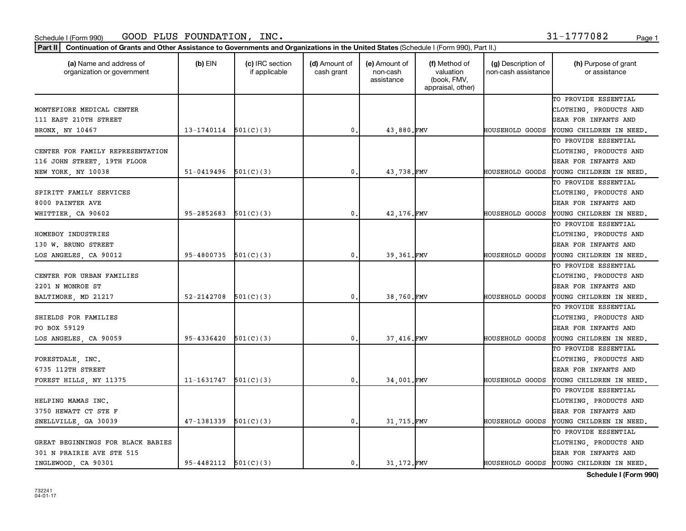#### Schedule I (Form 990) Page 1 GOOD PLUS FOUNDATION, INC. 31-1777082

|  |  | _ |  |
|--|--|---|--|
|  |  |   |  |
|  |  |   |  |
|  |  |   |  |

| (a) Name and address of<br>organization or government | $(b)$ EIN                  | (c) IRC section<br>if applicable | (d) Amount of<br>cash grant | (e) Amount of<br>non-cash<br>assistance | (f) Method of<br>valuation<br>(book, FMV,<br>appraisal, other) | (g) Description of<br>non-cash assistance | (h) Purpose of grant<br>or assistance |
|-------------------------------------------------------|----------------------------|----------------------------------|-----------------------------|-----------------------------------------|----------------------------------------------------------------|-------------------------------------------|---------------------------------------|
|                                                       |                            |                                  |                             |                                         |                                                                |                                           | TO PROVIDE ESSENTIAL                  |
| MONTEFIORE MEDICAL CENTER                             |                            |                                  |                             |                                         |                                                                |                                           | CLOTHING, PRODUCTS AND                |
| 111 EAST 210TH STREET                                 |                            |                                  |                             |                                         |                                                                |                                           | GEAR FOR INFANTS AND                  |
| BRONX, NY 10467                                       | 13-1740114                 | 501(C)(3)                        | $\mathbf 0$ .               | 43,880.FMV                              |                                                                | HOUSEHOLD GOODS                           | YOUNG CHILDREN IN NEED.               |
|                                                       |                            |                                  |                             |                                         |                                                                |                                           | TO PROVIDE ESSENTIAL                  |
| CENTER FOR FAMILY REPRESENTATION                      |                            |                                  |                             |                                         |                                                                |                                           | CLOTHING, PRODUCTS AND                |
| 116 JOHN STREET, 19TH FLOOR                           |                            |                                  |                             |                                         |                                                                |                                           | GEAR FOR INFANTS AND                  |
| NEW YORK, NY 10038                                    | 51-0419496                 | 501(C)(3)                        | $\mathbf{0}$ .              | 43,738.FMV                              |                                                                | HOUSEHOLD GOODS                           | YOUNG CHILDREN IN NEED.               |
|                                                       |                            |                                  |                             |                                         |                                                                |                                           | TO PROVIDE ESSENTIAL                  |
| SPIRITT FAMILY SERVICES                               |                            |                                  |                             |                                         |                                                                |                                           | CLOTHING, PRODUCTS AND                |
| 8000 PAINTER AVE                                      |                            |                                  |                             |                                         |                                                                |                                           | GEAR FOR INFANTS AND                  |
| WHITTIER, CA 90602                                    | 95-2852683                 | 501(C)(3)                        | $\mathbf{0}$ .              | 42,176.FMV                              |                                                                | HOUSEHOLD GOODS                           | YOUNG CHILDREN IN NEED.               |
|                                                       |                            |                                  |                             |                                         |                                                                |                                           | TO PROVIDE ESSENTIAL                  |
| HOMEBOY INDUSTRIES                                    |                            |                                  |                             |                                         |                                                                |                                           | CLOTHING, PRODUCTS AND                |
| 130 W. BRUNO STREET                                   |                            |                                  |                             |                                         |                                                                |                                           | GEAR FOR INFANTS AND                  |
| LOS ANGELES, CA 90012                                 | 95-4800735                 | 501(C)(3)                        | 0,                          | 39,361.FMV                              |                                                                | <b>HOUSEHOLD GOODS</b>                    | YOUNG CHILDREN IN NEED,               |
|                                                       |                            |                                  |                             |                                         |                                                                |                                           | TO PROVIDE ESSENTIAL                  |
| CENTER FOR URBAN FAMILIES                             |                            |                                  |                             |                                         |                                                                |                                           | CLOTHING, PRODUCTS AND                |
| 2201 N MONROE ST                                      |                            |                                  |                             |                                         |                                                                |                                           | GEAR FOR INFANTS AND                  |
| BALTIMORE, MD 21217                                   | 52-2142708                 | 501(C)(3)                        | $\mathbf{0}$ .              | 38,760.FMV                              |                                                                | HOUSEHOLD GOODS                           | YOUNG CHILDREN IN NEED,               |
|                                                       |                            |                                  |                             |                                         |                                                                |                                           | TO PROVIDE ESSENTIAL                  |
| SHIELDS FOR FAMILIES                                  |                            |                                  |                             |                                         |                                                                |                                           | CLOTHING, PRODUCTS AND                |
| PO BOX 59129                                          |                            |                                  |                             |                                         |                                                                |                                           | <b>GEAR FOR INFANTS AND</b>           |
| LOS ANGELES, CA 90059                                 | 95-4336420                 | 501(C)(3)                        | $\mathbf{0}$ .              | 37,416.FMV                              |                                                                | HOUSEHOLD GOODS                           | YOUNG CHILDREN IN NEED.               |
|                                                       |                            |                                  |                             |                                         |                                                                |                                           | TO PROVIDE ESSENTIAL                  |
| FORESTDALE, INC.                                      |                            |                                  |                             |                                         |                                                                |                                           | CLOTHING, PRODUCTS AND                |
| 6735 112TH STREET                                     |                            |                                  |                             |                                         |                                                                |                                           | GEAR FOR INFANTS AND                  |
| FOREST HILLS, NY 11375                                | 11-1631747                 | 501(C)(3)                        | 0.                          | 34,001.FMV                              |                                                                | HOUSEHOLD GOODS                           | YOUNG CHILDREN IN NEED,               |
|                                                       |                            |                                  |                             |                                         |                                                                |                                           | TO PROVIDE ESSENTIAL                  |
| HELPING MAMAS INC.                                    |                            |                                  |                             |                                         |                                                                |                                           | CLOTHING, PRODUCTS AND                |
| 3750 HEWATT CT STE F                                  |                            |                                  |                             |                                         |                                                                |                                           | GEAR FOR INFANTS AND                  |
| SNELLVILLE, GA 30039                                  | 47-1381339                 | 501(C)(3)                        | $\mathbf{0}$ .              | 31,715.FMV                              |                                                                | HOUSEHOLD GOODS                           | YOUNG CHILDREN IN NEED.               |
|                                                       |                            |                                  |                             |                                         |                                                                |                                           | TO PROVIDE ESSENTIAL                  |
| GREAT BEGINNINGS FOR BLACK BABIES                     |                            |                                  |                             |                                         |                                                                |                                           | CLOTHING, PRODUCTS AND                |
| 301 N PRAIRIE AVE STE 515                             |                            |                                  |                             |                                         |                                                                |                                           | GEAR FOR INFANTS AND                  |
| INGLEWOOD, CA 90301                                   | $95 - 4482112$ $501(C)(3)$ |                                  | 0.                          | 31,172.FMV                              |                                                                | HOUSEHOLD GOODS                           | YOUNG CHILDREN IN NEED.               |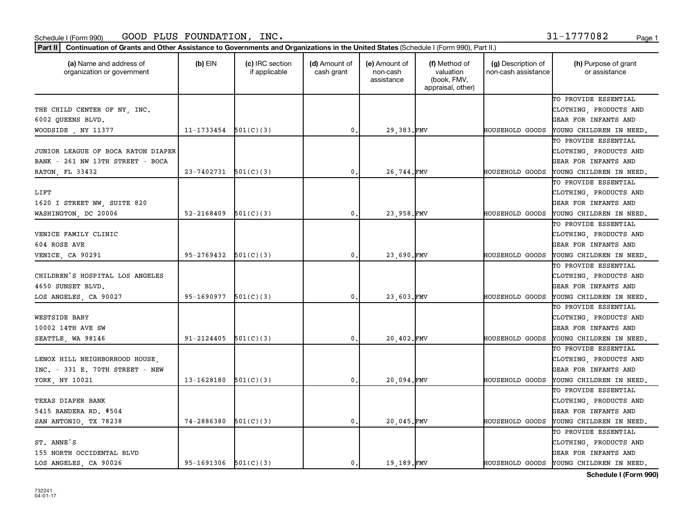Part II | Continuation of Grants and Other Assistance to Governments and Organizations in the United States (Schedule I (Form 990), Part II.)

| (a) Name and address of<br>organization or government | $(b)$ EIN                  | (c) IRC section<br>if applicable | (d) Amount of<br>cash grant | (e) Amount of<br>non-cash<br>assistance | (f) Method of<br>valuation<br>(book, FMV,<br>appraisal, other) | (g) Description of<br>non-cash assistance | (h) Purpose of grant<br>or assistance |
|-------------------------------------------------------|----------------------------|----------------------------------|-----------------------------|-----------------------------------------|----------------------------------------------------------------|-------------------------------------------|---------------------------------------|
|                                                       |                            |                                  |                             |                                         |                                                                |                                           | TO PROVIDE ESSENTIAL                  |
| THE CHILD CENTER OF NY, INC.                          |                            |                                  |                             |                                         |                                                                |                                           | CLOTHING, PRODUCTS AND                |
| 6002 QUEENS BLVD.                                     |                            |                                  |                             |                                         |                                                                |                                           | GEAR FOR INFANTS AND                  |
| WOODSIDE, NY 11377                                    | 11-1733454                 | 501(C)(3)                        | $\mathbf{0}$                | 29,383.FMV                              |                                                                | HOUSEHOLD GOODS                           | YOUNG CHILDREN IN NEED.               |
|                                                       |                            |                                  |                             |                                         |                                                                |                                           | TO PROVIDE ESSENTIAL                  |
| JUNIOR LEAGUE OF BOCA RATON DIAPER                    |                            |                                  |                             |                                         |                                                                |                                           | CLOTHING, PRODUCTS AND                |
| BANK - 261 NW 13TH STREET - BOCA                      |                            |                                  |                             |                                         |                                                                |                                           | GEAR FOR INFANTS AND                  |
| RATON, FL 33432                                       | $23 - 7402731$ $501(C)(3)$ |                                  | $\mathbf{0}$                | 26,744.FMV                              |                                                                | HOUSEHOLD GOODS                           | YOUNG CHILDREN IN NEED.               |
|                                                       |                            |                                  |                             |                                         |                                                                |                                           | TO PROVIDE ESSENTIAL                  |
| LIFT                                                  |                            |                                  |                             |                                         |                                                                |                                           | CLOTHING, PRODUCTS AND                |
| 1620 I STREET NW, SUITE 820                           |                            |                                  |                             |                                         |                                                                |                                           | GEAR FOR INFANTS AND                  |
| WASHINGTON, DC 20006                                  | $52 - 2168409$             | 501(C)(3)                        | $\mathbf{0}$                | 23,958.FMV                              |                                                                | HOUSEHOLD GOODS                           | YOUNG CHILDREN IN NEED.               |
|                                                       |                            |                                  |                             |                                         |                                                                |                                           | TO PROVIDE ESSENTIAL                  |
| VENICE FAMILY CLINIC                                  |                            |                                  |                             |                                         |                                                                |                                           | CLOTHING, PRODUCTS AND                |
| 604 ROSE AVE                                          |                            |                                  |                             |                                         |                                                                |                                           | <b>GEAR FOR INFANTS AND</b>           |
| VENICE, CA 90291                                      | 95-2769432                 | 501(C)(3)                        | 0                           | 23,690.FMV                              |                                                                | HOUSEHOLD GOODS                           | YOUNG CHILDREN IN NEED.               |
|                                                       |                            |                                  |                             |                                         |                                                                |                                           | TO PROVIDE ESSENTIAL                  |
| CHILDREN'S HOSPITAL LOS ANGELES                       |                            |                                  |                             |                                         |                                                                |                                           | CLOTHING, PRODUCTS AND                |
| 4650 SUNSET BLVD.                                     |                            |                                  |                             |                                         |                                                                |                                           | <b>GEAR FOR INFANTS AND</b>           |
| LOS ANGELES, CA 90027                                 | 95-1690977                 | 501(C)(3)                        | 0                           | 23,603.FMV                              |                                                                | HOUSEHOLD GOODS                           | YOUNG CHILDREN IN NEED.               |
|                                                       |                            |                                  |                             |                                         |                                                                |                                           | TO PROVIDE ESSENTIAL                  |
| WESTSIDE BABY                                         |                            |                                  |                             |                                         |                                                                |                                           | CLOTHING, PRODUCTS AND                |
| 10002 14TH AVE SW                                     |                            |                                  |                             |                                         |                                                                |                                           | <b>GEAR FOR INFANTS AND</b>           |
| SEATTLE, WA 98146                                     | 91-2124405                 | 501(C)(3)                        | 0                           | 20,402.FMV                              |                                                                | HOUSEHOLD GOODS                           | YOUNG CHILDREN IN NEED.               |
|                                                       |                            |                                  |                             |                                         |                                                                |                                           | TO PROVIDE ESSENTIAL                  |
| LENOX HILL NEIGHBORHOOD HOUSE,                        |                            |                                  |                             |                                         |                                                                |                                           | CLOTHING, PRODUCTS AND                |
| $INC. - 331 E. 70TH$ STREET - NEW                     |                            |                                  |                             |                                         |                                                                |                                           | GEAR FOR INFANTS AND                  |
| YORK, NY 10021                                        | 13-1628180                 | 501(C)(3)                        | 0                           | 20,094.FMV                              |                                                                | HOUSEHOLD GOODS                           | YOUNG CHILDREN IN NEED.               |
|                                                       |                            |                                  |                             |                                         |                                                                |                                           | TO PROVIDE ESSENTIAL                  |
| TEXAS DIAPER BANK                                     |                            |                                  |                             |                                         |                                                                |                                           | CLOTHING, PRODUCTS AND                |
| 5415 BANDERA RD. #504                                 |                            |                                  |                             |                                         |                                                                |                                           | GEAR FOR INFANTS AND                  |
| SAN ANTONIO, TX 78238                                 | 74-2886380                 | 501(C)(3)                        | $\mathbf{0}$                | 20,045.FMV                              |                                                                | HOUSEHOLD GOODS                           | YOUNG CHILDREN IN NEED.               |
|                                                       |                            |                                  |                             |                                         |                                                                |                                           | TO PROVIDE ESSENTIAL                  |
| ST. ANNE'S                                            |                            |                                  |                             |                                         |                                                                |                                           | CLOTHING, PRODUCTS AND                |
| 155 NORTH OCCIDENTAL BLVD                             |                            |                                  |                             |                                         |                                                                |                                           | GEAR FOR INFANTS AND                  |
| LOS ANGELES, CA 90026                                 | $95-1691306$ $501(C)(3)$   |                                  | 0.                          | 19,189.FMV                              |                                                                | HOUSEHOLD GOODS                           | YOUNG CHILDREN IN NEED,               |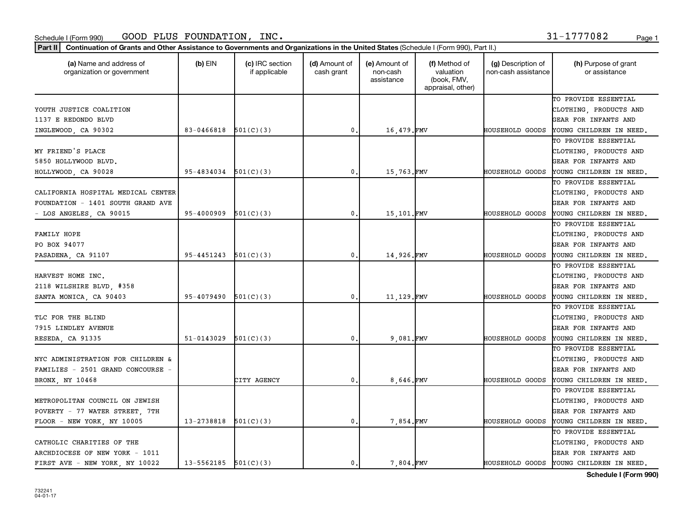| Part II<br>Continuation of Grants and Other Assistance to Governments and Organizations in the United States (Schedule I (Form 990), Part II.) |            |                                  |                             |                                         |                                                                |                                           |                                       |
|------------------------------------------------------------------------------------------------------------------------------------------------|------------|----------------------------------|-----------------------------|-----------------------------------------|----------------------------------------------------------------|-------------------------------------------|---------------------------------------|
| (a) Name and address of<br>organization or government                                                                                          | $(b)$ EIN  | (c) IRC section<br>if applicable | (d) Amount of<br>cash grant | (e) Amount of<br>non-cash<br>assistance | (f) Method of<br>valuation<br>(book, FMV,<br>appraisal, other) | (g) Description of<br>non-cash assistance | (h) Purpose of grant<br>or assistance |
|                                                                                                                                                |            |                                  |                             |                                         |                                                                |                                           | TO PROVIDE ESSENTIAL                  |
| YOUTH JUSTICE COALITION                                                                                                                        |            |                                  |                             |                                         |                                                                |                                           | CLOTHING, PRODUCTS AND                |
| 1137 E REDONDO BLVD                                                                                                                            |            |                                  |                             |                                         |                                                                |                                           | <b>GEAR FOR INFANTS AND</b>           |
| INGLEWOOD, CA 90302                                                                                                                            | 83-0466818 | 501(C)(3)                        | 0                           | 16,479.FMV                              |                                                                | HOUSEHOLD GOODS                           | YOUNG CHILDREN IN NEED.               |
|                                                                                                                                                |            |                                  |                             |                                         |                                                                |                                           | TO PROVIDE ESSENTIAL                  |
| MY FRIEND'S PLACE                                                                                                                              |            |                                  |                             |                                         |                                                                |                                           | CLOTHING, PRODUCTS AND                |
| 5850 HOLLYWOOD BLVD.                                                                                                                           |            |                                  |                             |                                         |                                                                |                                           | <b>GEAR FOR INFANTS AND</b>           |
| HOLLYWOOD, CA 90028                                                                                                                            | 95-4834034 | 501(C)(3)                        | 0                           | 15,763.FMV                              |                                                                | HOUSEHOLD GOODS                           | YOUNG CHILDREN IN NEED.               |
|                                                                                                                                                |            |                                  |                             |                                         |                                                                |                                           | TO PROVIDE ESSENTIAL                  |
| CALIFORNIA HOSPITAL MEDICAL CENTER                                                                                                             |            |                                  |                             |                                         |                                                                |                                           | CLOTHING, PRODUCTS AND                |
| FOUNDATION - 1401 SOUTH GRAND AVE                                                                                                              |            |                                  |                             |                                         |                                                                |                                           | GEAR FOR INFANTS AND                  |
| - LOS ANGELES, CA 90015                                                                                                                        | 95-4000909 | 501(C)(3)                        | 0                           | 15,101.FMV                              |                                                                | HOUSEHOLD GOODS                           | YOUNG CHILDREN IN NEED.               |
|                                                                                                                                                |            |                                  |                             |                                         |                                                                |                                           | TO PROVIDE ESSENTIAL                  |
| FAMILY HOPE                                                                                                                                    |            |                                  |                             |                                         |                                                                |                                           | CLOTHING, PRODUCTS AND                |
| PO BOX 94077                                                                                                                                   |            |                                  |                             |                                         |                                                                |                                           | <b>GEAR FOR INFANTS AND</b>           |
| PASADENA, CA 91107                                                                                                                             | 95-4451243 | 501(C)(3)                        | 0                           | 14,926.FMV                              |                                                                | HOUSEHOLD GOODS                           | YOUNG CHILDREN IN NEED.               |
|                                                                                                                                                |            |                                  |                             |                                         |                                                                |                                           | TO PROVIDE ESSENTIAL                  |
| HARVEST HOME INC.                                                                                                                              |            |                                  |                             |                                         |                                                                |                                           | CLOTHING, PRODUCTS AND                |
| 2118 WILSHIRE BLVD, #358                                                                                                                       |            |                                  |                             |                                         |                                                                |                                           | GEAR FOR INFANTS AND                  |
| SANTA MONICA, CA 90403                                                                                                                         | 95-4079490 | 501(C)(3)                        | 0                           | 11,129.FMV                              |                                                                | HOUSEHOLD GOODS                           | YOUNG CHILDREN IN NEED.               |
|                                                                                                                                                |            |                                  |                             |                                         |                                                                |                                           | TO PROVIDE ESSENTIAL                  |
| TLC FOR THE BLIND                                                                                                                              |            |                                  |                             |                                         |                                                                |                                           | CLOTHING, PRODUCTS AND                |
| 7915 LINDLEY AVENUE                                                                                                                            |            |                                  |                             |                                         |                                                                |                                           | GEAR FOR INFANTS AND                  |
| RESEDA, CA 91335                                                                                                                               | 51-0143029 | 501(C)(3)                        | 0                           | 9,081.FMV                               |                                                                | HOUSEHOLD GOODS                           | YOUNG CHILDREN IN NEED.               |
|                                                                                                                                                |            |                                  |                             |                                         |                                                                |                                           | TO PROVIDE ESSENTIAL                  |
| NYC ADMINISTRATION FOR CHILDREN &                                                                                                              |            |                                  |                             |                                         |                                                                |                                           | CLOTHING, PRODUCTS AND                |
| FAMILIES - 2501 GRAND CONCOURSE -                                                                                                              |            |                                  |                             |                                         |                                                                |                                           | GEAR FOR INFANTS AND                  |
| BRONX, NY 10468                                                                                                                                |            | CITY AGENCY                      | 0                           | 8,646.FMV                               |                                                                | HOUSEHOLD GOODS                           | YOUNG CHILDREN IN NEED.               |
|                                                                                                                                                |            |                                  |                             |                                         |                                                                |                                           | TO PROVIDE ESSENTIAL                  |
| METROPOLITAN COUNCIL ON JEWISH                                                                                                                 |            |                                  |                             |                                         |                                                                |                                           | CLOTHING, PRODUCTS AND                |
|                                                                                                                                                |            |                                  |                             |                                         |                                                                |                                           | <b>GEAR FOR INFANTS AND</b>           |
| POVERTY - 77 WATER STREET, 7TH                                                                                                                 | 13-2738818 | 501(C)(3)                        | 0                           |                                         |                                                                | HOUSEHOLD GOODS                           |                                       |
| FLOOR - NEW YORK, NY 10005                                                                                                                     |            |                                  |                             | 7,854.FMV                               |                                                                |                                           | YOUNG CHILDREN IN NEED.               |
|                                                                                                                                                |            |                                  |                             |                                         |                                                                |                                           | TO PROVIDE ESSENTIAL                  |
| CATHOLIC CHARITIES OF THE                                                                                                                      |            |                                  |                             |                                         |                                                                |                                           | CLOTHING, PRODUCTS AND                |
| ARCHDIOCESE OF NEW YORK - 1011                                                                                                                 |            |                                  |                             |                                         |                                                                |                                           | GEAR FOR INFANTS AND                  |
| FIRST AVE - NEW YORK, NY 10022                                                                                                                 | 13-5562185 | 501(C)(3)                        | $\mathbf 0$ .               | 7,804.FMV                               |                                                                | HOUSEHOLD GOODS                           | YOUNG CHILDREN IN NEED.               |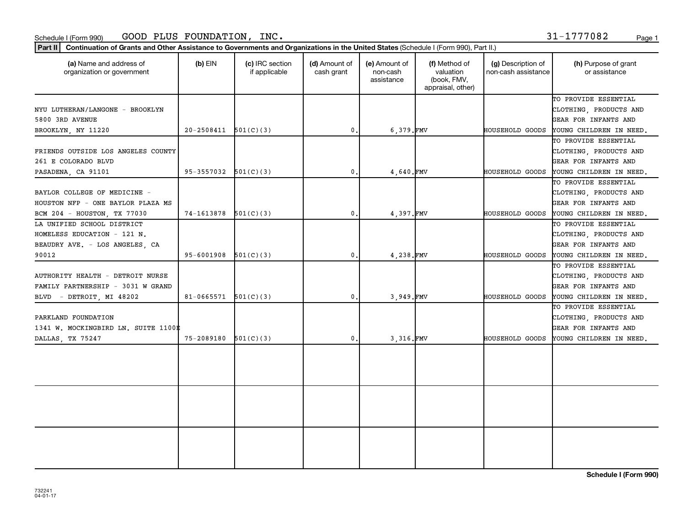Part II | Continuation of Grants and Other Assistance to Governments and Organizations in the United States (Schedule I (Form 990), Part II.)

732241 04-01-17

| (a) Name and address of<br>organization or government | $(b)$ EIN                | (c) IRC section<br>if applicable | (d) Amount of<br>cash grant | (e) Amount of<br>non-cash<br>assistance | (f) Method of<br>valuation<br>(book, FMV,<br>appraisal, other) | (g) Description of<br>non-cash assistance | (h) Purpose of grant<br>or assistance |
|-------------------------------------------------------|--------------------------|----------------------------------|-----------------------------|-----------------------------------------|----------------------------------------------------------------|-------------------------------------------|---------------------------------------|
|                                                       |                          |                                  |                             |                                         |                                                                |                                           | TO PROVIDE ESSENTIAL                  |
| NYU LUTHERAN/LANGONE - BROOKLYN                       |                          |                                  |                             |                                         |                                                                |                                           | CLOTHING, PRODUCTS AND                |
| 5800 3RD AVENUE                                       |                          |                                  |                             |                                         |                                                                |                                           | GEAR FOR INFANTS AND                  |
| BROOKLYN, NY 11220                                    | $20-2508411$ $501(C)(3)$ |                                  | $\mathbf 0$ .               | 6,379.FMV                               |                                                                | HOUSEHOLD GOODS                           | YOUNG CHILDREN IN NEED.               |
|                                                       |                          |                                  |                             |                                         |                                                                |                                           | TO PROVIDE ESSENTIAL                  |
| FRIENDS OUTSIDE LOS ANGELES COUNTY                    |                          |                                  |                             |                                         |                                                                |                                           | CLOTHING, PRODUCTS AND                |
| 261 E COLORADO BLVD                                   |                          |                                  |                             |                                         |                                                                |                                           | GEAR FOR INFANTS AND                  |
| PASADENA, CA 91101                                    | 95-3557032               | 501(C)(3)                        | $\mathbf 0$                 | 4,640.FMV                               |                                                                | HOUSEHOLD GOODS                           | YOUNG CHILDREN IN NEED.               |
|                                                       |                          |                                  |                             |                                         |                                                                |                                           | TO PROVIDE ESSENTIAL                  |
| BAYLOR COLLEGE OF MEDICINE -                          |                          |                                  |                             |                                         |                                                                |                                           | CLOTHING, PRODUCTS AND                |
| HOUSTON NFP - ONE BAYLOR PLAZA MS                     |                          |                                  |                             |                                         |                                                                |                                           | GEAR FOR INFANTS AND                  |
| BCM 204 - HOUSTON, TX 77030                           | 74-1613878               | 501(C)(3)                        | $\mathbf{0}$ .              | 4.397.FMV                               |                                                                | HOUSEHOLD GOODS                           | YOUNG CHILDREN IN NEED.               |
| LA UNIFIED SCHOOL DISTRICT                            |                          |                                  |                             |                                         |                                                                |                                           | TO PROVIDE ESSENTIAL                  |
| HOMELESS EDUCATION - 121 N.                           |                          |                                  |                             |                                         |                                                                |                                           | CLOTHING, PRODUCTS AND                |
| BEAUDRY AVE. - LOS ANGELES, CA                        |                          |                                  |                             |                                         |                                                                |                                           | GEAR FOR INFANTS AND                  |
| 90012                                                 | 95-6001908               | 501(C)(3)                        | $\mathbf{0}$                | 4,238.FMV                               |                                                                | HOUSEHOLD GOODS                           | YOUNG CHILDREN IN NEED.               |
|                                                       |                          |                                  |                             |                                         |                                                                |                                           | TO PROVIDE ESSENTIAL                  |
| AUTHORITY HEALTH - DETROIT NURSE                      |                          |                                  |                             |                                         |                                                                |                                           | CLOTHING, PRODUCTS AND                |
| FAMILY PARTNERSHIP - 3031 W GRAND                     |                          |                                  |                             |                                         |                                                                |                                           | GEAR FOR INFANTS AND                  |
| BLVD - DETROIT, MI 48202                              | $81-0665571$ $501(C)(3)$ |                                  | $\mathfrak{o}$ .            | 3,949.FMV                               |                                                                | HOUSEHOLD GOODS                           | YOUNG CHILDREN IN NEED.               |
|                                                       |                          |                                  |                             |                                         |                                                                |                                           | TO PROVIDE ESSENTIAL                  |
| PARKLAND FOUNDATION                                   |                          |                                  |                             |                                         |                                                                |                                           | CLOTHING, PRODUCTS AND                |
| 1341 W. MOCKINGBIRD LN. SUITE 1100#                   |                          |                                  |                             |                                         |                                                                |                                           | GEAR FOR INFANTS AND                  |
| DALLAS, TX 75247                                      | 75-2089180               | 501(C)(3)                        | 0                           | 3,316.FMV                               |                                                                | HOUSEHOLD GOODS                           | YOUNG CHILDREN IN NEED.               |
|                                                       |                          |                                  |                             |                                         |                                                                |                                           |                                       |
|                                                       |                          |                                  |                             |                                         |                                                                |                                           |                                       |
|                                                       |                          |                                  |                             |                                         |                                                                |                                           |                                       |
|                                                       |                          |                                  |                             |                                         |                                                                |                                           |                                       |
|                                                       |                          |                                  |                             |                                         |                                                                |                                           |                                       |
|                                                       |                          |                                  |                             |                                         |                                                                |                                           |                                       |
|                                                       |                          |                                  |                             |                                         |                                                                |                                           |                                       |
|                                                       |                          |                                  |                             |                                         |                                                                |                                           |                                       |
|                                                       |                          |                                  |                             |                                         |                                                                |                                           |                                       |
|                                                       |                          |                                  |                             |                                         |                                                                |                                           |                                       |
|                                                       |                          |                                  |                             |                                         |                                                                |                                           |                                       |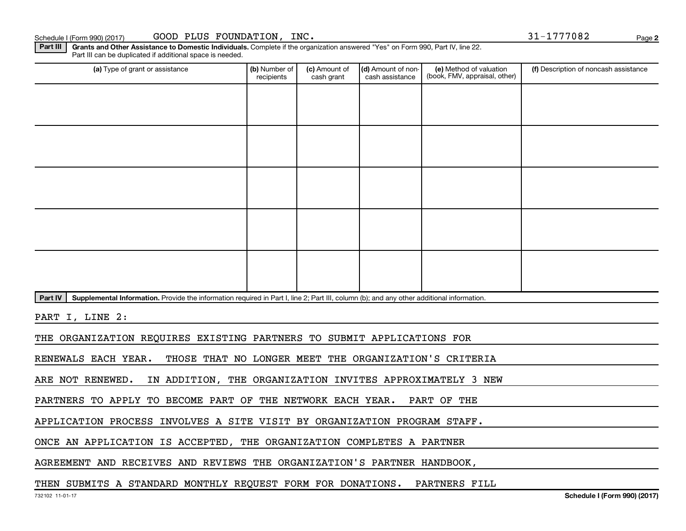| ichedule I (Form 990) (2017) |
|------------------------------|
|------------------------------|

**2**

Part III | Grants and Other Assistance to Domestic Individuals. Complete if the organization answered "Yes" on Form 990, Part IV, line 22. Part III can be duplicated if additional space is needed.

| (a) Type of grant or assistance                                                                                                                      | (b) Number of<br>recipients | (c) Amount of<br>cash grant | (d) Amount of non-<br>cash assistance | (e) Method of valuation<br>(book, FMV, appraisal, other) | (f) Description of noncash assistance |
|------------------------------------------------------------------------------------------------------------------------------------------------------|-----------------------------|-----------------------------|---------------------------------------|----------------------------------------------------------|---------------------------------------|
|                                                                                                                                                      |                             |                             |                                       |                                                          |                                       |
|                                                                                                                                                      |                             |                             |                                       |                                                          |                                       |
|                                                                                                                                                      |                             |                             |                                       |                                                          |                                       |
|                                                                                                                                                      |                             |                             |                                       |                                                          |                                       |
|                                                                                                                                                      |                             |                             |                                       |                                                          |                                       |
|                                                                                                                                                      |                             |                             |                                       |                                                          |                                       |
|                                                                                                                                                      |                             |                             |                                       |                                                          |                                       |
|                                                                                                                                                      |                             |                             |                                       |                                                          |                                       |
|                                                                                                                                                      |                             |                             |                                       |                                                          |                                       |
|                                                                                                                                                      |                             |                             |                                       |                                                          |                                       |
| Supplemental Information. Provide the information required in Part I, line 2; Part III, column (b); and any other additional information.<br>Part IV |                             |                             |                                       |                                                          |                                       |
| PART I, LINE 2:                                                                                                                                      |                             |                             |                                       |                                                          |                                       |
| THE ORGANIZATION REQUIRES EXISTING PARTNERS TO SUBMIT APPLICATIONS FOR                                                                               |                             |                             |                                       |                                                          |                                       |
| THOSE THAT NO LONGER MEET THE ORGANIZATION'S CRITERIA<br>RENEWALS EACH YEAR.                                                                         |                             |                             |                                       |                                                          |                                       |
| ARE NOT RENEWED.<br>IN ADDITION, THE ORGANIZATION INVITES APPROXIMATELY 3 NEW                                                                        |                             |                             |                                       |                                                          |                                       |

PARTNERS TO APPLY TO BECOME PART OF THE NETWORK EACH YEAR. PART OF THE

APPLICATION PROCESS INVOLVES A SITE VISIT BY ORGANIZATION PROGRAM STAFF.

ONCE AN APPLICATION IS ACCEPTED, THE ORGANIZATION COMPLETES A PARTNER

AGREEMENT AND RECEIVES AND REVIEWS THE ORGANIZATION'S PARTNER HANDBOOK,

THEN SUBMITS A STANDARD MONTHLY REQUEST FORM FOR DONATIONS. PARTNERS FILL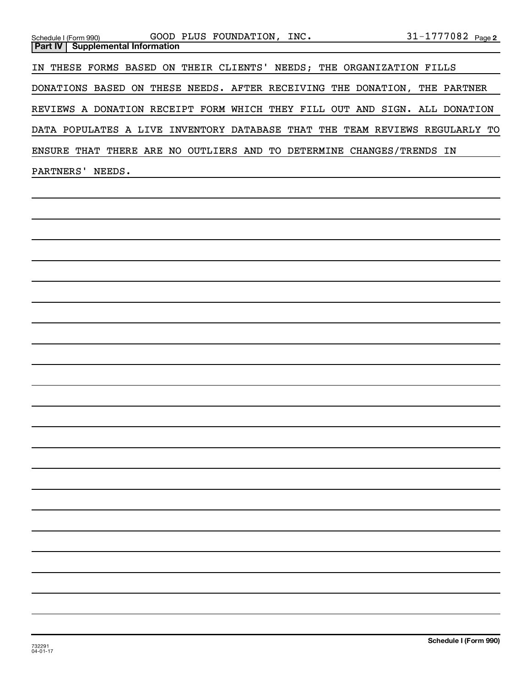| Schedule I (Form 990) GOOD PLUS FOUNDATION, INC.<br><b>Supplemental Information</b><br>Part IV | 31-1777082 Page 2     |
|------------------------------------------------------------------------------------------------|-----------------------|
| IN THESE FORMS BASED ON THEIR CLIENTS' NEEDS; THE ORGANIZATION FILLS                           |                       |
| DONATIONS BASED ON THESE NEEDS. AFTER RECEIVING THE DONATION, THE PARTNER                      |                       |
| REVIEWS A DONATION RECEIPT FORM WHICH THEY FILL OUT AND SIGN. ALL DONATION                     |                       |
| DATA POPULATES A LIVE INVENTORY DATABASE THAT THE TEAM REVIEWS REGULARLY TO                    |                       |
| ENSURE THAT THERE ARE NO OUTLIERS AND TO DETERMINE CHANGES/TRENDS IN                           |                       |
| PARTNERS' NEEDS.<br><u> 1989 - Johann Barn, amerikansk politiker (d. 1989)</u>                 |                       |
|                                                                                                |                       |
|                                                                                                |                       |
|                                                                                                |                       |
|                                                                                                |                       |
|                                                                                                |                       |
|                                                                                                |                       |
|                                                                                                |                       |
|                                                                                                |                       |
|                                                                                                |                       |
|                                                                                                |                       |
|                                                                                                |                       |
|                                                                                                |                       |
|                                                                                                |                       |
|                                                                                                |                       |
|                                                                                                |                       |
|                                                                                                |                       |
|                                                                                                |                       |
|                                                                                                |                       |
|                                                                                                |                       |
|                                                                                                |                       |
|                                                                                                |                       |
| 732291<br>$04 - 01 - 17$                                                                       | Schedule I (Form 990) |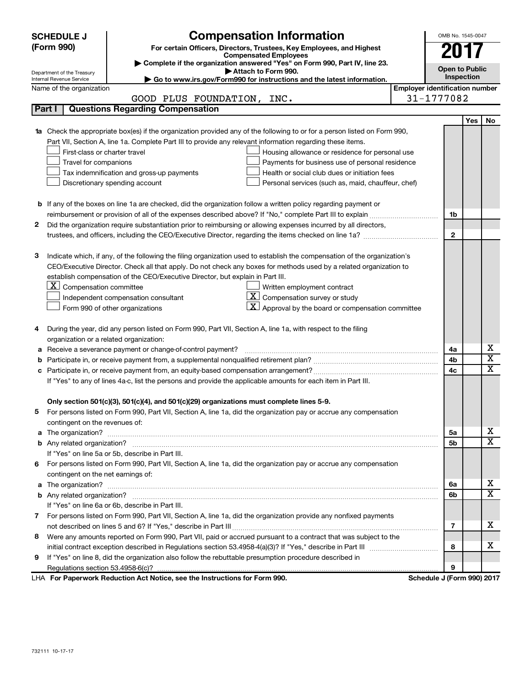|   | <b>Compensation Information</b><br><b>SCHEDULE J</b> |                                                                                                                                  |                                       | OMB No. 1545-0047          |     |                         |  |
|---|------------------------------------------------------|----------------------------------------------------------------------------------------------------------------------------------|---------------------------------------|----------------------------|-----|-------------------------|--|
|   | (Form 990)                                           | For certain Officers, Directors, Trustees, Key Employees, and Highest                                                            |                                       |                            |     |                         |  |
|   |                                                      | <b>Compensated Employees</b>                                                                                                     |                                       |                            |     |                         |  |
|   | Department of the Treasury                           | Complete if the organization answered "Yes" on Form 990, Part IV, line 23.<br>Attach to Form 990.                                |                                       | <b>Open to Public</b>      |     |                         |  |
|   | Internal Revenue Service                             | Go to www.irs.gov/Form990 for instructions and the latest information.                                                           |                                       | Inspection                 |     |                         |  |
|   | Name of the organization                             |                                                                                                                                  | <b>Employer identification number</b> |                            |     |                         |  |
|   |                                                      | GOOD PLUS FOUNDATION, INC.                                                                                                       |                                       | 31-1777082                 |     |                         |  |
|   | Part I                                               | <b>Questions Regarding Compensation</b>                                                                                          |                                       |                            |     |                         |  |
|   |                                                      |                                                                                                                                  |                                       |                            | Yes | No                      |  |
|   |                                                      | <b>1a</b> Check the appropriate box(es) if the organization provided any of the following to or for a person listed on Form 990, |                                       |                            |     |                         |  |
|   |                                                      | Part VII, Section A, line 1a. Complete Part III to provide any relevant information regarding these items.                       |                                       |                            |     |                         |  |
|   | First-class or charter travel                        | Housing allowance or residence for personal use                                                                                  |                                       |                            |     |                         |  |
|   | Travel for companions                                | Payments for business use of personal residence                                                                                  |                                       |                            |     |                         |  |
|   | Tax indemnification and gross-up payments            | Health or social club dues or initiation fees                                                                                    |                                       |                            |     |                         |  |
|   |                                                      | Discretionary spending account<br>Personal services (such as, maid, chauffeur, chef)                                             |                                       |                            |     |                         |  |
|   |                                                      |                                                                                                                                  |                                       |                            |     |                         |  |
|   |                                                      | <b>b</b> If any of the boxes on line 1a are checked, did the organization follow a written policy regarding payment or           |                                       |                            |     |                         |  |
|   |                                                      |                                                                                                                                  |                                       | 1b                         |     |                         |  |
| 2 |                                                      | Did the organization require substantiation prior to reimbursing or allowing expenses incurred by all directors,                 |                                       |                            |     |                         |  |
|   |                                                      |                                                                                                                                  |                                       | $\mathbf{2}$               |     |                         |  |
|   |                                                      |                                                                                                                                  |                                       |                            |     |                         |  |
| з |                                                      | Indicate which, if any, of the following the filing organization used to establish the compensation of the organization's        |                                       |                            |     |                         |  |
|   |                                                      | CEO/Executive Director. Check all that apply. Do not check any boxes for methods used by a related organization to               |                                       |                            |     |                         |  |
|   |                                                      | establish compensation of the CEO/Executive Director, but explain in Part III.                                                   |                                       |                            |     |                         |  |
|   | $ \mathbf{X} $ Compensation committee                | Written employment contract                                                                                                      |                                       |                            |     |                         |  |
|   |                                                      | $ \mathbf{X} $ Compensation survey or study<br>Independent compensation consultant                                               |                                       |                            |     |                         |  |
|   |                                                      | $\mathbf{X}$ Approval by the board or compensation committee<br>Form 990 of other organizations                                  |                                       |                            |     |                         |  |
|   |                                                      |                                                                                                                                  |                                       |                            |     |                         |  |
| 4 |                                                      | During the year, did any person listed on Form 990, Part VII, Section A, line 1a, with respect to the filing                     |                                       |                            |     |                         |  |
|   | organization or a related organization:              |                                                                                                                                  |                                       |                            |     |                         |  |
| а |                                                      | Receive a severance payment or change-of-control payment?                                                                        |                                       | 4a                         |     | x                       |  |
| b |                                                      |                                                                                                                                  |                                       | 4b                         |     | $\overline{\textbf{x}}$ |  |
|   |                                                      |                                                                                                                                  |                                       | 4c                         |     | X                       |  |
|   |                                                      | If "Yes" to any of lines 4a-c, list the persons and provide the applicable amounts for each item in Part III.                    |                                       |                            |     |                         |  |
|   |                                                      |                                                                                                                                  |                                       |                            |     |                         |  |
|   |                                                      | Only section 501(c)(3), 501(c)(4), and 501(c)(29) organizations must complete lines 5-9.                                         |                                       |                            |     |                         |  |
|   |                                                      | For persons listed on Form 990, Part VII, Section A, line 1a, did the organization pay or accrue any compensation                |                                       |                            |     |                         |  |
|   | contingent on the revenues of:                       |                                                                                                                                  |                                       |                            |     |                         |  |
|   |                                                      | a The organization? <b>Process and Construction Construction</b> and The organization?                                           |                                       | 5a                         |     | X                       |  |
|   |                                                      |                                                                                                                                  |                                       | 5b                         |     | х                       |  |
|   |                                                      | If "Yes" on line 5a or 5b, describe in Part III.                                                                                 |                                       |                            |     |                         |  |
|   |                                                      | 6 For persons listed on Form 990, Part VII, Section A, line 1a, did the organization pay or accrue any compensation              |                                       |                            |     |                         |  |
|   | contingent on the net earnings of:                   |                                                                                                                                  |                                       |                            |     |                         |  |
|   |                                                      |                                                                                                                                  |                                       | 6a                         |     | x<br>X                  |  |
|   |                                                      |                                                                                                                                  |                                       | 6b                         |     |                         |  |
|   |                                                      | If "Yes" on line 6a or 6b, describe in Part III.                                                                                 |                                       |                            |     |                         |  |
|   |                                                      | 7 For persons listed on Form 990, Part VII, Section A, line 1a, did the organization provide any nonfixed payments               |                                       |                            |     |                         |  |
|   |                                                      |                                                                                                                                  |                                       | 7                          |     | х                       |  |
| 8 |                                                      | Were any amounts reported on Form 990, Part VII, paid or accrued pursuant to a contract that was subject to the                  |                                       |                            |     |                         |  |
|   |                                                      |                                                                                                                                  |                                       | 8                          |     | х                       |  |
| 9 |                                                      | If "Yes" on line 8, did the organization also follow the rebuttable presumption procedure described in                           |                                       |                            |     |                         |  |
|   |                                                      |                                                                                                                                  |                                       | 9                          |     |                         |  |
|   |                                                      | LHA For Paperwork Reduction Act Notice, see the Instructions for Form 990.                                                       |                                       | Schedule J (Form 990) 2017 |     |                         |  |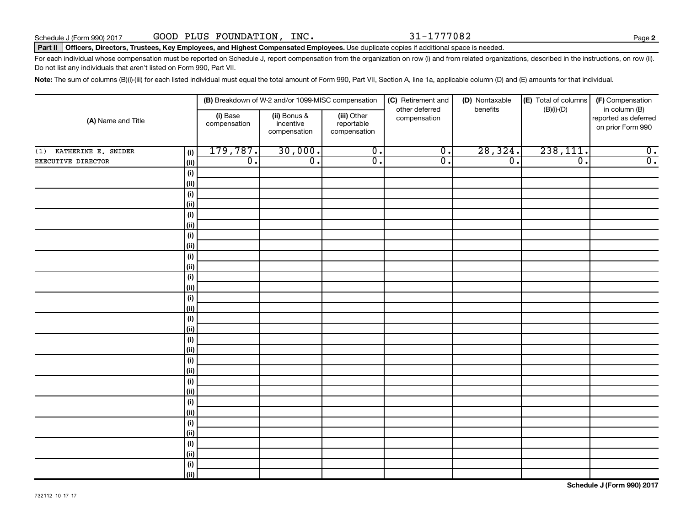### Part II | Officers, Directors, Trustees, Key Employees, and Highest Compensated Employees. Use duplicate copies if additional space is needed.

For each individual whose compensation must be reported on Schedule J, report compensation from the organization on row (i) and from related organizations, described in the instructions, on row (ii). Do not list any individuals that aren't listed on Form 990, Part VII.

Note: The sum of columns (B)(i)-(iii) for each listed individual must equal the total amount of Form 990, Part VII, Section A, line 1a, applicable column (D) and (E) amounts for that individual.

| (A) Name and Title<br>(1) KATHERINE E. SNIDER<br>(i)<br>EXECUTIVE DIRECTOR<br>(ii)<br>(i)<br>(ii)<br>$(\sf{i})$ |                    |                          | (B) Breakdown of W-2 and/or 1099-MISC compensation |                                           | (C) Retirement and<br>other deferred | (D) Nontaxable<br>benefits  | (E) Total of columns<br>$(B)(i)$ - $(D)$ | (F) Compensation<br>in column (B)         |  |
|-----------------------------------------------------------------------------------------------------------------|--------------------|--------------------------|----------------------------------------------------|-------------------------------------------|--------------------------------------|-----------------------------|------------------------------------------|-------------------------------------------|--|
|                                                                                                                 |                    | (i) Base<br>compensation | (ii) Bonus &<br>incentive<br>compensation          | (iii) Other<br>reportable<br>compensation | compensation                         |                             |                                          | reported as deferred<br>on prior Form 990 |  |
|                                                                                                                 |                    | 179,787.                 | 30,000.                                            | $\overline{0}$ .                          | $\overline{0}$ .                     | 28, 324.                    | 238,111.                                 | $\overline{0}$ .                          |  |
|                                                                                                                 |                    | $\overline{0}$ .         | $\overline{0}$ .                                   | $\overline{0}$ .                          | $\overline{\mathfrak{o}}$ .          | $\overline{\mathfrak{o}}$ . | $\overline{\mathfrak{o}}$ .              | $\overline{0}$ .                          |  |
|                                                                                                                 |                    |                          |                                                    |                                           |                                      |                             |                                          |                                           |  |
|                                                                                                                 |                    |                          |                                                    |                                           |                                      |                             |                                          |                                           |  |
|                                                                                                                 |                    |                          |                                                    |                                           |                                      |                             |                                          |                                           |  |
|                                                                                                                 | (ii)               |                          |                                                    |                                           |                                      |                             |                                          |                                           |  |
|                                                                                                                 | $(\sf{i})$         |                          |                                                    |                                           |                                      |                             |                                          |                                           |  |
|                                                                                                                 | (ii)               |                          |                                                    |                                           |                                      |                             |                                          |                                           |  |
|                                                                                                                 | (i)                |                          |                                                    |                                           |                                      |                             |                                          |                                           |  |
|                                                                                                                 | (ii)               |                          |                                                    |                                           |                                      |                             |                                          |                                           |  |
|                                                                                                                 | $(\sf{i})$         |                          |                                                    |                                           |                                      |                             |                                          |                                           |  |
|                                                                                                                 | (ii)               |                          |                                                    |                                           |                                      |                             |                                          |                                           |  |
|                                                                                                                 | $(\sf{i})$         |                          |                                                    |                                           |                                      |                             |                                          |                                           |  |
|                                                                                                                 | (ii)               |                          |                                                    |                                           |                                      |                             |                                          |                                           |  |
|                                                                                                                 | $(\sf{i})$         |                          |                                                    |                                           |                                      |                             |                                          |                                           |  |
|                                                                                                                 | (ii)               |                          |                                                    |                                           |                                      |                             |                                          |                                           |  |
|                                                                                                                 | $(\sf{i})$<br>(ii) |                          |                                                    |                                           |                                      |                             |                                          |                                           |  |
|                                                                                                                 | $(\sf{i})$         |                          |                                                    |                                           |                                      |                             |                                          |                                           |  |
|                                                                                                                 | (i)                |                          |                                                    |                                           |                                      |                             |                                          |                                           |  |
|                                                                                                                 | $(\sf{i})$         |                          |                                                    |                                           |                                      |                             |                                          |                                           |  |
|                                                                                                                 | (ii)               |                          |                                                    |                                           |                                      |                             |                                          |                                           |  |
|                                                                                                                 | $(\sf{i})$         |                          |                                                    |                                           |                                      |                             |                                          |                                           |  |
|                                                                                                                 | (i)                |                          |                                                    |                                           |                                      |                             |                                          |                                           |  |
|                                                                                                                 | $(\sf{i})$         |                          |                                                    |                                           |                                      |                             |                                          |                                           |  |
|                                                                                                                 | (i)                |                          |                                                    |                                           |                                      |                             |                                          |                                           |  |
|                                                                                                                 | $(\sf{i})$         |                          |                                                    |                                           |                                      |                             |                                          |                                           |  |
|                                                                                                                 | (ii)               |                          |                                                    |                                           |                                      |                             |                                          |                                           |  |
|                                                                                                                 | $(\sf{i})$         |                          |                                                    |                                           |                                      |                             |                                          |                                           |  |
|                                                                                                                 | (ii)               |                          |                                                    |                                           |                                      |                             |                                          |                                           |  |
|                                                                                                                 | $(\sf{i})$         |                          |                                                    |                                           |                                      |                             |                                          |                                           |  |
|                                                                                                                 | (ii)               |                          |                                                    |                                           |                                      |                             |                                          |                                           |  |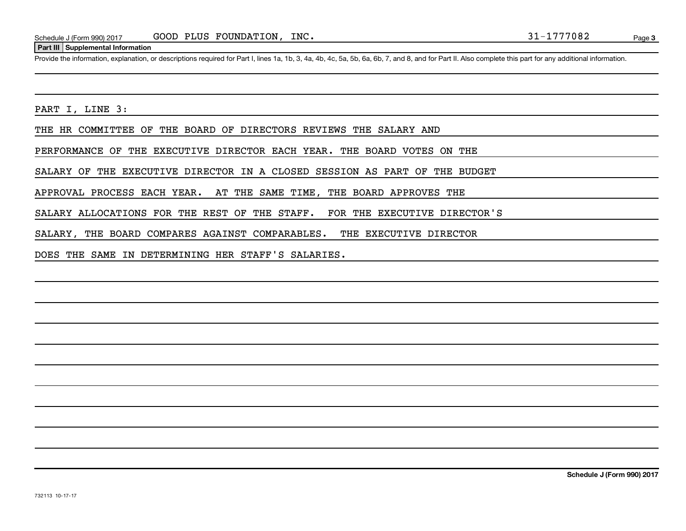### **Part III Supplemental Information**

Provide the information, explanation, or descriptions required for Part I, lines 1a, 1b, 3, 4a, 4b, 4c, 5a, 5b, 6a, 6b, 7, and 8, and for Part II. Also complete this part for any additional information.

PART I, LINE 3:

THE HR COMMITTEE OF THE BOARD OF DIRECTORS REVIEWS THE SALARY AND

PERFORMANCE OF THE EXECUTIVE DIRECTOR EACH YEAR. THE BOARD VOTES ON THE

SALARY OF THE EXECUTIVE DIRECTOR IN A CLOSED SESSION AS PART OF THE BUDGET

APPROVAL PROCESS EACH YEAR. AT THE SAME TIME, THE BOARD APPROVES THE

SALARY ALLOCATIONS FOR THE REST OF THE STAFF. FOR THE EXECUTIVE DIRECTOR'S

SALARY, THE BOARD COMPARES AGAINST COMPARABLES. THE EXECUTIVE DIRECTOR

DOES THE SAME IN DETERMINING HER STAFF'S SALARIES.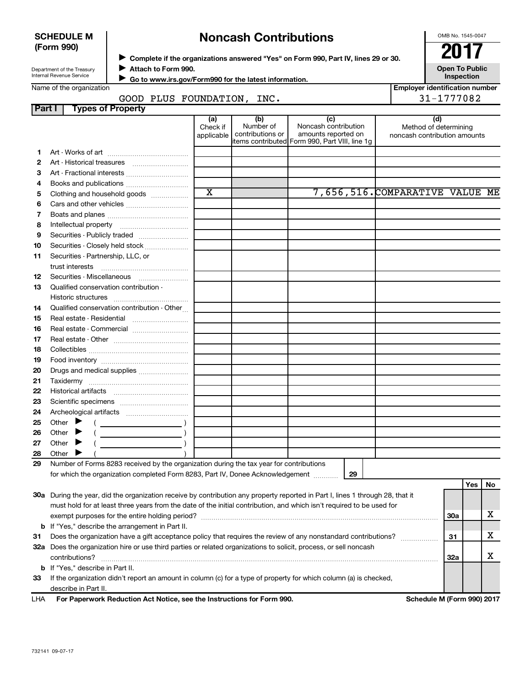| <b>SCHEDULE M</b> |  |
|-------------------|--|
| (Form 990)        |  |

# **Noncash Contributions**

OMB No. 1545-0047

| Department of the Treasury |  |
|----------------------------|--|
| Internal Revenue Service   |  |

◆ Complete if the organizations answered "Yes" on Form 990, Part IV, lines 29 or 30.<br>▶ Complete if the organizations answered "Yes" on Form 990, Part IV, lines 29 or 30. **Attach to Form 990.** J

**Open To Public Inspection**

|  | Name of the organization |
|--|--------------------------|

 **Go to www.irs.gov/Form990 for the latest information.** J

| Name of the organization           |                               |                                      |                                                                                                | <b>Employer identification number</b>                        |
|------------------------------------|-------------------------------|--------------------------------------|------------------------------------------------------------------------------------------------|--------------------------------------------------------------|
| GOOD PLUS FOUNDATION,              |                               | INC.                                 |                                                                                                | 31-1777082                                                   |
| <b>Types of Property</b><br>Part I |                               |                                      |                                                                                                |                                                              |
|                                    | (a)<br>Check if<br>applicable | (b)<br>Number of<br>contributions or | Noncash contribution<br>amounts reported on<br>litems contributed Form 990, Part VIII, line 1g | (d)<br>Method of determining<br>noncash contribution amounts |
| Art - Works of art                 |                               |                                      |                                                                                                |                                                              |
| Art - Historical treasures         |                               |                                      |                                                                                                |                                                              |
| Art - Fractional interests<br>з    |                               |                                      |                                                                                                |                                                              |
| Books and publications<br>4        |                               |                                      |                                                                                                |                                                              |
|                                    | $\overline{\mathbf{x}}$       |                                      | 7 <i>CEC</i> E1 <i>C</i>                                                                       | M                                                            |

|    |                                                                                         | $\mathbf x$ |    | 7,656,516.COMPARATIVE VALUE ME |          |  |
|----|-----------------------------------------------------------------------------------------|-------------|----|--------------------------------|----------|--|
| 5  | Clothing and household goods                                                            |             |    |                                |          |  |
| 6  |                                                                                         |             |    |                                |          |  |
| 7  |                                                                                         |             |    |                                |          |  |
| 8  |                                                                                         |             |    |                                |          |  |
| 9  |                                                                                         |             |    |                                |          |  |
| 10 | Securities - Closely held stock                                                         |             |    |                                |          |  |
| 11 | Securities - Partnership, LLC, or                                                       |             |    |                                |          |  |
|    |                                                                                         |             |    |                                |          |  |
| 12 |                                                                                         |             |    |                                |          |  |
| 13 | Qualified conservation contribution -                                                   |             |    |                                |          |  |
|    |                                                                                         |             |    |                                |          |  |
| 14 | Qualified conservation contribution - Other                                             |             |    |                                |          |  |
| 15 |                                                                                         |             |    |                                |          |  |
| 16 |                                                                                         |             |    |                                |          |  |
| 17 |                                                                                         |             |    |                                |          |  |
| 18 |                                                                                         |             |    |                                |          |  |
| 19 |                                                                                         |             |    |                                |          |  |
| 20 |                                                                                         |             |    |                                |          |  |
| 21 |                                                                                         |             |    |                                |          |  |
| 22 |                                                                                         |             |    |                                |          |  |
| 23 |                                                                                         |             |    |                                |          |  |
| 24 |                                                                                         |             |    |                                |          |  |
| 25 |                                                                                         |             |    |                                |          |  |
| 26 |                                                                                         |             |    |                                |          |  |
| 27 | Other $\blacktriangleright$                                                             |             |    |                                |          |  |
| 28 | Other<br>▶                                                                              |             |    |                                |          |  |
| 29 | Number of Forms 8283 received by the organization during the tax year for contributions |             |    |                                |          |  |
|    | for which the organization completed Form 8283, Part IV, Donee Acknowledgement          |             | 29 |                                |          |  |
|    |                                                                                         |             |    |                                | Yes   No |  |

| 30a        | During the year, did the organization receive by contribution any property reported in Part I, lines 1 through 28, that it |     |  |
|------------|----------------------------------------------------------------------------------------------------------------------------|-----|--|
|            | must hold for at least three years from the date of the initial contribution, and which isn't required to be used for      |     |  |
|            | exempt purposes for the entire holding period?                                                                             | 30a |  |
|            | <b>b</b> If "Yes," describe the arrangement in Part II.                                                                    |     |  |
| 31         | Does the organization have a gift acceptance policy that requires the review of any nonstandard contributions?             | 31  |  |
| 32a        | Does the organization hire or use third parties or related organizations to solicit, process, or sell noncash              |     |  |
|            | contributions?                                                                                                             | 32a |  |
|            | <b>b</b> If "Yes," describe in Part II.                                                                                    |     |  |
| 33         | If the organization didn't report an amount in column (c) for a type of property for which column (a) is checked,          |     |  |
|            | describe in Part II.                                                                                                       |     |  |
| <b>LHA</b> | For Paperwork Reduction Act Notice, see the Instructions for Form 990.<br>Schedule M (Form 990) 2017                       |     |  |

732141 09-07-17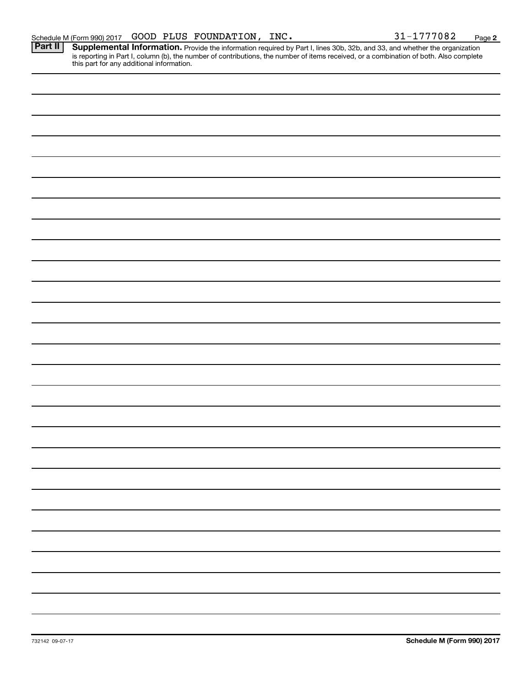**2**

Provide the information required by Part I, lines 30b, 32b, and 33, and whether the organization is reporting in Part I, column (b), the number of contributions, the number of items received, or a combination of both. Also complete this part for any additional information. **Part II Supplemental Information.**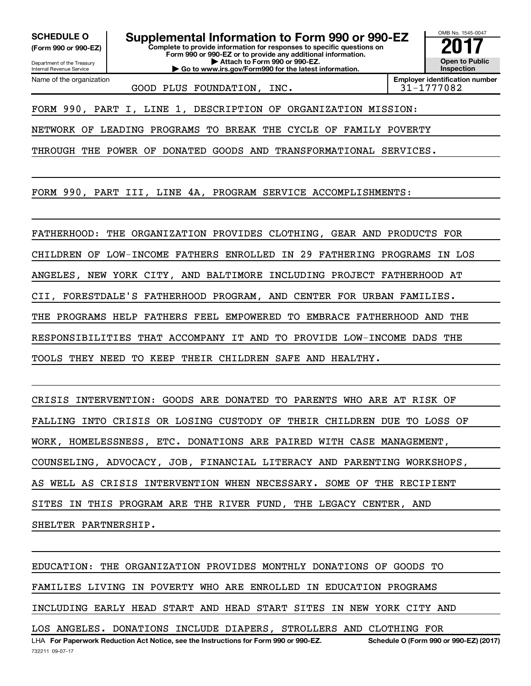Department of the Treasury **(Form 990 or 990-EZ)**

Name of the organization

Internal Revenue Service

**SCHEDULE O Supplemental Information to Form 990 or 990-EZ 2017**<br>(Form 990 or 990-EZ) Complete to provide information for responses to specific questions on

**Complete to provide information for responses to specific questions on Form 990 or 990-EZ or to provide any additional information. | Attach to Form 990 or 990-EZ.**

**| Go to www.irs.gov/Form990 for the latest information.**

GOOD PLUS FOUNDATION, INC.  $\vert$  31-1777082

**Employer identification number**

OMB No. 1545-0047

**Open to Public Inspection**

FORM 990, PART I, LINE 1, DESCRIPTION OF ORGANIZATION MISSION:

NETWORK OF LEADING PROGRAMS TO BREAK THE CYCLE OF FAMILY POVERTY

THROUGH THE POWER OF DONATED GOODS AND TRANSFORMATIONAL SERVICES.

FORM 990, PART III, LINE 4A, PROGRAM SERVICE ACCOMPLISHMENTS:

FATHERHOOD: THE ORGANIZATION PROVIDES CLOTHING, GEAR AND PRODUCTS FOR CHILDREN OF LOW-INCOME FATHERS ENROLLED IN 29 FATHERING PROGRAMS IN LOS ANGELES, NEW YORK CITY, AND BALTIMORE INCLUDING PROJECT FATHERHOOD AT CII, FORESTDALE'S FATHERHOOD PROGRAM, AND CENTER FOR URBAN FAMILIES. THE PROGRAMS HELP FATHERS FEEL EMPOWERED TO EMBRACE FATHERHOOD AND THE RESPONSIBILITIES THAT ACCOMPANY IT AND TO PROVIDE LOW-INCOME DADS THE TOOLS THEY NEED TO KEEP THEIR CHILDREN SAFE AND HEALTHY.

CRISIS INTERVENTION: GOODS ARE DONATED TO PARENTS WHO ARE AT RISK OF FALLING INTO CRISIS OR LOSING CUSTODY OF THEIR CHILDREN DUE TO LOSS OF WORK, HOMELESSNESS, ETC. DONATIONS ARE PAIRED WITH CASE MANAGEMENT, COUNSELING, ADVOCACY, JOB, FINANCIAL LITERACY AND PARENTING WORKSHOPS, AS WELL AS CRISIS INTERVENTION WHEN NECESSARY. SOME OF THE RECIPIENT SITES IN THIS PROGRAM ARE THE RIVER FUND, THE LEGACY CENTER, AND SHELTER PARTNERSHIP.

732211 09-07-17 LHA For Paperwork Reduction Act Notice, see the Instructions for Form 990 or 990-EZ. Schedule O (Form 990 or 990-EZ) (2017) EDUCATION: THE ORGANIZATION PROVIDES MONTHLY DONATIONS OF GOODS TO FAMILIES LIVING IN POVERTY WHO ARE ENROLLED IN EDUCATION PROGRAMS INCLUDING EARLY HEAD START AND HEAD START SITES IN NEW YORK CITY AND LOS ANGELES. DONATIONS INCLUDE DIAPERS, STROLLERS AND CLOTHING FOR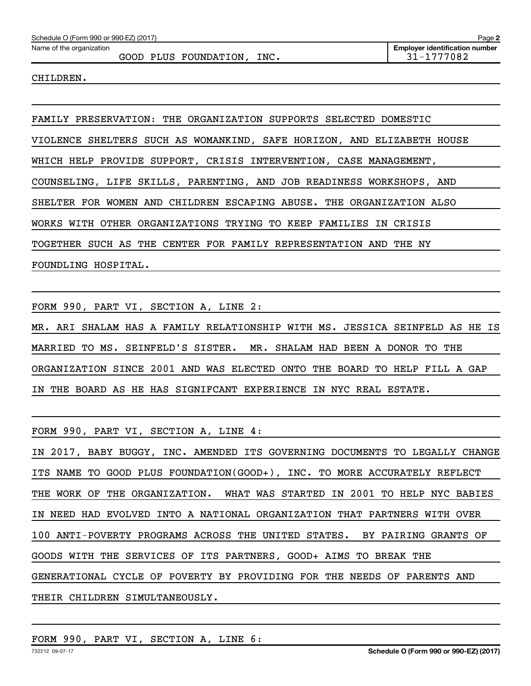Name of the organization

GOOD PLUS FOUNDATION, INC.  $\vert$  31-1777082

CHILDREN.

FAMILY PRESERVATION: THE ORGANIZATION SUPPORTS SELECTED DOMESTIC VIOLENCE SHELTERS SUCH AS WOMANKIND, SAFE HORIZON, AND ELIZABETH HOUSE WHICH HELP PROVIDE SUPPORT, CRISIS INTERVENTION, CASE MANAGEMENT, COUNSELING, LIFE SKILLS, PARENTING, AND JOB READINESS WORKSHOPS, AND SHELTER FOR WOMEN AND CHILDREN ESCAPING ABUSE. THE ORGANIZATION ALSO WORKS WITH OTHER ORGANIZATIONS TRYING TO KEEP FAMILIES IN CRISIS TOGETHER SUCH AS THE CENTER FOR FAMILY REPRESENTATION AND THE NY FOUNDLING HOSPITAL.

FORM 990, PART VI, SECTION A, LINE 2:

MR. ARI SHALAM HAS A FAMILY RELATIONSHIP WITH MS. JESSICA SEINFELD AS HE IS MARRIED TO MS. SEINFELD'S SISTER. MR. SHALAM HAD BEEN A DONOR TO THE ORGANIZATION SINCE 2001 AND WAS ELECTED ONTO THE BOARD TO HELP FILL A GAP IN THE BOARD AS HE HAS SIGNIFCANT EXPERIENCE IN NYC REAL ESTATE.

FORM 990, PART VI, SECTION A, LINE 4:

IN 2017, BABY BUGGY, INC. AMENDED ITS GOVERNING DOCUMENTS TO LEGALLY CHANGE ITS NAME TO GOOD PLUS FOUNDATION(GOOD+), INC. TO MORE ACCURATELY REFLECT THE WORK OF THE ORGANIZATION. WHAT WAS STARTED IN 2001 TO HELP NYC BABIES IN NEED HAD EVOLVED INTO A NATIONAL ORGANIZATION THAT PARTNERS WITH OVER 100 ANTI-POVERTY PROGRAMS ACROSS THE UNITED STATES. BY PAIRING GRANTS OF GOODS WITH THE SERVICES OF ITS PARTNERS, GOOD+ AIMS TO BREAK THE GENERATIONAL CYCLE OF POVERTY BY PROVIDING FOR THE NEEDS OF PARENTS AND THEIR CHILDREN SIMULTANEOUSLY.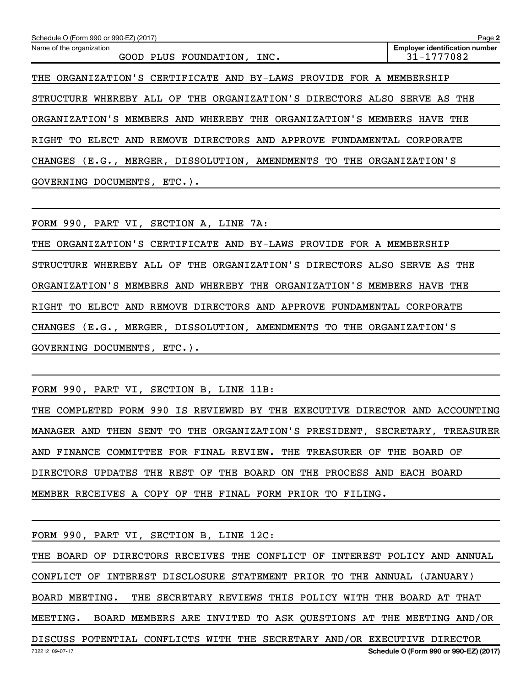| Schedule O (Form 990 or 990-EZ) (2017)                                   | Page 2                                              |  |  |  |
|--------------------------------------------------------------------------|-----------------------------------------------------|--|--|--|
| Name of the organization<br>GOOD PLUS FOUNDATION, INC.                   | <b>Employer identification number</b><br>31-1777082 |  |  |  |
| THE ORGANIZATION'S CERTIFICATE AND BY-LAWS PROVIDE FOR A MEMBERSHIP      |                                                     |  |  |  |
| STRUCTURE WHEREBY ALL OF THE ORGANIZATION'S DIRECTORS ALSO SERVE AS THE  |                                                     |  |  |  |
| ORGANIZATION'S MEMBERS AND WHEREBY THE ORGANIZATION'S MEMBERS HAVE THE   |                                                     |  |  |  |
| ELECT AND REMOVE DIRECTORS AND APPROVE FUNDAMENTAL CORPORATE<br>RIGHT TO |                                                     |  |  |  |
| CHANGES (E.G., MERGER, DISSOLUTION, AMENDMENTS TO THE ORGANIZATION'S     |                                                     |  |  |  |
| GOVERNING DOCUMENTS, ETC.).                                              |                                                     |  |  |  |

FORM 990, PART VI, SECTION A, LINE 7A:

THE ORGANIZATION'S CERTIFICATE AND BY-LAWS PROVIDE FOR A MEMBERSHIP STRUCTURE WHEREBY ALL OF THE ORGANIZATION'S DIRECTORS ALSO SERVE AS THE ORGANIZATION'S MEMBERS AND WHEREBY THE ORGANIZATION'S MEMBERS HAVE THE RIGHT TO ELECT AND REMOVE DIRECTORS AND APPROVE FUNDAMENTAL CORPORATE CHANGES (E.G., MERGER, DISSOLUTION, AMENDMENTS TO THE ORGANIZATION'S GOVERNING DOCUMENTS, ETC.).

FORM 990, PART VI, SECTION B, LINE 11B:

THE COMPLETED FORM 990 IS REVIEWED BY THE EXECUTIVE DIRECTOR AND ACCOUNTING MANAGER AND THEN SENT TO THE ORGANIZATION'S PRESIDENT, SECRETARY, TREASURER AND FINANCE COMMITTEE FOR FINAL REVIEW. THE TREASURER OF THE BOARD OF DIRECTORS UPDATES THE REST OF THE BOARD ON THE PROCESS AND EACH BOARD MEMBER RECEIVES A COPY OF THE FINAL FORM PRIOR TO FILING.

FORM 990, PART VI, SECTION B, LINE 12C:

732212 09-07-17 **Schedule O (Form 990 or 990-EZ) (2017)** THE BOARD OF DIRECTORS RECEIVES THE CONFLICT OF INTEREST POLICY AND ANNUAL CONFLICT OF INTEREST DISCLOSURE STATEMENT PRIOR TO THE ANNUAL (JANUARY) BOARD MEETING. THE SECRETARY REVIEWS THIS POLICY WITH THE BOARD AT THAT MEETING. BOARD MEMBERS ARE INVITED TO ASK QUESTIONS AT THE MEETING AND/OR DISCUSS POTENTIAL CONFLICTS WITH THE SECRETARY AND/OR EXECUTIVE DIRECTOR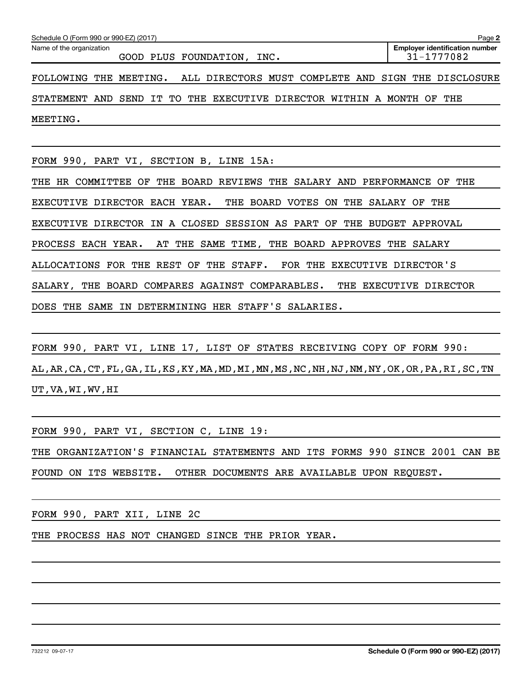| Schedule O (Form 990 or 990-EZ) (2017)                                                              | Page 2                                              |  |  |
|-----------------------------------------------------------------------------------------------------|-----------------------------------------------------|--|--|
| Name of the organization<br>GOOD PLUS FOUNDATION,<br>INC.                                           | <b>Employer identification number</b><br>31-1777082 |  |  |
| ALL DIRECTORS MUST COMPLETE AND SIGN<br>THE MEETING.<br><b>FOLLOWING</b>                            | THE<br>DISCLOSURE                                   |  |  |
| STATEMENT AND SEND<br>IT TO<br>THE<br>EXECUTIVE DIRECTOR WITHIN A MONTH                             | THE<br>OF                                           |  |  |
| MEETING.                                                                                            |                                                     |  |  |
|                                                                                                     |                                                     |  |  |
| FORM 990, PART VI, SECTION B, LINE 15A:                                                             |                                                     |  |  |
| BOARD<br>SALARY AND PERFORMANCE<br>HR COMMITTEE OF<br>THE<br><b>REVIEWS THE</b><br>THE<br>OF<br>THE |                                                     |  |  |
| DIRECTOR EACH YEAR.<br>BOARD VOTES<br>ON<br><b>EXECUTIVE</b><br>THE<br>THE                          | SALARY<br>THE<br>OF                                 |  |  |
| DIRECTOR<br>A CLOSED<br>SESSION AS PART<br>OF<br><b>EXECUTIVE</b><br>IN<br>THE                      | BUDGET<br>APPROVAL                                  |  |  |
| PROCESS<br>EACH YEAR.<br>THE<br>SAME<br>TIME,<br>THE<br>BOARD APPROVES<br>AT                        | THE<br>SALARY                                       |  |  |
| FOR THE EXECUTIVE DIRECTOR'S<br><b>ALLOCATIONS FOR</b><br>THE REST<br>OF<br>THE<br>STAFF.           |                                                     |  |  |

SALARY, THE BOARD COMPARES AGAINST COMPARABLES. THE EXECUTIVE DIRECTOR

DOES THE SAME IN DETERMINING HER STAFF'S SALARIES.

FORM 990, PART VI, LINE 17, LIST OF STATES RECEIVING COPY OF FORM 990: AL,AR,CA,CT,FL,GA,IL,KS,KY,MA,MD,MI,MN,MS,NC,NH,NJ,NM,NY,OK,OR,PA,RI,SC,TN UT,VA,WI,WV,HI

FORM 990, PART VI, SECTION C, LINE 19:

THE ORGANIZATION'S FINANCIAL STATEMENTS AND ITS FORMS 990 SINCE 2001 CAN BE FOUND ON ITS WEBSITE. OTHER DOCUMENTS ARE AVAILABLE UPON REQUEST.

FORM 990, PART XII, LINE 2C

THE PROCESS HAS NOT CHANGED SINCE THE PRIOR YEAR.